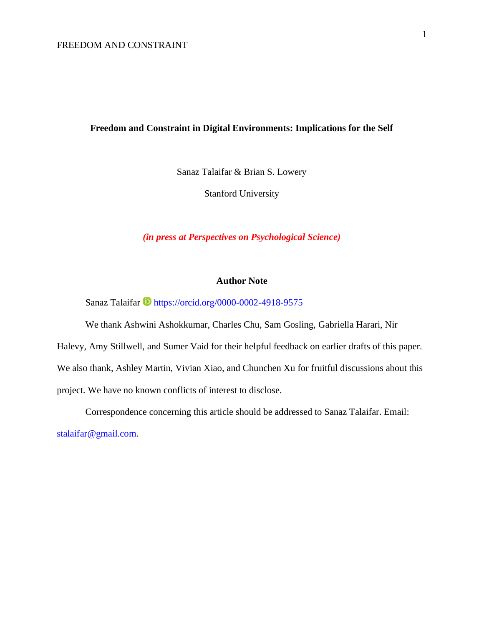# **Freedom and Constraint in Digital Environments: Implications for the Self**

Sanaz Talaifar & Brian S. Lowery

Stanford University

*(in press at Perspectives on Psychological Science)*

## **Author Note**

Sanaz Talaifar **<https://orcid.org/0000-0002-4918-9575>** 

We thank Ashwini Ashokkumar, Charles Chu, Sam Gosling, Gabriella Harari, Nir

Halevy, Amy Stillwell, and Sumer Vaid for their helpful feedback on earlier drafts of this paper. We also thank, Ashley Martin, Vivian Xiao, and Chunchen Xu for fruitful discussions about this project. We have no known conflicts of interest to disclose.

Correspondence concerning this article should be addressed to Sanaz Talaifar. Email:

[stalaifar@gmail.com.](mailto:stalaifar@gmail.com)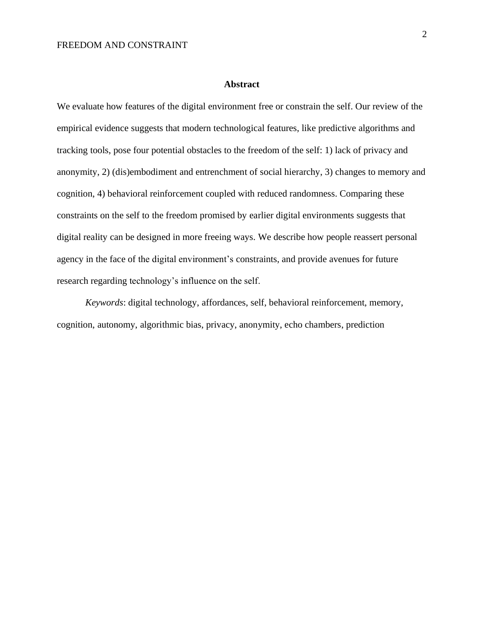### **Abstract**

We evaluate how features of the digital environment free or constrain the self. Our review of the empirical evidence suggests that modern technological features, like predictive algorithms and tracking tools, pose four potential obstacles to the freedom of the self: 1) lack of privacy and anonymity, 2) (dis)embodiment and entrenchment of social hierarchy, 3) changes to memory and cognition, 4) behavioral reinforcement coupled with reduced randomness. Comparing these constraints on the self to the freedom promised by earlier digital environments suggests that digital reality can be designed in more freeing ways. We describe how people reassert personal agency in the face of the digital environment's constraints, and provide avenues for future research regarding technology's influence on the self.

*Keywords*: digital technology, affordances, self, behavioral reinforcement, memory, cognition, autonomy, algorithmic bias, privacy, anonymity, echo chambers, prediction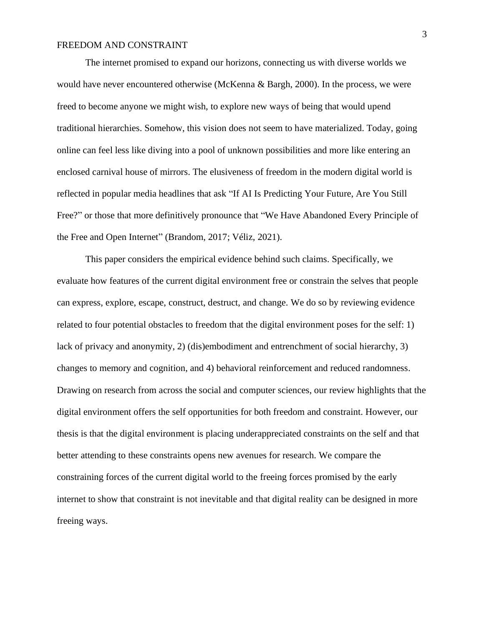The internet promised to expand our horizons, connecting us with diverse worlds we would have never encountered otherwise (McKenna & Bargh, 2000). In the process, we were freed to become anyone we might wish, to explore new ways of being that would upend traditional hierarchies. Somehow, this vision does not seem to have materialized. Today, going online can feel less like diving into a pool of unknown possibilities and more like entering an enclosed carnival house of mirrors. The elusiveness of freedom in the modern digital world is reflected in popular media headlines that ask "If AI Is Predicting Your Future, Are You Still Free?" or those that more definitively pronounce that "We Have Abandoned Every Principle of the Free and Open Internet" (Brandom, 2017; Véliz, 2021).

This paper considers the empirical evidence behind such claims. Specifically, we evaluate how features of the current digital environment free or constrain the selves that people can express, explore, escape, construct, destruct, and change. We do so by reviewing evidence related to four potential obstacles to freedom that the digital environment poses for the self: 1) lack of privacy and anonymity, 2) (dis)embodiment and entrenchment of social hierarchy, 3) changes to memory and cognition, and 4) behavioral reinforcement and reduced randomness. Drawing on research from across the social and computer sciences, our review highlights that the digital environment offers the self opportunities for both freedom and constraint. However, our thesis is that the digital environment is placing underappreciated constraints on the self and that better attending to these constraints opens new avenues for research. We compare the constraining forces of the current digital world to the freeing forces promised by the early internet to show that constraint is not inevitable and that digital reality can be designed in more freeing ways.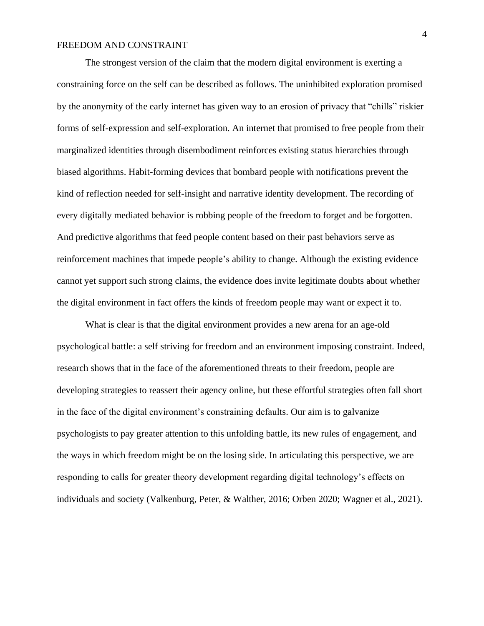The strongest version of the claim that the modern digital environment is exerting a constraining force on the self can be described as follows. The uninhibited exploration promised by the anonymity of the early internet has given way to an erosion of privacy that "chills" riskier forms of self-expression and self-exploration. An internet that promised to free people from their marginalized identities through disembodiment reinforces existing status hierarchies through biased algorithms. Habit-forming devices that bombard people with notifications prevent the kind of reflection needed for self-insight and narrative identity development. The recording of every digitally mediated behavior is robbing people of the freedom to forget and be forgotten. And predictive algorithms that feed people content based on their past behaviors serve as reinforcement machines that impede people's ability to change. Although the existing evidence cannot yet support such strong claims, the evidence does invite legitimate doubts about whether the digital environment in fact offers the kinds of freedom people may want or expect it to.

What is clear is that the digital environment provides a new arena for an age-old psychological battle: a self striving for freedom and an environment imposing constraint. Indeed, research shows that in the face of the aforementioned threats to their freedom, people are developing strategies to reassert their agency online, but these effortful strategies often fall short in the face of the digital environment's constraining defaults. Our aim is to galvanize psychologists to pay greater attention to this unfolding battle, its new rules of engagement, and the ways in which freedom might be on the losing side. In articulating this perspective, we are responding to calls for greater theory development regarding digital technology's effects on individuals and society (Valkenburg, Peter, & Walther, 2016; Orben 2020; Wagner et al., 2021).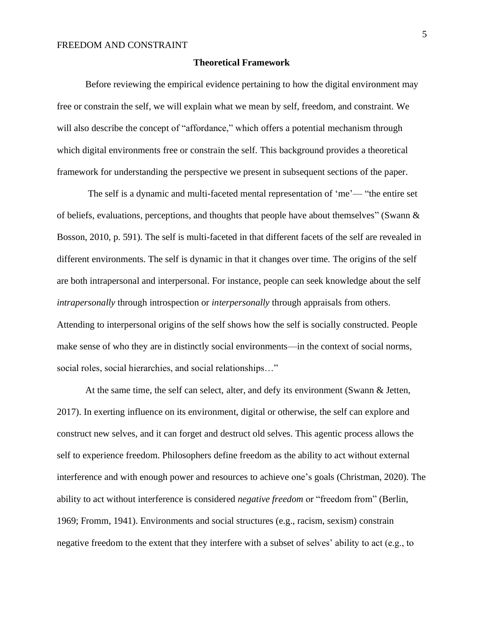#### **Theoretical Framework**

Before reviewing the empirical evidence pertaining to how the digital environment may free or constrain the self, we will explain what we mean by self, freedom, and constraint. We will also describe the concept of "affordance," which offers a potential mechanism through which digital environments free or constrain the self. This background provides a theoretical framework for understanding the perspective we present in subsequent sections of the paper.

The self is a dynamic and multi-faceted mental representation of 'me'— "the entire set of beliefs, evaluations, perceptions, and thoughts that people have about themselves" (Swann & Bosson, 2010, p. 591). The self is multi-faceted in that different facets of the self are revealed in different environments. The self is dynamic in that it changes over time. The origins of the self are both intrapersonal and interpersonal. For instance, people can seek knowledge about the self *intrapersonally* through introspection or *interpersonally* through appraisals from others. Attending to interpersonal origins of the self shows how the self is socially constructed. People make sense of who they are in distinctly social environments—in the context of social norms, social roles, social hierarchies, and social relationships…"

At the same time, the self can select, alter, and defy its environment (Swann & Jetten, 2017). In exerting influence on its environment, digital or otherwise, the self can explore and construct new selves, and it can forget and destruct old selves. This agentic process allows the self to experience freedom. Philosophers define freedom as the ability to act without external interference and with enough power and resources to achieve one's goals (Christman, 2020). The ability to act without interference is considered *negative freedom* or "freedom from" (Berlin, 1969; Fromm, 1941). Environments and social structures (e.g., racism, sexism) constrain negative freedom to the extent that they interfere with a subset of selves' ability to act (e.g., to

5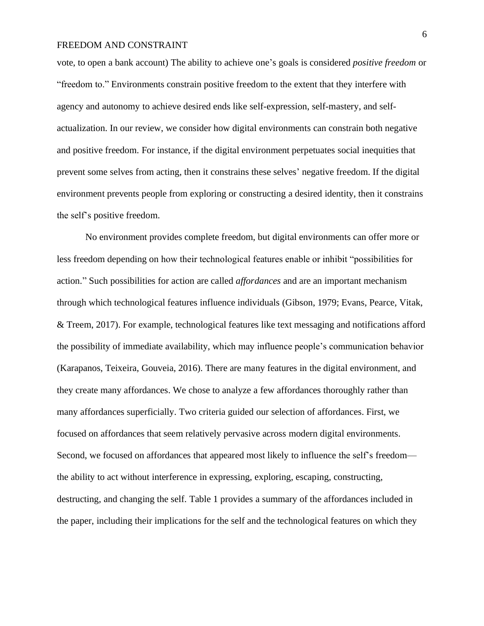vote, to open a bank account) The ability to achieve one's goals is considered *positive freedom* or "freedom to." Environments constrain positive freedom to the extent that they interfere with agency and autonomy to achieve desired ends like self-expression, self-mastery, and selfactualization. In our review, we consider how digital environments can constrain both negative and positive freedom. For instance, if the digital environment perpetuates social inequities that prevent some selves from acting, then it constrains these selves' negative freedom. If the digital environment prevents people from exploring or constructing a desired identity, then it constrains the self's positive freedom.

No environment provides complete freedom, but digital environments can offer more or less freedom depending on how their technological features enable or inhibit "possibilities for action." Such possibilities for action are called *affordances* and are an important mechanism through which technological features influence individuals (Gibson, 1979; Evans, Pearce, Vitak, & Treem, 2017). For example, technological features like text messaging and notifications afford the possibility of immediate availability, which may influence people's communication behavior (Karapanos, Teixeira, Gouveia, 2016). There are many features in the digital environment, and they create many affordances. We chose to analyze a few affordances thoroughly rather than many affordances superficially. Two criteria guided our selection of affordances. First, we focused on affordances that seem relatively pervasive across modern digital environments. Second, we focused on affordances that appeared most likely to influence the self's freedom the ability to act without interference in expressing, exploring, escaping, constructing, destructing, and changing the self. Table 1 provides a summary of the affordances included in the paper, including their implications for the self and the technological features on which they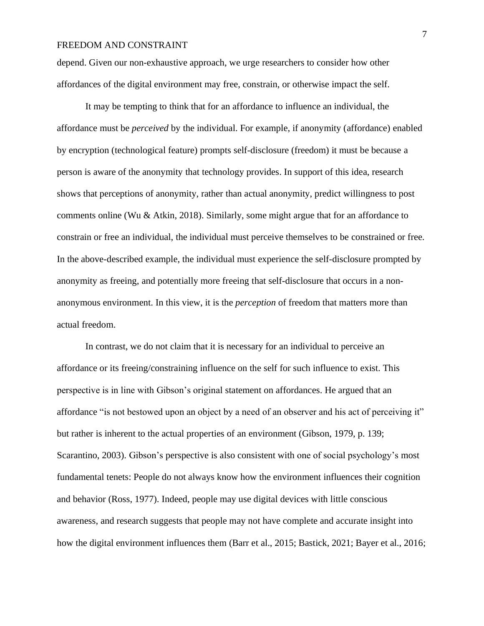depend. Given our non-exhaustive approach, we urge researchers to consider how other affordances of the digital environment may free, constrain, or otherwise impact the self.

It may be tempting to think that for an affordance to influence an individual, the affordance must be *perceived* by the individual. For example, if anonymity (affordance) enabled by encryption (technological feature) prompts self-disclosure (freedom) it must be because a person is aware of the anonymity that technology provides. In support of this idea, research shows that perceptions of anonymity, rather than actual anonymity, predict willingness to post comments online (Wu & Atkin, 2018). Similarly, some might argue that for an affordance to constrain or free an individual, the individual must perceive themselves to be constrained or free. In the above-described example, the individual must experience the self-disclosure prompted by anonymity as freeing, and potentially more freeing that self-disclosure that occurs in a nonanonymous environment. In this view, it is the *perception* of freedom that matters more than actual freedom.

In contrast, we do not claim that it is necessary for an individual to perceive an affordance or its freeing/constraining influence on the self for such influence to exist. This perspective is in line with Gibson's original statement on affordances. He argued that an affordance "is not bestowed upon an object by a need of an observer and his act of perceiving it" but rather is inherent to the actual properties of an environment (Gibson, 1979, p. 139; Scarantino, 2003). Gibson's perspective is also consistent with one of social psychology's most fundamental tenets: People do not always know how the environment influences their cognition and behavior (Ross, 1977). Indeed, people may use digital devices with little conscious awareness, and research suggests that people may not have complete and accurate insight into how the digital environment influences them (Barr et al., 2015; Bastick, 2021; Bayer et al., 2016;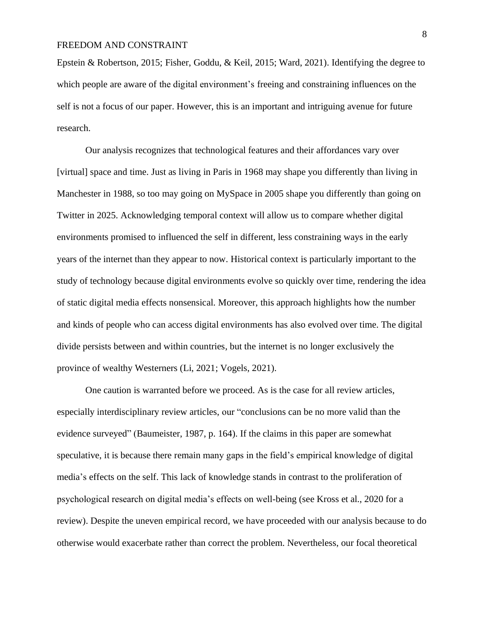Epstein & Robertson, 2015; Fisher, Goddu, & Keil, 2015; Ward, 2021). Identifying the degree to which people are aware of the digital environment's freeing and constraining influences on the self is not a focus of our paper. However, this is an important and intriguing avenue for future research.

Our analysis recognizes that technological features and their affordances vary over [virtual] space and time. Just as living in Paris in 1968 may shape you differently than living in Manchester in 1988, so too may going on MySpace in 2005 shape you differently than going on Twitter in 2025. Acknowledging temporal context will allow us to compare whether digital environments promised to influenced the self in different, less constraining ways in the early years of the internet than they appear to now. Historical context is particularly important to the study of technology because digital environments evolve so quickly over time, rendering the idea of static digital media effects nonsensical. Moreover, this approach highlights how the number and kinds of people who can access digital environments has also evolved over time. The digital divide persists between and within countries, but the internet is no longer exclusively the province of wealthy Westerners (Li, 2021; Vogels, 2021).

One caution is warranted before we proceed. As is the case for all review articles, especially interdisciplinary review articles, our "conclusions can be no more valid than the evidence surveyed" (Baumeister, 1987, p. 164). If the claims in this paper are somewhat speculative, it is because there remain many gaps in the field's empirical knowledge of digital media's effects on the self. This lack of knowledge stands in contrast to the proliferation of psychological research on digital media's effects on well-being (see Kross et al., 2020 for a review). Despite the uneven empirical record, we have proceeded with our analysis because to do otherwise would exacerbate rather than correct the problem. Nevertheless, our focal theoretical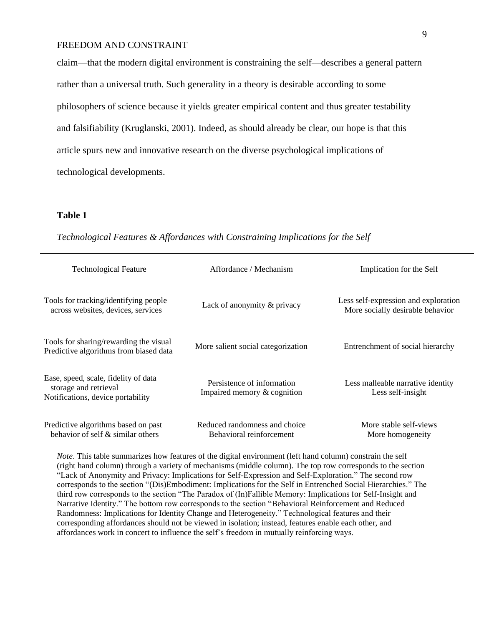claim—that the modern digital environment is constraining the self—describes a general pattern rather than a universal truth. Such generality in a theory is desirable according to some philosophers of science because it yields greater empirical content and thus greater testability and falsifiability (Kruglanski, 2001). Indeed, as should already be clear, our hope is that this article spurs new and innovative research on the diverse psychological implications of technological developments.

## **Table 1**

| <b>Technological Feature</b>                                                                       | Affordance / Mechanism                                    | Implication for the Self                                                 |
|----------------------------------------------------------------------------------------------------|-----------------------------------------------------------|--------------------------------------------------------------------------|
| Tools for tracking/identifying people<br>across websites, devices, services                        | Lack of anonymity & privacy                               | Less self-expression and exploration<br>More socially desirable behavior |
| Tools for sharing/rewarding the visual<br>Predictive algorithms from biased data                   | More salient social categorization                        | Entrenchment of social hierarchy                                         |
| Ease, speed, scale, fidelity of data<br>storage and retrieval<br>Notifications, device portability | Persistence of information<br>Impaired memory & cognition | Less malleable narrative identity<br>Less self-insight                   |
| Predictive algorithms based on past<br>behavior of self $\&$ similar others                        | Reduced randomness and choice<br>Behavioral reinforcement | More stable self-views<br>More homogeneity                               |

*Technological Features & Affordances with Constraining Implications for the Self*

*Note*. This table summarizes how features of the digital environment (left hand column) constrain the self (right hand column) through a variety of mechanisms (middle column). The top row corresponds to the section "Lack of Anonymity and Privacy: Implications for Self-Expression and Self-Exploration." The second row corresponds to the section "(Dis)Embodiment: Implications for the Self in Entrenched Social Hierarchies." The third row corresponds to the section "The Paradox of (In)Fallible Memory: Implications for Self-Insight and Narrative Identity." The bottom row corresponds to the section "Behavioral Reinforcement and Reduced Randomness: Implications for Identity Change and Heterogeneity." Technological features and their corresponding affordances should not be viewed in isolation; instead, features enable each other, and affordances work in concert to influence the self's freedom in mutually reinforcing ways.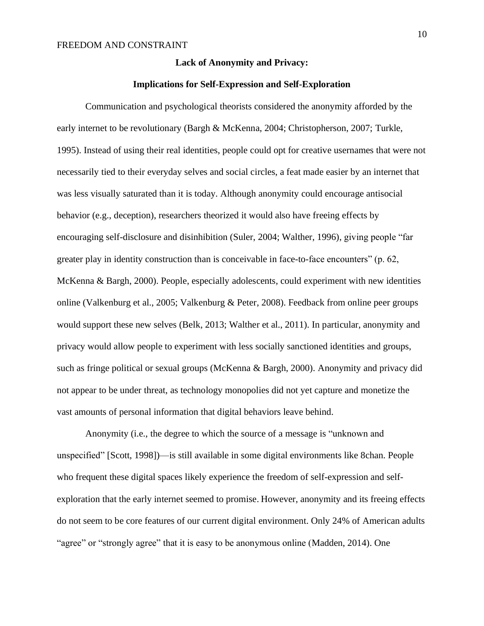### **Lack of Anonymity and Privacy:**

#### **Implications for Self-Expression and Self-Exploration**

Communication and psychological theorists considered the anonymity afforded by the early internet to be revolutionary (Bargh & McKenna, 2004; Christopherson, 2007; Turkle, 1995). Instead of using their real identities, people could opt for creative usernames that were not necessarily tied to their everyday selves and social circles, a feat made easier by an internet that was less visually saturated than it is today. Although anonymity could encourage antisocial behavior (e.g., deception), researchers theorized it would also have freeing effects by encouraging self-disclosure and disinhibition (Suler, 2004; Walther, 1996), giving people "far greater play in identity construction than is conceivable in face-to-face encounters" (p. 62, McKenna & Bargh, 2000). People, especially adolescents, could experiment with new identities online (Valkenburg et al., 2005; Valkenburg & Peter, 2008). Feedback from online peer groups would support these new selves (Belk, 2013; Walther et al., 2011). In particular, anonymity and privacy would allow people to experiment with less socially sanctioned identities and groups, such as fringe political or sexual groups (McKenna & Bargh, 2000). Anonymity and privacy did not appear to be under threat, as technology monopolies did not yet capture and monetize the vast amounts of personal information that digital behaviors leave behind.

Anonymity (i.e., the degree to which the source of a message is "unknown and unspecified" [Scott, 1998])—is still available in some digital environments like 8chan. People who frequent these digital spaces likely experience the freedom of self-expression and selfexploration that the early internet seemed to promise. However, anonymity and its freeing effects do not seem to be core features of our current digital environment. Only 24% of American adults "agree" or "strongly agree" that it is easy to be anonymous online (Madden, 2014). One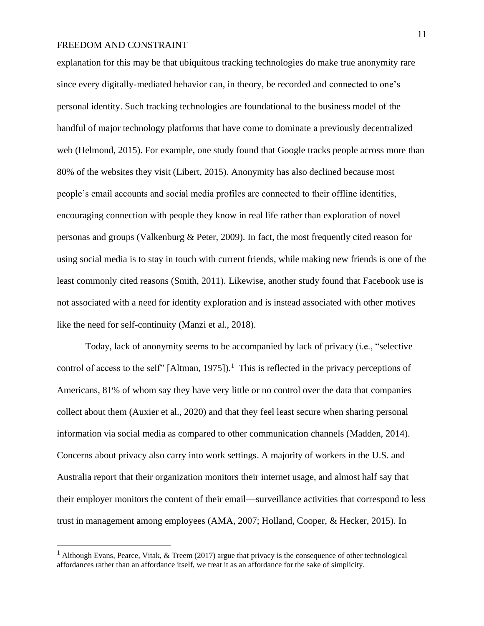explanation for this may be that ubiquitous tracking technologies do make true anonymity rare since every digitally-mediated behavior can, in theory, be recorded and connected to one's personal identity. Such tracking technologies are foundational to the business model of the handful of major technology platforms that have come to dominate a previously decentralized web (Helmond, 2015). For example, one study found that Google tracks people across more than 80% of the websites they visit (Libert, 2015). Anonymity has also declined because most people's email accounts and social media profiles are connected to their offline identities, encouraging connection with people they know in real life rather than exploration of novel personas and groups (Valkenburg & Peter, 2009). In fact, the most frequently cited reason for using social media is to stay in touch with current friends, while making new friends is one of the least commonly cited reasons (Smith, 2011). Likewise, another study found that Facebook use is not associated with a need for identity exploration and is instead associated with other motives like the need for self-continuity (Manzi et al., 2018).

Today, lack of anonymity seems to be accompanied by lack of privacy (i.e., "selective control of access to the self" [Altman, 1975]). <sup>1</sup> This is reflected in the privacy perceptions of Americans, 81% of whom say they have very little or no control over the data that companies collect about them (Auxier et al., 2020) and that they feel least secure when sharing personal information via social media as compared to other communication channels (Madden, 2014). Concerns about privacy also carry into work settings. A majority of workers in the U.S. and Australia report that their organization monitors their internet usage, and almost half say that their employer monitors the content of their email—surveillance activities that correspond to less trust in management among employees (AMA, 2007; Holland, Cooper, & Hecker, 2015). In

<sup>1</sup> Although Evans, Pearce, Vitak, & Treem (2017) argue that privacy is the consequence of other technological affordances rather than an affordance itself, we treat it as an affordance for the sake of simplicity.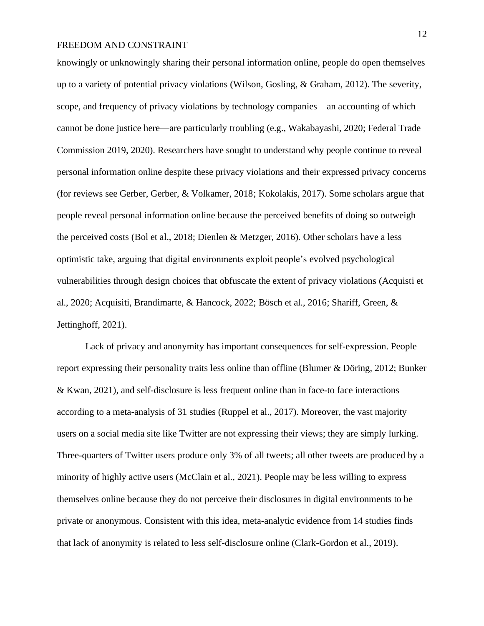knowingly or unknowingly sharing their personal information online, people do open themselves up to a variety of potential privacy violations (Wilson, Gosling, & Graham, 2012). The severity, scope, and frequency of privacy violations by technology companies—an accounting of which cannot be done justice here—are particularly troubling (e.g., Wakabayashi, 2020; Federal Trade Commission 2019, 2020). Researchers have sought to understand why people continue to reveal personal information online despite these privacy violations and their expressed privacy concerns (for reviews see Gerber, Gerber, & Volkamer, 2018; Kokolakis, 2017). Some scholars argue that people reveal personal information online because the perceived benefits of doing so outweigh the perceived costs (Bol et al., 2018; Dienlen & Metzger, 2016). Other scholars have a less optimistic take, arguing that digital environments exploit people's evolved psychological vulnerabilities through design choices that obfuscate the extent of privacy violations (Acquisti et al., 2020; Acquisiti, Brandimarte, & Hancock, 2022; Bösch et al., 2016; Shariff, Green, & Jettinghoff, 2021).

Lack of privacy and anonymity has important consequences for self-expression. People report expressing their personality traits less online than offline (Blumer & Döring, 2012; Bunker & Kwan, 2021), and self-disclosure is less frequent online than in face-to face interactions according to a meta-analysis of 31 studies (Ruppel et al., 2017). Moreover, the vast majority users on a social media site like Twitter are not expressing their views; they are simply lurking. Three-quarters of Twitter users produce only 3% of all tweets; all other tweets are produced by a minority of highly active users (McClain et al., 2021). People may be less willing to express themselves online because they do not perceive their disclosures in digital environments to be private or anonymous. Consistent with this idea, meta-analytic evidence from 14 studies finds that lack of anonymity is related to less self-disclosure online (Clark-Gordon et al., 2019).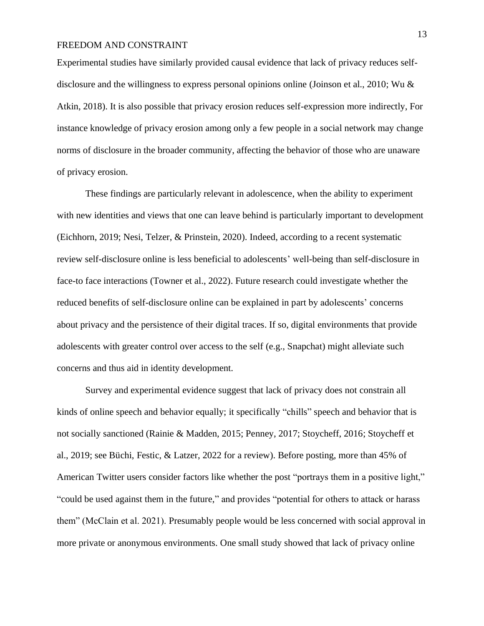Experimental studies have similarly provided causal evidence that lack of privacy reduces selfdisclosure and the willingness to express personal opinions online (Joinson et al., 2010; Wu & Atkin, 2018). It is also possible that privacy erosion reduces self-expression more indirectly, For instance knowledge of privacy erosion among only a few people in a social network may change norms of disclosure in the broader community, affecting the behavior of those who are unaware of privacy erosion.

These findings are particularly relevant in adolescence, when the ability to experiment with new identities and views that one can leave behind is particularly important to development (Eichhorn, 2019; Nesi, Telzer, & Prinstein, 2020). Indeed, according to a recent systematic review self-disclosure online is less beneficial to adolescents' well-being than self-disclosure in face-to face interactions (Towner et al., 2022). Future research could investigate whether the reduced benefits of self-disclosure online can be explained in part by adolescents' concerns about privacy and the persistence of their digital traces. If so, digital environments that provide adolescents with greater control over access to the self (e.g., Snapchat) might alleviate such concerns and thus aid in identity development.

Survey and experimental evidence suggest that lack of privacy does not constrain all kinds of online speech and behavior equally; it specifically "chills" speech and behavior that is not socially sanctioned (Rainie & Madden, 2015; Penney, 2017; Stoycheff, 2016; Stoycheff et al., 2019; see Büchi, Festic, & Latzer, 2022 for a review). Before posting, more than 45% of American Twitter users consider factors like whether the post "portrays them in a positive light," "could be used against them in the future," and provides "potential for others to attack or harass them" (McClain et al. 2021). Presumably people would be less concerned with social approval in more private or anonymous environments. One small study showed that lack of privacy online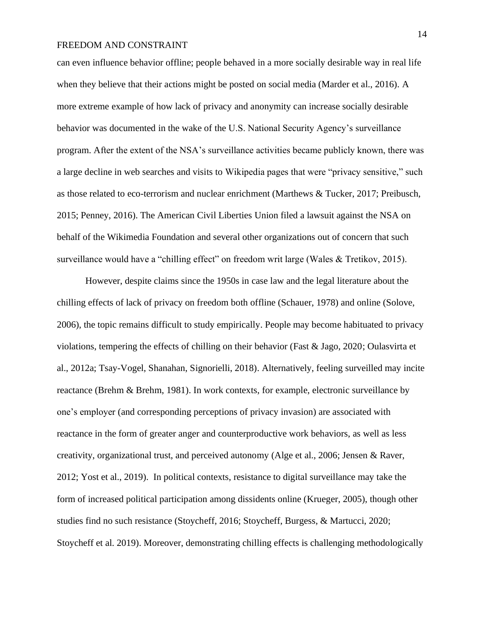can even influence behavior offline; people behaved in a more socially desirable way in real life when they believe that their actions might be posted on social media (Marder et al., 2016). A more extreme example of how lack of privacy and anonymity can increase socially desirable behavior was documented in the wake of the U.S. National Security Agency's surveillance program. After the extent of the NSA's surveillance activities became publicly known, there was a large decline in web searches and visits to Wikipedia pages that were "privacy sensitive," such as those related to eco-terrorism and nuclear enrichment (Marthews & Tucker, 2017; Preibusch, 2015; Penney, 2016). The American Civil Liberties Union filed a lawsuit against the NSA on behalf of the Wikimedia Foundation and several other organizations out of concern that such surveillance would have a "chilling effect" on freedom writ large (Wales & Tretikov, 2015).

However, despite claims since the 1950s in case law and the legal literature about the chilling effects of lack of privacy on freedom both offline (Schauer, 1978) and online (Solove, 2006), the topic remains difficult to study empirically. People may become habituated to privacy violations, tempering the effects of chilling on their behavior (Fast & Jago, 2020; Oulasvirta et al., 2012a; Tsay-Vogel, Shanahan, Signorielli, 2018). Alternatively, feeling surveilled may incite reactance (Brehm & Brehm, 1981). In work contexts, for example, electronic surveillance by one's employer (and corresponding perceptions of privacy invasion) are associated with reactance in the form of greater anger and counterproductive work behaviors, as well as less creativity, organizational trust, and perceived autonomy (Alge et al., 2006; Jensen & Raver, 2012; Yost et al., 2019). In political contexts, resistance to digital surveillance may take the form of increased political participation among dissidents online (Krueger, 2005), though other studies find no such resistance (Stoycheff, 2016; Stoycheff, Burgess, & Martucci, 2020; Stoycheff et al. 2019). Moreover, demonstrating chilling effects is challenging methodologically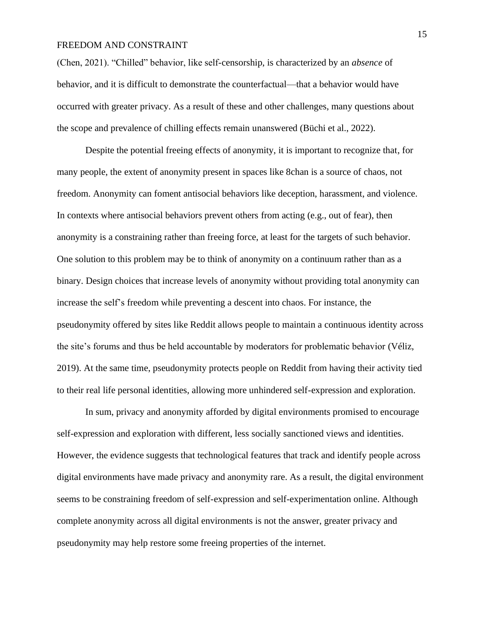(Chen, 2021). "Chilled" behavior, like self-censorship, is characterized by an *absence* of behavior, and it is difficult to demonstrate the counterfactual—that a behavior would have occurred with greater privacy. As a result of these and other challenges, many questions about the scope and prevalence of chilling effects remain unanswered (Büchi et al., 2022).

Despite the potential freeing effects of anonymity, it is important to recognize that, for many people, the extent of anonymity present in spaces like 8chan is a source of chaos, not freedom. Anonymity can foment antisocial behaviors like deception, harassment, and violence. In contexts where antisocial behaviors prevent others from acting (e.g., out of fear), then anonymity is a constraining rather than freeing force, at least for the targets of such behavior. One solution to this problem may be to think of anonymity on a continuum rather than as a binary. Design choices that increase levels of anonymity without providing total anonymity can increase the self's freedom while preventing a descent into chaos. For instance, the pseudonymity offered by sites like Reddit allows people to maintain a continuous identity across the site's forums and thus be held accountable by moderators for problematic behavior (Véliz, 2019). At the same time, pseudonymity protects people on Reddit from having their activity tied to their real life personal identities, allowing more unhindered self-expression and exploration.

In sum, privacy and anonymity afforded by digital environments promised to encourage self-expression and exploration with different, less socially sanctioned views and identities. However, the evidence suggests that technological features that track and identify people across digital environments have made privacy and anonymity rare. As a result, the digital environment seems to be constraining freedom of self-expression and self-experimentation online. Although complete anonymity across all digital environments is not the answer, greater privacy and pseudonymity may help restore some freeing properties of the internet.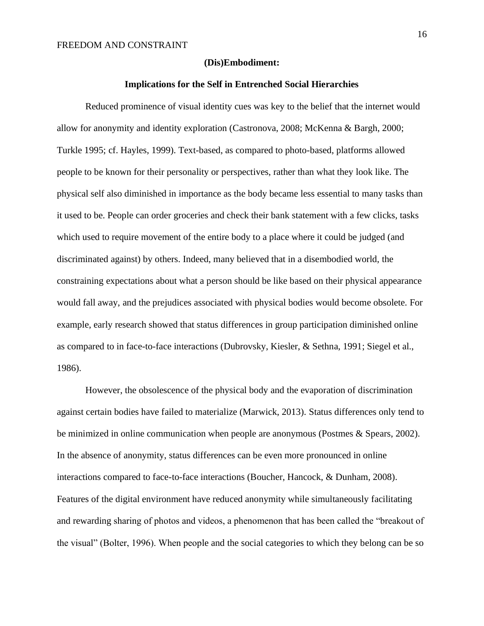#### **(Dis)Embodiment:**

#### **Implications for the Self in Entrenched Social Hierarchies**

Reduced prominence of visual identity cues was key to the belief that the internet would allow for anonymity and identity exploration (Castronova, 2008; McKenna & Bargh, 2000; Turkle 1995; cf. Hayles, 1999). Text-based, as compared to photo-based, platforms allowed people to be known for their personality or perspectives, rather than what they look like. The physical self also diminished in importance as the body became less essential to many tasks than it used to be. People can order groceries and check their bank statement with a few clicks, tasks which used to require movement of the entire body to a place where it could be judged (and discriminated against) by others. Indeed, many believed that in a disembodied world, the constraining expectations about what a person should be like based on their physical appearance would fall away, and the prejudices associated with physical bodies would become obsolete. For example, early research showed that status differences in group participation diminished online as compared to in face-to-face interactions (Dubrovsky, Kiesler, & Sethna, 1991; Siegel et al., 1986).

However, the obsolescence of the physical body and the evaporation of discrimination against certain bodies have failed to materialize (Marwick, 2013). Status differences only tend to be minimized in online communication when people are anonymous (Postmes & Spears, 2002). In the absence of anonymity, status differences can be even more pronounced in online interactions compared to face-to-face interactions (Boucher, Hancock, & Dunham, 2008). Features of the digital environment have reduced anonymity while simultaneously facilitating and rewarding sharing of photos and videos, a phenomenon that has been called the "breakout of the visual" (Bolter, 1996). When people and the social categories to which they belong can be so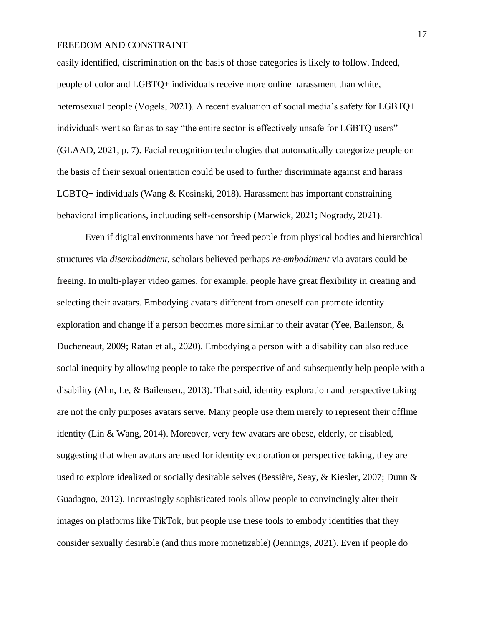easily identified, discrimination on the basis of those categories is likely to follow. Indeed, people of color and LGBTQ+ individuals receive more online harassment than white, heterosexual people (Vogels, 2021). A recent evaluation of social media's safety for LGBTO+ individuals went so far as to say "the entire sector is effectively unsafe for LGBTQ users" (GLAAD, 2021, p. 7). Facial recognition technologies that automatically categorize people on the basis of their sexual orientation could be used to further discriminate against and harass LGBTQ+ individuals (Wang & Kosinski, 2018). Harassment has important constraining behavioral implications, incluuding self-censorship (Marwick, 2021; Nogrady, 2021).

Even if digital environments have not freed people from physical bodies and hierarchical structures via *disembodiment*, scholars believed perhaps *re-embodiment* via avatars could be freeing. In multi-player video games, for example, people have great flexibility in creating and selecting their avatars. Embodying avatars different from oneself can promote identity exploration and change if a person becomes more similar to their avatar (Yee, Bailenson, & Ducheneaut, 2009; Ratan et al., 2020). Embodying a person with a disability can also reduce social inequity by allowing people to take the perspective of and subsequently help people with a disability (Ahn, Le, & Bailensen., 2013). That said, identity exploration and perspective taking are not the only purposes avatars serve. Many people use them merely to represent their offline identity (Lin & Wang, 2014). Moreover, very few avatars are obese, elderly, or disabled, suggesting that when avatars are used for identity exploration or perspective taking, they are used to explore idealized or socially desirable selves (Bessière, Seay, & Kiesler, 2007; Dunn & Guadagno, 2012). Increasingly sophisticated tools allow people to convincingly alter their images on platforms like TikTok, but people use these tools to embody identities that they consider sexually desirable (and thus more monetizable) (Jennings, 2021). Even if people do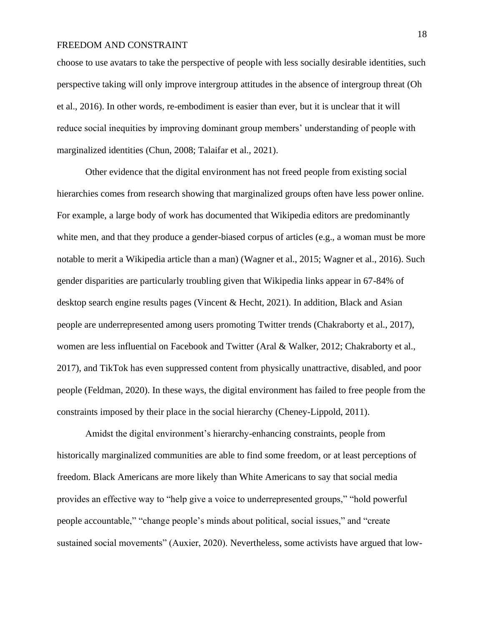choose to use avatars to take the perspective of people with less socially desirable identities, such perspective taking will only improve intergroup attitudes in the absence of intergroup threat (Oh et al., 2016). In other words, re-embodiment is easier than ever, but it is unclear that it will reduce social inequities by improving dominant group members' understanding of people with marginalized identities (Chun, 2008; Talaifar et al., 2021).

Other evidence that the digital environment has not freed people from existing social hierarchies comes from research showing that marginalized groups often have less power online. For example, a large body of work has documented that Wikipedia editors are predominantly white men, and that they produce a gender-biased corpus of articles (e.g., a woman must be more notable to merit a Wikipedia article than a man) (Wagner et al., 2015; Wagner et al., 2016). Such gender disparities are particularly troubling given that Wikipedia links appear in 67-84% of desktop search engine results pages (Vincent & Hecht, 2021). In addition, Black and Asian people are underrepresented among users promoting Twitter trends (Chakraborty et al., 2017), women are less influential on Facebook and Twitter (Aral & Walker, 2012; Chakraborty et al., 2017), and TikTok has even suppressed content from physically unattractive, disabled, and poor people (Feldman, 2020). In these ways, the digital environment has failed to free people from the constraints imposed by their place in the social hierarchy (Cheney-Lippold, 2011).

Amidst the digital environment's hierarchy-enhancing constraints, people from historically marginalized communities are able to find some freedom, or at least perceptions of freedom. Black Americans are more likely than White Americans to say that social media provides an effective way to "help give a voice to underrepresented groups," "hold powerful people accountable," "change people's minds about political, social issues," and "create sustained social movements" (Auxier, 2020). Nevertheless, some activists have argued that low-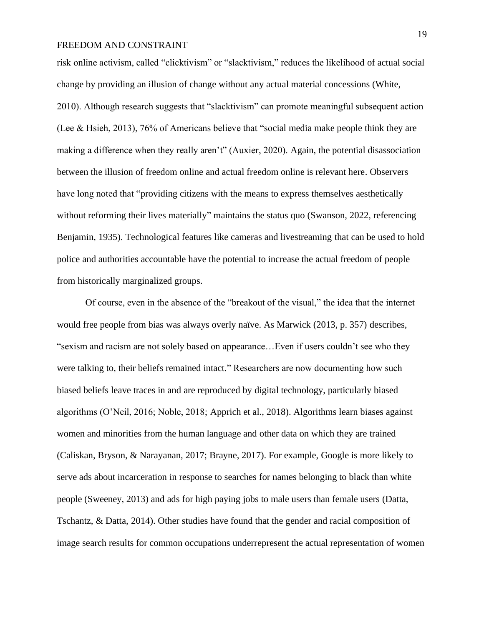risk online activism, called "clicktivism" or "slacktivism," reduces the likelihood of actual social change by providing an illusion of change without any actual material concessions (White, 2010). Although research suggests that "slacktivism" can promote meaningful subsequent action (Lee & Hsieh, 2013), 76% of Americans believe that "social media make people think they are making a difference when they really aren't" (Auxier, 2020). Again, the potential disassociation between the illusion of freedom online and actual freedom online is relevant here. Observers have long noted that "providing citizens with the means to express themselves aesthetically without reforming their lives materially" maintains the status quo (Swanson, 2022, referencing Benjamin, 1935). Technological features like cameras and livestreaming that can be used to hold police and authorities accountable have the potential to increase the actual freedom of people from historically marginalized groups.

Of course, even in the absence of the "breakout of the visual," the idea that the internet would free people from bias was always overly naïve. As Marwick (2013, p. 357) describes, "sexism and racism are not solely based on appearance…Even if users couldn't see who they were talking to, their beliefs remained intact*.*" Researchers are now documenting how such biased beliefs leave traces in and are reproduced by digital technology, particularly biased algorithms (O'Neil, 2016; Noble, 2018; Apprich et al., 2018). Algorithms learn biases against women and minorities from the human language and other data on which they are trained (Caliskan, Bryson, & Narayanan, 2017; Brayne, 2017). For example, Google is more likely to serve ads about incarceration in response to searches for names belonging to black than white people (Sweeney, 2013) and ads for high paying jobs to male users than female users (Datta, Tschantz, & Datta, 2014). Other studies have found that the gender and racial composition of image search results for common occupations underrepresent the actual representation of women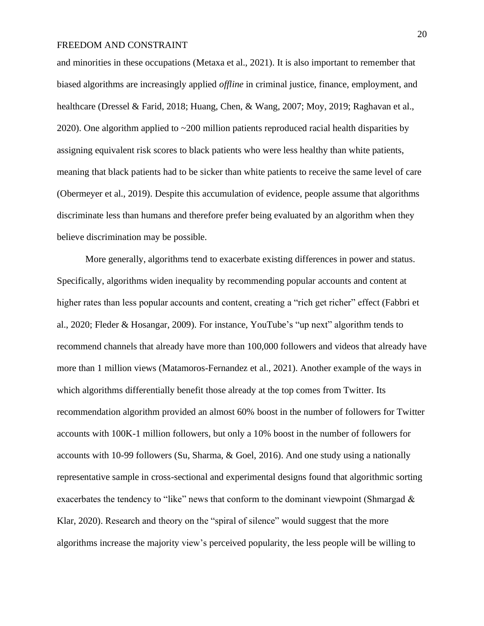and minorities in these occupations (Metaxa et al., 2021). It is also important to remember that biased algorithms are increasingly applied *offline* in criminal justice, finance, employment, and healthcare (Dressel & Farid, 2018; Huang, Chen, & Wang, 2007; Moy, 2019; Raghavan et al., 2020). One algorithm applied to ~200 million patients reproduced racial health disparities by assigning equivalent risk scores to black patients who were less healthy than white patients, meaning that black patients had to be sicker than white patients to receive the same level of care (Obermeyer et al., 2019). Despite this accumulation of evidence, people assume that algorithms discriminate less than humans and therefore prefer being evaluated by an algorithm when they believe discrimination may be possible.

More generally, algorithms tend to exacerbate existing differences in power and status. Specifically, algorithms widen inequality by recommending popular accounts and content at higher rates than less popular accounts and content, creating a "rich get richer" effect (Fabbri et al., 2020; Fleder & Hosangar, 2009). For instance, YouTube's "up next" algorithm tends to recommend channels that already have more than 100,000 followers and videos that already have more than 1 million views (Matamoros-Fernandez et al., 2021). Another example of the ways in which algorithms differentially benefit those already at the top comes from Twitter. Its recommendation algorithm provided an almost 60% boost in the number of followers for Twitter accounts with 100K-1 million followers, but only a 10% boost in the number of followers for accounts with 10-99 followers (Su, Sharma, & Goel, 2016). And one study using a nationally representative sample in cross-sectional and experimental designs found that algorithmic sorting exacerbates the tendency to "like" news that conform to the dominant viewpoint (Shmargad  $\&$ Klar, 2020). Research and theory on the "spiral of silence" would suggest that the more algorithms increase the majority view's perceived popularity, the less people will be willing to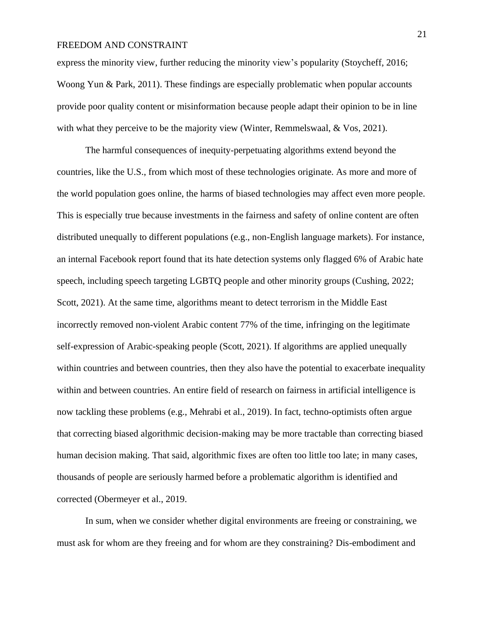express the minority view, further reducing the minority view's popularity (Stoycheff, 2016; Woong Yun & Park, 2011). These findings are especially problematic when popular accounts provide poor quality content or misinformation because people adapt their opinion to be in line with what they perceive to be the majority view (Winter, Remmelswaal, & Vos, 2021).

The harmful consequences of inequity-perpetuating algorithms extend beyond the countries, like the U.S., from which most of these technologies originate. As more and more of the world population goes online, the harms of biased technologies may affect even more people. This is especially true because investments in the fairness and safety of online content are often distributed unequally to different populations (e.g., non-English language markets). For instance, an internal Facebook report found that its hate detection systems only flagged 6% of Arabic hate speech, including speech targeting LGBTQ people and other minority groups (Cushing, 2022; Scott, 2021). At the same time, algorithms meant to detect terrorism in the Middle East incorrectly removed non-violent Arabic content 77% of the time, infringing on the legitimate self-expression of Arabic-speaking people (Scott, 2021). If algorithms are applied unequally within countries and between countries, then they also have the potential to exacerbate inequality within and between countries. An entire field of research on fairness in artificial intelligence is now tackling these problems (e.g., Mehrabi et al., 2019). In fact, techno-optimists often argue that correcting biased algorithmic decision-making may be more tractable than correcting biased human decision making. That said, algorithmic fixes are often too little too late; in many cases, thousands of people are seriously harmed before a problematic algorithm is identified and corrected (Obermeyer et al., 2019.

In sum, when we consider whether digital environments are freeing or constraining, we must ask for whom are they freeing and for whom are they constraining? Dis-embodiment and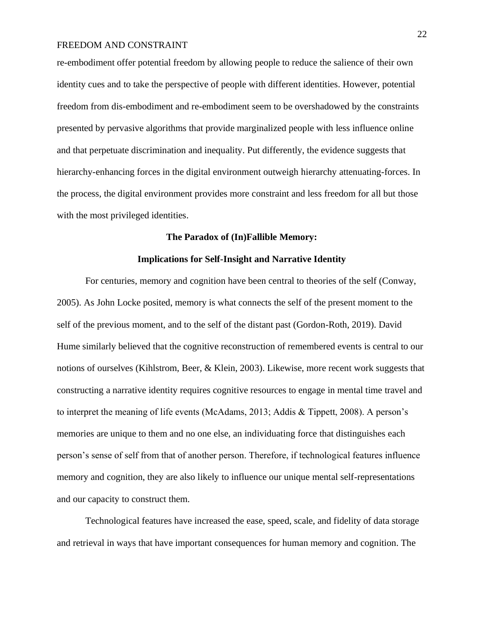re-embodiment offer potential freedom by allowing people to reduce the salience of their own identity cues and to take the perspective of people with different identities. However, potential freedom from dis-embodiment and re-embodiment seem to be overshadowed by the constraints presented by pervasive algorithms that provide marginalized people with less influence online and that perpetuate discrimination and inequality. Put differently, the evidence suggests that hierarchy-enhancing forces in the digital environment outweigh hierarchy attenuating-forces. In the process, the digital environment provides more constraint and less freedom for all but those with the most privileged identities.

## **The Paradox of (In)Fallible Memory:**

## **Implications for Self-Insight and Narrative Identity**

For centuries, memory and cognition have been central to theories of the self (Conway, 2005). As John Locke posited, memory is what connects the self of the present moment to the self of the previous moment, and to the self of the distant past (Gordon-Roth, 2019). David Hume similarly believed that the cognitive reconstruction of remembered events is central to our notions of ourselves (Kihlstrom, Beer, & Klein, 2003). Likewise, more recent work suggests that constructing a narrative identity requires cognitive resources to engage in mental time travel and to interpret the meaning of life events (McAdams, 2013; Addis & Tippett, 2008). A person's memories are unique to them and no one else, an individuating force that distinguishes each person's sense of self from that of another person. Therefore, if technological features influence memory and cognition, they are also likely to influence our unique mental self-representations and our capacity to construct them.

Technological features have increased the ease, speed, scale, and fidelity of data storage and retrieval in ways that have important consequences for human memory and cognition. The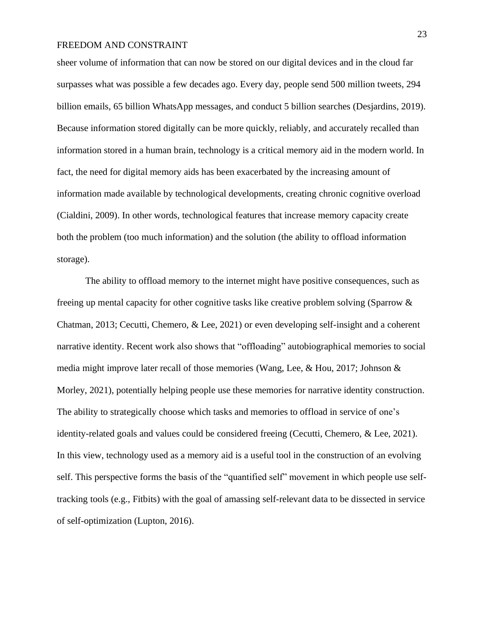sheer volume of information that can now be stored on our digital devices and in the cloud far surpasses what was possible a few decades ago. Every day, people send 500 million tweets, 294 billion emails, 65 billion WhatsApp messages, and conduct 5 billion searches (Desjardins, 2019). Because information stored digitally can be more quickly, reliably, and accurately recalled than information stored in a human brain, technology is a critical memory aid in the modern world. In fact, the need for digital memory aids has been exacerbated by the increasing amount of information made available by technological developments, creating chronic cognitive overload (Cialdini, 2009). In other words, technological features that increase memory capacity create both the problem (too much information) and the solution (the ability to offload information storage).

The ability to offload memory to the internet might have positive consequences, such as freeing up mental capacity for other cognitive tasks like creative problem solving (Sparrow & Chatman, 2013; Cecutti, Chemero, & Lee, 2021) or even developing self-insight and a coherent narrative identity. Recent work also shows that "offloading" autobiographical memories to social media might improve later recall of those memories (Wang, Lee, & Hou, 2017; Johnson & Morley, 2021), potentially helping people use these memories for narrative identity construction. The ability to strategically choose which tasks and memories to offload in service of one's identity-related goals and values could be considered freeing (Cecutti, Chemero, & Lee, 2021). In this view, technology used as a memory aid is a useful tool in the construction of an evolving self. This perspective forms the basis of the "quantified self" movement in which people use selftracking tools (e.g., Fitbits) with the goal of amassing self-relevant data to be dissected in service of self-optimization (Lupton, 2016).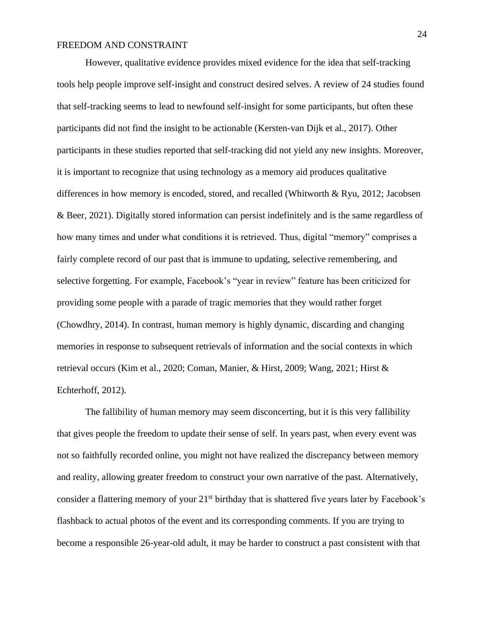However, qualitative evidence provides mixed evidence for the idea that self-tracking tools help people improve self-insight and construct desired selves. A review of 24 studies found that self-tracking seems to lead to newfound self-insight for some participants, but often these participants did not find the insight to be actionable (Kersten-van Dijk et al., 2017). Other participants in these studies reported that self-tracking did not yield any new insights. Moreover, it is important to recognize that using technology as a memory aid produces qualitative differences in how memory is encoded, stored, and recalled (Whitworth & Ryu, 2012; Jacobsen & Beer, 2021). Digitally stored information can persist indefinitely and is the same regardless of how many times and under what conditions it is retrieved. Thus, digital "memory" comprises a fairly complete record of our past that is immune to updating, selective remembering, and selective forgetting. For example, Facebook's "year in review" feature has been criticized for providing some people with a parade of tragic memories that they would rather forget (Chowdhry, 2014). In contrast, human memory is highly dynamic, discarding and changing memories in response to subsequent retrievals of information and the social contexts in which retrieval occurs (Kim et al., 2020; Coman, Manier, & Hirst, 2009; Wang, 2021; Hirst & Echterhoff, 2012).

The fallibility of human memory may seem disconcerting, but it is this very fallibility that gives people the freedom to update their sense of self. In years past, when every event was not so faithfully recorded online, you might not have realized the discrepancy between memory and reality, allowing greater freedom to construct your own narrative of the past. Alternatively, consider a flattering memory of your  $21<sup>st</sup>$  birthday that is shattered five years later by Facebook's flashback to actual photos of the event and its corresponding comments. If you are trying to become a responsible 26-year-old adult, it may be harder to construct a past consistent with that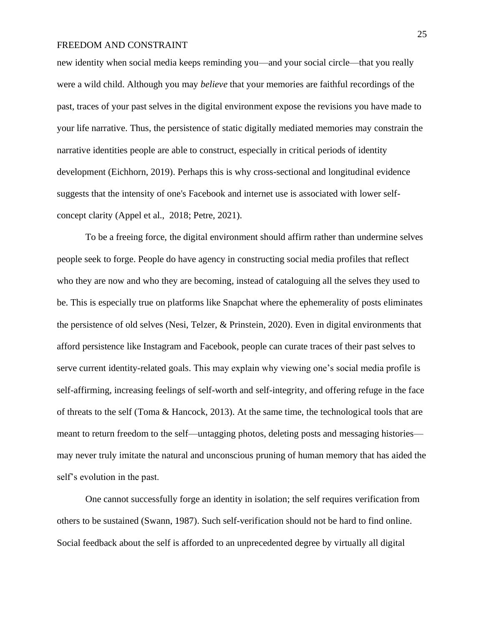new identity when social media keeps reminding you—and your social circle—that you really were a wild child. Although you may *believe* that your memories are faithful recordings of the past, traces of your past selves in the digital environment expose the revisions you have made to your life narrative. Thus, the persistence of static digitally mediated memories may constrain the narrative identities people are able to construct, especially in critical periods of identity development (Eichhorn, 2019). Perhaps this is why cross-sectional and longitudinal evidence suggests that the intensity of one's Facebook and internet use is associated with lower selfconcept clarity (Appel et al., 2018; Petre, 2021).

To be a freeing force, the digital environment should affirm rather than undermine selves people seek to forge. People do have agency in constructing social media profiles that reflect who they are now and who they are becoming, instead of cataloguing all the selves they used to be. This is especially true on platforms like Snapchat where the ephemerality of posts eliminates the persistence of old selves (Nesi, Telzer, & Prinstein, 2020). Even in digital environments that afford persistence like Instagram and Facebook, people can curate traces of their past selves to serve current identity-related goals. This may explain why viewing one's social media profile is self-affirming, increasing feelings of self-worth and self-integrity, and offering refuge in the face of threats to the self (Toma & Hancock, 2013). At the same time, the technological tools that are meant to return freedom to the self—untagging photos, deleting posts and messaging histories may never truly imitate the natural and unconscious pruning of human memory that has aided the self's evolution in the past.

One cannot successfully forge an identity in isolation; the self requires verification from others to be sustained (Swann, 1987). Such self-verification should not be hard to find online. Social feedback about the self is afforded to an unprecedented degree by virtually all digital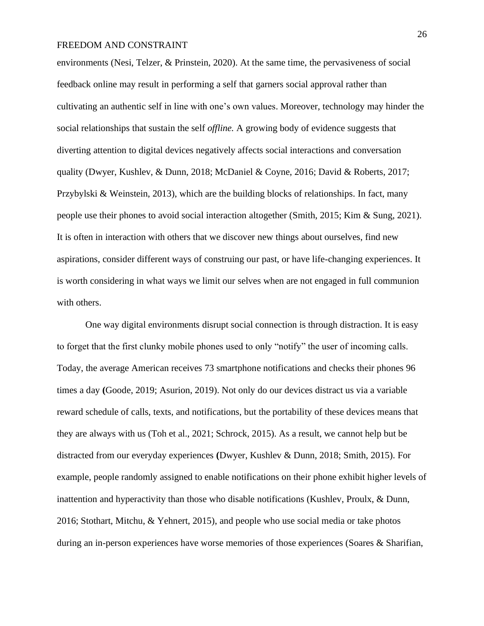environments (Nesi, Telzer, & Prinstein, 2020). At the same time, the pervasiveness of social feedback online may result in performing a self that garners social approval rather than cultivating an authentic self in line with one's own values. Moreover, technology may hinder the social relationships that sustain the self *offline.* A growing body of evidence suggests that diverting attention to digital devices negatively affects social interactions and conversation quality (Dwyer, Kushlev, & Dunn, 2018; McDaniel & Coyne, 2016; David & Roberts, 2017; Przybylski & Weinstein, 2013), which are the building blocks of relationships. In fact, many people use their phones to avoid social interaction altogether (Smith, 2015; Kim & Sung, 2021). It is often in interaction with others that we discover new things about ourselves, find new aspirations, consider different ways of construing our past, or have life-changing experiences. It is worth considering in what ways we limit our selves when are not engaged in full communion with others.

One way digital environments disrupt social connection is through distraction. It is easy to forget that the first clunky mobile phones used to only "notify" the user of incoming calls. Today, the average American receives 73 smartphone notifications and checks their phones 96 times a day **(**Goode, 2019; Asurion, 2019). Not only do our devices distract us via a variable reward schedule of calls, texts, and notifications, but the portability of these devices means that they are always with us (Toh et al., 2021; Schrock, 2015). As a result, we cannot help but be distracted from our everyday experiences **(**Dwyer, Kushlev & Dunn, 2018; Smith, 2015). For example, people randomly assigned to enable notifications on their phone exhibit higher levels of inattention and hyperactivity than those who disable notifications (Kushlev, Proulx, & Dunn, 2016; Stothart, Mitchu, & Yehnert, 2015), and people who use social media or take photos during an in-person experiences have worse memories of those experiences (Soares & Sharifian,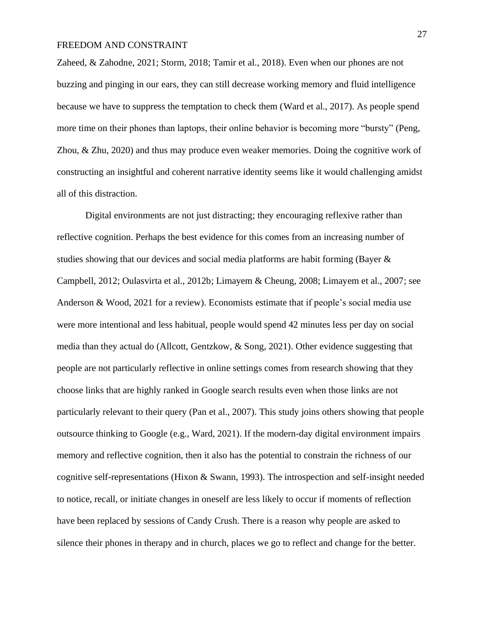Zaheed, & Zahodne, 2021; Storm, 2018; Tamir et al., 2018). Even when our phones are not buzzing and pinging in our ears, they can still decrease working memory and fluid intelligence because we have to suppress the temptation to check them (Ward et al., 2017). As people spend more time on their phones than laptops, their online behavior is becoming more "bursty" (Peng, Zhou, & Zhu, 2020) and thus may produce even weaker memories. Doing the cognitive work of constructing an insightful and coherent narrative identity seems like it would challenging amidst all of this distraction.

Digital environments are not just distracting; they encouraging reflexive rather than reflective cognition. Perhaps the best evidence for this comes from an increasing number of studies showing that our devices and social media platforms are habit forming (Bayer & Campbell, 2012; Oulasvirta et al., 2012b; Limayem & Cheung, 2008; Limayem et al., 2007; see Anderson & Wood, 2021 for a review). Economists estimate that if people's social media use were more intentional and less habitual, people would spend 42 minutes less per day on social media than they actual do (Allcott, Gentzkow, & Song, 2021). Other evidence suggesting that people are not particularly reflective in online settings comes from research showing that they choose links that are highly ranked in Google search results even when those links are not particularly relevant to their query (Pan et al., 2007). This study joins others showing that people outsource thinking to Google (e.g., Ward, 2021). If the modern-day digital environment impairs memory and reflective cognition, then it also has the potential to constrain the richness of our cognitive self-representations (Hixon & Swann, 1993). The introspection and self-insight needed to notice, recall, or initiate changes in oneself are less likely to occur if moments of reflection have been replaced by sessions of Candy Crush. There is a reason why people are asked to silence their phones in therapy and in church, places we go to reflect and change for the better.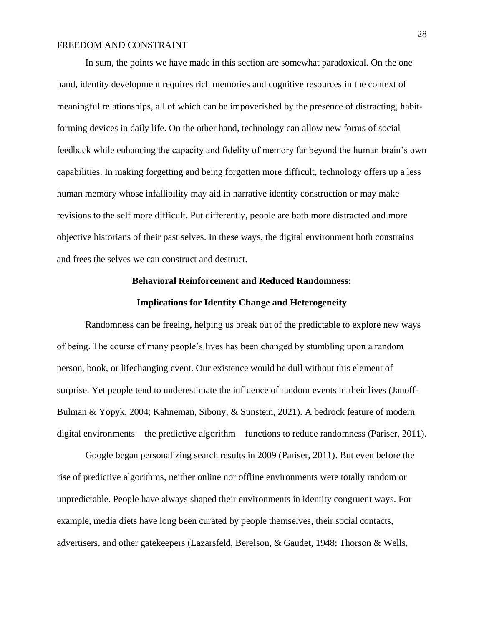In sum, the points we have made in this section are somewhat paradoxical. On the one hand, identity development requires rich memories and cognitive resources in the context of meaningful relationships, all of which can be impoverished by the presence of distracting, habitforming devices in daily life. On the other hand, technology can allow new forms of social feedback while enhancing the capacity and fidelity of memory far beyond the human brain's own capabilities. In making forgetting and being forgotten more difficult, technology offers up a less human memory whose infallibility may aid in narrative identity construction or may make revisions to the self more difficult. Put differently, people are both more distracted and more objective historians of their past selves. In these ways, the digital environment both constrains and frees the selves we can construct and destruct.

#### **Behavioral Reinforcement and Reduced Randomness:**

#### **Implications for Identity Change and Heterogeneity**

Randomness can be freeing, helping us break out of the predictable to explore new ways of being. The course of many people's lives has been changed by stumbling upon a random person, book, or lifechanging event. Our existence would be dull without this element of surprise. Yet people tend to underestimate the influence of random events in their lives (Janoff-Bulman & Yopyk, 2004; Kahneman, Sibony, & Sunstein, 2021). A bedrock feature of modern digital environments—the predictive algorithm—functions to reduce randomness (Pariser, 2011).

Google began personalizing search results in 2009 (Pariser, 2011). But even before the rise of predictive algorithms, neither online nor offline environments were totally random or unpredictable. People have always shaped their environments in identity congruent ways. For example, media diets have long been curated by people themselves, their social contacts, advertisers, and other gatekeepers (Lazarsfeld, Berelson, & Gaudet, 1948; Thorson & Wells,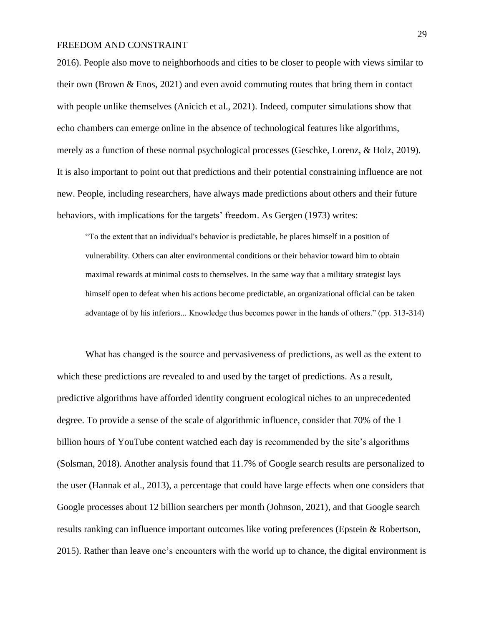2016). People also move to neighborhoods and cities to be closer to people with views similar to their own (Brown & Enos, 2021) and even avoid commuting routes that bring them in contact with people unlike themselves (Anicich et al., 2021). Indeed, computer simulations show that echo chambers can emerge online in the absence of technological features like algorithms, merely as a function of these normal psychological processes (Geschke, Lorenz, & Holz, 2019). It is also important to point out that predictions and their potential constraining influence are not new. People, including researchers, have always made predictions about others and their future behaviors, with implications for the targets' freedom. As Gergen (1973) writes:

"To the extent that an individual's behavior is predictable, he places himself in a position of vulnerability. Others can alter environmental conditions or their behavior toward him to obtain maximal rewards at minimal costs to themselves. In the same way that a military strategist lays himself open to defeat when his actions become predictable, an organizational official can be taken advantage of by his inferiors... Knowledge thus becomes power in the hands of others." (pp. 313-314)

What has changed is the source and pervasiveness of predictions, as well as the extent to which these predictions are revealed to and used by the target of predictions. As a result, predictive algorithms have afforded identity congruent ecological niches to an unprecedented degree. To provide a sense of the scale of algorithmic influence, consider that 70% of the 1 billion hours of YouTube content watched each day is recommended by the site's algorithms (Solsman, 2018). Another analysis found that 11.7% of Google search results are personalized to the user (Hannak et al., 2013), a percentage that could have large effects when one considers that Google processes about 12 billion searchers per month (Johnson, 2021), and that Google search results ranking can influence important outcomes like voting preferences (Epstein & Robertson, 2015). Rather than leave one's encounters with the world up to chance, the digital environment is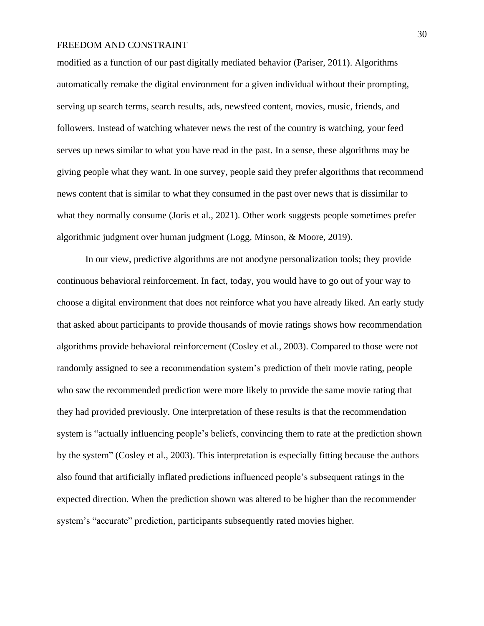modified as a function of our past digitally mediated behavior (Pariser, 2011). Algorithms automatically remake the digital environment for a given individual without their prompting, serving up search terms, search results, ads, newsfeed content, movies, music, friends, and followers. Instead of watching whatever news the rest of the country is watching, your feed serves up news similar to what you have read in the past. In a sense, these algorithms may be giving people what they want. In one survey, people said they prefer algorithms that recommend news content that is similar to what they consumed in the past over news that is dissimilar to what they normally consume (Joris et al., 2021). Other work suggests people sometimes prefer algorithmic judgment over human judgment (Logg, Minson, & Moore, 2019).

In our view, predictive algorithms are not anodyne personalization tools; they provide continuous behavioral reinforcement. In fact, today, you would have to go out of your way to choose a digital environment that does not reinforce what you have already liked. An early study that asked about participants to provide thousands of movie ratings shows how recommendation algorithms provide behavioral reinforcement (Cosley et al., 2003). Compared to those were not randomly assigned to see a recommendation system's prediction of their movie rating, people who saw the recommended prediction were more likely to provide the same movie rating that they had provided previously. One interpretation of these results is that the recommendation system is "actually influencing people's beliefs, convincing them to rate at the prediction shown by the system" (Cosley et al., 2003). This interpretation is especially fitting because the authors also found that artificially inflated predictions influenced people's subsequent ratings in the expected direction. When the prediction shown was altered to be higher than the recommender system's "accurate" prediction, participants subsequently rated movies higher.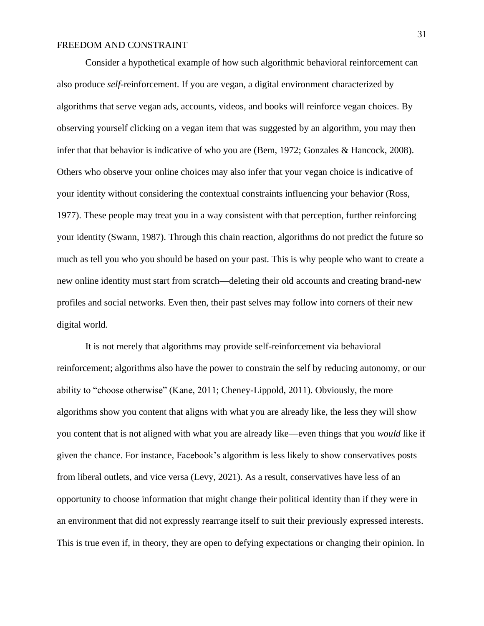Consider a hypothetical example of how such algorithmic behavioral reinforcement can also produce *self*-reinforcement. If you are vegan, a digital environment characterized by algorithms that serve vegan ads, accounts, videos, and books will reinforce vegan choices. By observing yourself clicking on a vegan item that was suggested by an algorithm, you may then infer that that behavior is indicative of who you are (Bem, 1972; Gonzales & Hancock, 2008). Others who observe your online choices may also infer that your vegan choice is indicative of your identity without considering the contextual constraints influencing your behavior (Ross, 1977). These people may treat you in a way consistent with that perception, further reinforcing your identity (Swann, 1987). Through this chain reaction, algorithms do not predict the future so much as tell you who you should be based on your past. This is why people who want to create a new online identity must start from scratch—deleting their old accounts and creating brand-new profiles and social networks. Even then, their past selves may follow into corners of their new digital world.

It is not merely that algorithms may provide self-reinforcement via behavioral reinforcement; algorithms also have the power to constrain the self by reducing autonomy, or our ability to "choose otherwise" (Kane, 2011; Cheney-Lippold, 2011). Obviously, the more algorithms show you content that aligns with what you are already like, the less they will show you content that is not aligned with what you are already like—even things that you *would* like if given the chance. For instance, Facebook's algorithm is less likely to show conservatives posts from liberal outlets, and vice versa (Levy, 2021). As a result, conservatives have less of an opportunity to choose information that might change their political identity than if they were in an environment that did not expressly rearrange itself to suit their previously expressed interests. This is true even if, in theory, they are open to defying expectations or changing their opinion. In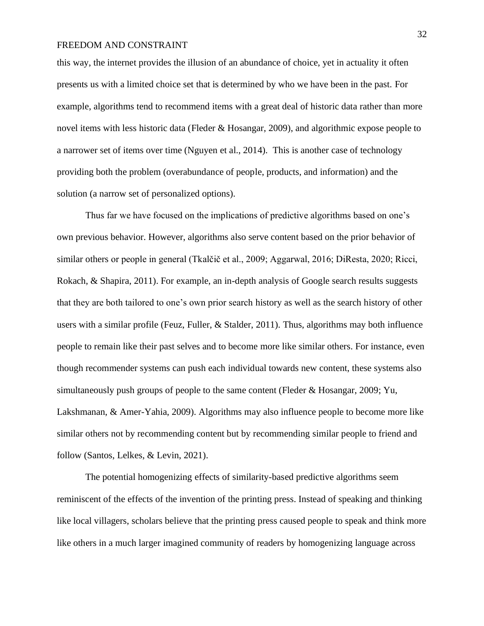this way, the internet provides the illusion of an abundance of choice, yet in actuality it often presents us with a limited choice set that is determined by who we have been in the past. For example, algorithms tend to recommend items with a great deal of historic data rather than more novel items with less historic data (Fleder & Hosangar, 2009), and algorithmic expose people to a narrower set of items over time (Nguyen et al., 2014). This is another case of technology providing both the problem (overabundance of people, products, and information) and the solution (a narrow set of personalized options).

Thus far we have focused on the implications of predictive algorithms based on one's own previous behavior. However, algorithms also serve content based on the prior behavior of similar others or people in general (Tkalčič et al., 2009; Aggarwal, 2016; DiResta, 2020; Ricci, Rokach, & Shapira, 2011). For example, an in-depth analysis of Google search results suggests that they are both tailored to one's own prior search history as well as the search history of other users with a similar profile (Feuz, Fuller, & Stalder, 2011). Thus, algorithms may both influence people to remain like their past selves and to become more like similar others. For instance, even though recommender systems can push each individual towards new content, these systems also simultaneously push groups of people to the same content (Fleder & Hosangar, 2009; Yu, Lakshmanan, & Amer-Yahia, 2009). Algorithms may also influence people to become more like similar others not by recommending content but by recommending similar people to friend and follow (Santos, Lelkes, & Levin, 2021).

The potential homogenizing effects of similarity-based predictive algorithms seem reminiscent of the effects of the invention of the printing press. Instead of speaking and thinking like local villagers, scholars believe that the printing press caused people to speak and think more like others in a much larger imagined community of readers by homogenizing language across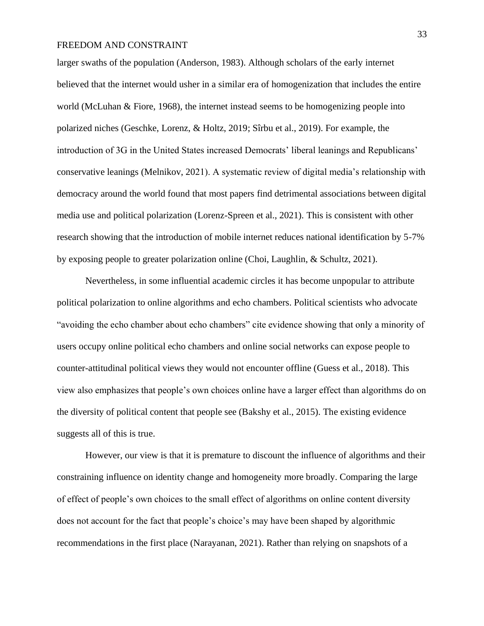larger swaths of the population (Anderson, 1983). Although scholars of the early internet believed that the internet would usher in a similar era of homogenization that includes the entire world (McLuhan  $\&$  Fiore, 1968), the internet instead seems to be homogenizing people into polarized niches (Geschke, Lorenz, & Holtz, 2019; Sîrbu et al., 2019). For example, the introduction of 3G in the United States increased Democrats' liberal leanings and Republicans' conservative leanings (Melnikov, 2021). A systematic review of digital media's relationship with democracy around the world found that most papers find detrimental associations between digital media use and political polarization (Lorenz-Spreen et al., 2021). This is consistent with other research showing that the introduction of mobile internet reduces national identification by 5-7% by exposing people to greater polarization online (Choi, Laughlin, & Schultz, 2021).

Nevertheless, in some influential academic circles it has become unpopular to attribute political polarization to online algorithms and echo chambers. Political scientists who advocate "avoiding the echo chamber about echo chambers" cite evidence showing that only a minority of users occupy online political echo chambers and online social networks can expose people to counter-attitudinal political views they would not encounter offline (Guess et al., 2018). This view also emphasizes that people's own choices online have a larger effect than algorithms do on the diversity of political content that people see (Bakshy et al., 2015). The existing evidence suggests all of this is true.

However, our view is that it is premature to discount the influence of algorithms and their constraining influence on identity change and homogeneity more broadly. Comparing the large of effect of people's own choices to the small effect of algorithms on online content diversity does not account for the fact that people's choice's may have been shaped by algorithmic recommendations in the first place (Narayanan, 2021). Rather than relying on snapshots of a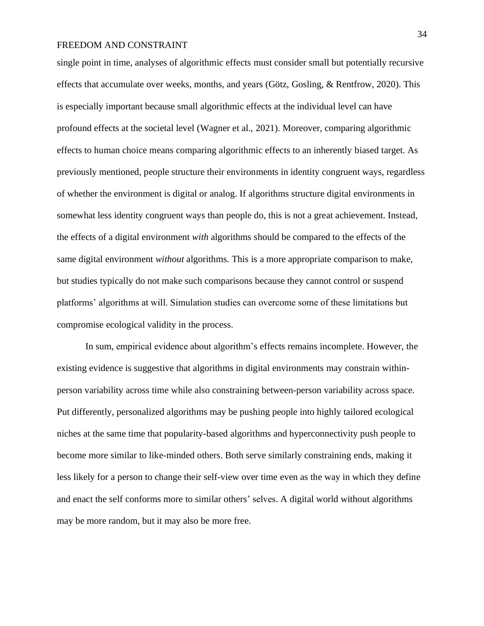single point in time, analyses of algorithmic effects must consider small but potentially recursive effects that accumulate over weeks, months, and years (Götz, Gosling, & Rentfrow, 2020). This is especially important because small algorithmic effects at the individual level can have profound effects at the societal level (Wagner et al., 2021). Moreover, comparing algorithmic effects to human choice means comparing algorithmic effects to an inherently biased target. As previously mentioned, people structure their environments in identity congruent ways, regardless of whether the environment is digital or analog. If algorithms structure digital environments in somewhat less identity congruent ways than people do, this is not a great achievement. Instead, the effects of a digital environment *with* algorithms should be compared to the effects of the same digital environment *without* algorithms*.* This is a more appropriate comparison to make, but studies typically do not make such comparisons because they cannot control or suspend platforms' algorithms at will. Simulation studies can overcome some of these limitations but compromise ecological validity in the process.

In sum, empirical evidence about algorithm's effects remains incomplete. However, the existing evidence is suggestive that algorithms in digital environments may constrain withinperson variability across time while also constraining between-person variability across space. Put differently, personalized algorithms may be pushing people into highly tailored ecological niches at the same time that popularity-based algorithms and hyperconnectivity push people to become more similar to like-minded others. Both serve similarly constraining ends, making it less likely for a person to change their self-view over time even as the way in which they define and enact the self conforms more to similar others' selves. A digital world without algorithms may be more random, but it may also be more free.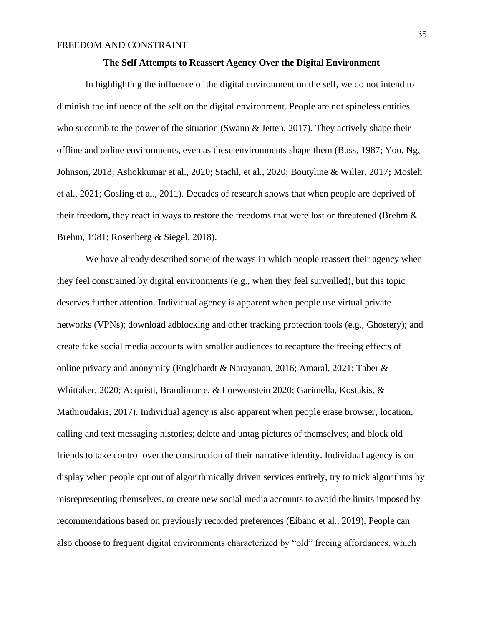#### **The Self Attempts to Reassert Agency Over the Digital Environment**

In highlighting the influence of the digital environment on the self, we do not intend to diminish the influence of the self on the digital environment. People are not spineless entities who succumb to the power of the situation (Swann & Jetten, 2017). They actively shape their offline and online environments, even as these environments shape them (Buss, 1987; Yoo, Ng, Johnson, 2018; Ashokkumar et al., 2020; Stachl, et al., 2020; Boutyline & Willer, 2017**;** Mosleh et al., 2021; Gosling et al., 2011). Decades of research shows that when people are deprived of their freedom, they react in ways to restore the freedoms that were lost or threatened (Brehm & Brehm, 1981; Rosenberg & Siegel, 2018).

We have already described some of the ways in which people reassert their agency when they feel constrained by digital environments (e.g., when they feel surveilled), but this topic deserves further attention. Individual agency is apparent when people use virtual private networks (VPNs); download adblocking and other tracking protection tools (e.g., Ghostery); and create fake social media accounts with smaller audiences to recapture the freeing effects of online privacy and anonymity (Englehardt & Narayanan, 2016; Amaral, 2021; Taber & Whittaker, 2020; Acquisti, Brandimarte, & Loewenstein 2020; Garimella, Kostakis, & Mathioudakis, 2017). Individual agency is also apparent when people erase browser, location, calling and text messaging histories; delete and untag pictures of themselves; and block old friends to take control over the construction of their narrative identity. Individual agency is on display when people opt out of algorithmically driven services entirely, try to trick algorithms by misrepresenting themselves, or create new social media accounts to avoid the limits imposed by recommendations based on previously recorded preferences (Eiband et al., 2019). People can also choose to frequent digital environments characterized by "old" freeing affordances, which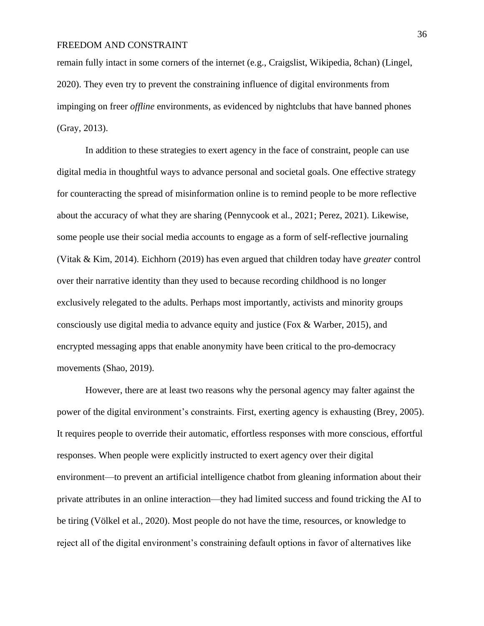remain fully intact in some corners of the internet (e.g., Craigslist, Wikipedia, 8chan) (Lingel, 2020). They even try to prevent the constraining influence of digital environments from impinging on freer *offline* environments, as evidenced by nightclubs that have banned phones (Gray, 2013).

In addition to these strategies to exert agency in the face of constraint, people can use digital media in thoughtful ways to advance personal and societal goals. One effective strategy for counteracting the spread of misinformation online is to remind people to be more reflective about the accuracy of what they are sharing (Pennycook et al., 2021; Perez, 2021). Likewise, some people use their social media accounts to engage as a form of self-reflective journaling (Vitak & Kim, 2014). Eichhorn (2019) has even argued that children today have *greater* control over their narrative identity than they used to because recording childhood is no longer exclusively relegated to the adults. Perhaps most importantly, activists and minority groups consciously use digital media to advance equity and justice (Fox & Warber, 2015), and encrypted messaging apps that enable anonymity have been critical to the pro-democracy movements (Shao, 2019).

However, there are at least two reasons why the personal agency may falter against the power of the digital environment's constraints. First, exerting agency is exhausting (Brey, 2005). It requires people to override their automatic, effortless responses with more conscious, effortful responses. When people were explicitly instructed to exert agency over their digital environment—to prevent an artificial intelligence chatbot from gleaning information about their private attributes in an online interaction—they had limited success and found tricking the AI to be tiring (Völkel et al., 2020). Most people do not have the time, resources, or knowledge to reject all of the digital environment's constraining default options in favor of alternatives like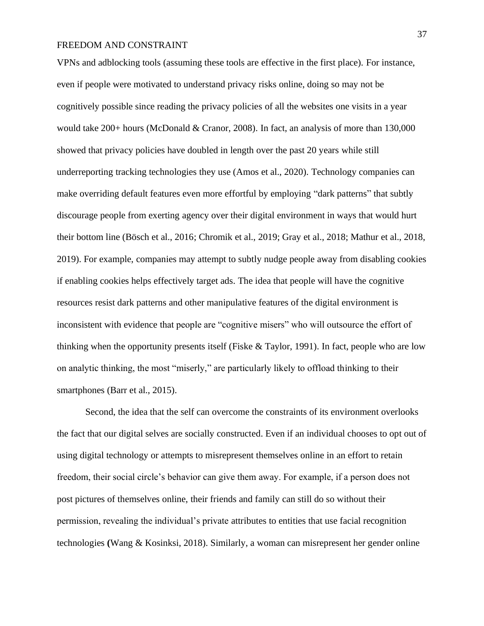VPNs and adblocking tools (assuming these tools are effective in the first place). For instance, even if people were motivated to understand privacy risks online, doing so may not be cognitively possible since reading the privacy policies of all the websites one visits in a year would take 200+ hours (McDonald & Cranor, 2008). In fact, an analysis of more than 130,000 showed that privacy policies have doubled in length over the past 20 years while still underreporting tracking technologies they use (Amos et al., 2020). Technology companies can make overriding default features even more effortful by employing "dark patterns" that subtly discourage people from exerting agency over their digital environment in ways that would hurt their bottom line (Bösch et al., 2016; Chromik et al., 2019; Gray et al., 2018; Mathur et al., 2018, 2019). For example, companies may attempt to subtly nudge people away from disabling cookies if enabling cookies helps effectively target ads. The idea that people will have the cognitive resources resist dark patterns and other manipulative features of the digital environment is inconsistent with evidence that people are "cognitive misers" who will outsource the effort of thinking when the opportunity presents itself (Fiske & Taylor, 1991). In fact, people who are low on analytic thinking, the most "miserly," are particularly likely to offload thinking to their smartphones (Barr et al., 2015).

Second, the idea that the self can overcome the constraints of its environment overlooks the fact that our digital selves are socially constructed. Even if an individual chooses to opt out of using digital technology or attempts to misrepresent themselves online in an effort to retain freedom, their social circle's behavior can give them away. For example, if a person does not post pictures of themselves online, their friends and family can still do so without their permission, revealing the individual's private attributes to entities that use facial recognition technologies **(**Wang & Kosinksi, 2018). Similarly, a woman can misrepresent her gender online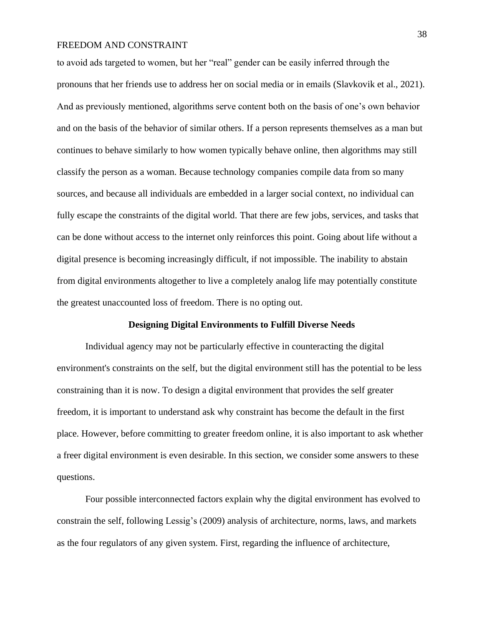to avoid ads targeted to women, but her "real" gender can be easily inferred through the pronouns that her friends use to address her on social media or in emails (Slavkovik et al., 2021). And as previously mentioned, algorithms serve content both on the basis of one's own behavior and on the basis of the behavior of similar others. If a person represents themselves as a man but continues to behave similarly to how women typically behave online, then algorithms may still classify the person as a woman. Because technology companies compile data from so many sources, and because all individuals are embedded in a larger social context, no individual can fully escape the constraints of the digital world. That there are few jobs, services, and tasks that can be done without access to the internet only reinforces this point. Going about life without a digital presence is becoming increasingly difficult, if not impossible. The inability to abstain from digital environments altogether to live a completely analog life may potentially constitute the greatest unaccounted loss of freedom. There is no opting out.

#### **Designing Digital Environments to Fulfill Diverse Needs**

Individual agency may not be particularly effective in counteracting the digital environment's constraints on the self, but the digital environment still has the potential to be less constraining than it is now. To design a digital environment that provides the self greater freedom, it is important to understand ask why constraint has become the default in the first place. However, before committing to greater freedom online, it is also important to ask whether a freer digital environment is even desirable. In this section, we consider some answers to these questions.

Four possible interconnected factors explain why the digital environment has evolved to constrain the self, following Lessig's (2009) analysis of architecture, norms, laws, and markets as the four regulators of any given system. First, regarding the influence of architecture,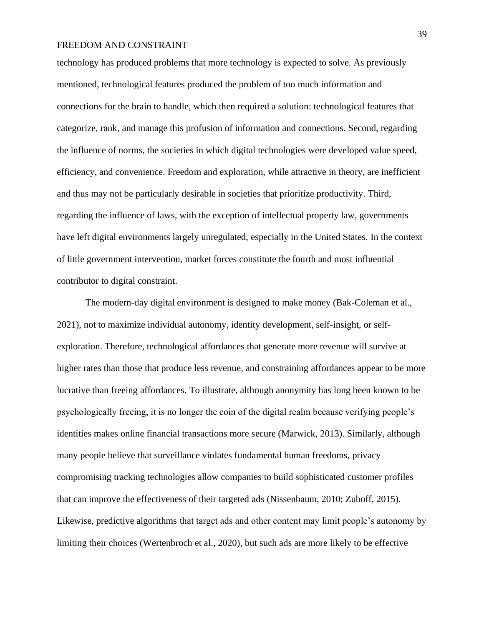technology has produced problems that more technology is expected to solve. As previously mentioned, technological features produced the problem of too much information and connections for the brain to handle, which then required a solution: technological features that categorize, rank, and manage this profusion of information and connections. Second, regarding the influence of norms, the societies in which digital technologies were developed value speed, efficiency, and convenience. Freedom and exploration, while attractive in theory, are inefficient and thus may not be particularly desirable in societies that prioritize productivity. Third, regarding the influence of laws, with the exception of intellectual property law, governments have left digital environments largely unregulated, especially in the United States. In the context of little government intervention, market forces constitute the fourth and most influential contributor to digital constraint.

The modern-day digital environment is designed to make money (Bak-Coleman et al., 2021), not to maximize individual autonomy, identity development, self-insight, or selfexploration. Therefore, technological affordances that generate more revenue will survive at higher rates than those that produce less revenue, and constraining affordances appear to be more lucrative than freeing affordances. To illustrate, although anonymity has long been known to be psychologically freeing, it is no longer the coin of the digital realm because verifying people's identities makes online financial transactions more secure (Marwick, 2013). Similarly, although many people believe that surveillance violates fundamental human freedoms, privacy compromising tracking technologies allow companies to build sophisticated customer profiles that can improve the effectiveness of their targeted ads (Nissenbaum, 2010; Zuboff, 2015). Likewise, predictive algorithms that target ads and other content may limit people's autonomy by limiting their choices (Wertenbroch et al., 2020), but such ads are more likely to be effective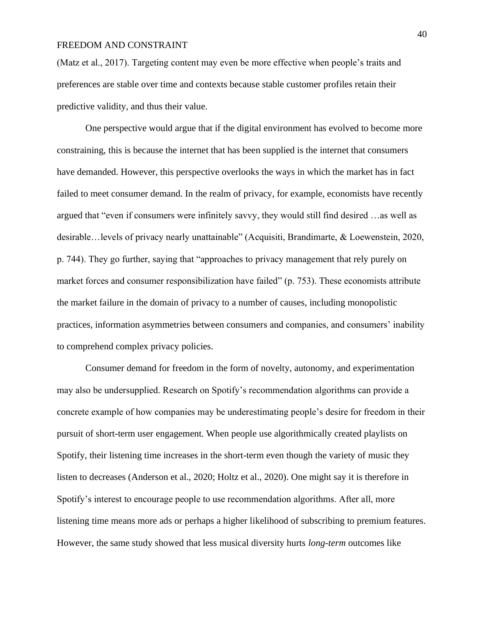(Matz et al., 2017). Targeting content may even be more effective when people's traits and preferences are stable over time and contexts because stable customer profiles retain their predictive validity, and thus their value.

One perspective would argue that if the digital environment has evolved to become more constraining, this is because the internet that has been supplied is the internet that consumers have demanded. However, this perspective overlooks the ways in which the market has in fact failed to meet consumer demand. In the realm of privacy, for example, economists have recently argued that "even if consumers were infinitely savvy, they would still find desired …as well as desirable…levels of privacy nearly unattainable" (Acquisiti, Brandimarte, & Loewenstein, 2020, p. 744). They go further, saying that "approaches to privacy management that rely purely on market forces and consumer responsibilization have failed" (p. 753). These economists attribute the market failure in the domain of privacy to a number of causes, including monopolistic practices, information asymmetries between consumers and companies, and consumers' inability to comprehend complex privacy policies.

Consumer demand for freedom in the form of novelty, autonomy, and experimentation may also be undersupplied. Research on Spotify's recommendation algorithms can provide a concrete example of how companies may be underestimating people's desire for freedom in their pursuit of short-term user engagement. When people use algorithmically created playlists on Spotify, their listening time increases in the short-term even though the variety of music they listen to decreases (Anderson et al., 2020; Holtz et al., 2020). One might say it is therefore in Spotify's interest to encourage people to use recommendation algorithms. After all, more listening time means more ads or perhaps a higher likelihood of subscribing to premium features. However, the same study showed that less musical diversity hurts *long-term* outcomes like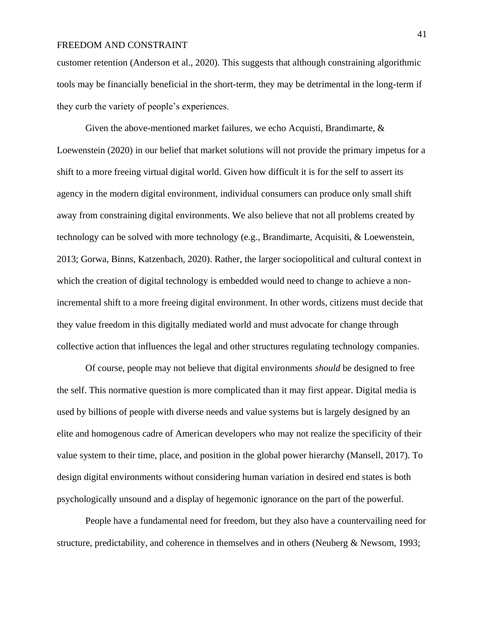customer retention (Anderson et al., 2020). This suggests that although constraining algorithmic tools may be financially beneficial in the short-term, they may be detrimental in the long-term if they curb the variety of people's experiences.

Given the above-mentioned market failures, we echo Acquisti, Brandimarte, & Loewenstein (2020) in our belief that market solutions will not provide the primary impetus for a shift to a more freeing virtual digital world. Given how difficult it is for the self to assert its agency in the modern digital environment, individual consumers can produce only small shift away from constraining digital environments. We also believe that not all problems created by technology can be solved with more technology (e.g., Brandimarte, Acquisiti, & Loewenstein, 2013; Gorwa, Binns, Katzenbach, 2020). Rather, the larger sociopolitical and cultural context in which the creation of digital technology is embedded would need to change to achieve a nonincremental shift to a more freeing digital environment. In other words, citizens must decide that they value freedom in this digitally mediated world and must advocate for change through collective action that influences the legal and other structures regulating technology companies.

Of course, people may not believe that digital environments *should* be designed to free the self. This normative question is more complicated than it may first appear. Digital media is used by billions of people with diverse needs and value systems but is largely designed by an elite and homogenous cadre of American developers who may not realize the specificity of their value system to their time, place, and position in the global power hierarchy (Mansell, 2017). To design digital environments without considering human variation in desired end states is both psychologically unsound and a display of hegemonic ignorance on the part of the powerful.

People have a fundamental need for freedom, but they also have a countervailing need for structure, predictability, and coherence in themselves and in others (Neuberg & Newsom, 1993;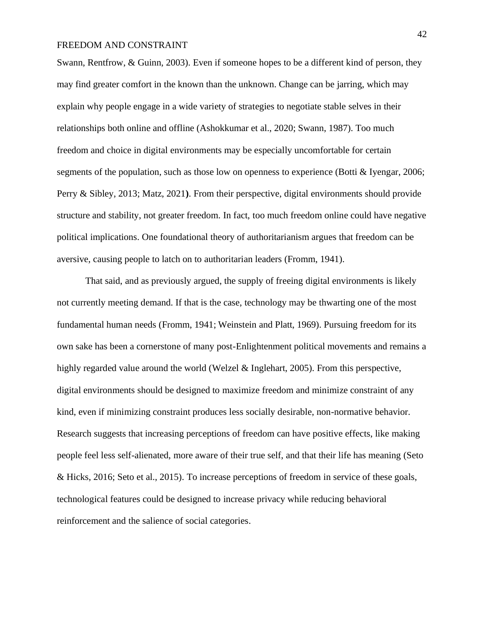Swann, Rentfrow, & Guinn, 2003). Even if someone hopes to be a different kind of person, they may find greater comfort in the known than the unknown. Change can be jarring, which may explain why people engage in a wide variety of strategies to negotiate stable selves in their relationships both online and offline (Ashokkumar et al., 2020; Swann, 1987). Too much freedom and choice in digital environments may be especially uncomfortable for certain segments of the population, such as those low on openness to experience (Botti & Iyengar, 2006; Perry & Sibley, 2013; Matz, 2021**)**. From their perspective, digital environments should provide structure and stability, not greater freedom. In fact, too much freedom online could have negative political implications. One foundational theory of authoritarianism argues that freedom can be aversive, causing people to latch on to authoritarian leaders (Fromm, 1941).

That said, and as previously argued, the supply of freeing digital environments is likely not currently meeting demand. If that is the case, technology may be thwarting one of the most fundamental human needs (Fromm, 1941; Weinstein and Platt, 1969). Pursuing freedom for its own sake has been a cornerstone of many post-Enlightenment political movements and remains a highly regarded value around the world (Welzel & Inglehart, 2005). From this perspective, digital environments should be designed to maximize freedom and minimize constraint of any kind, even if minimizing constraint produces less socially desirable, non-normative behavior. Research suggests that increasing perceptions of freedom can have positive effects, like making people feel less self-alienated, more aware of their true self, and that their life has meaning (Seto & Hicks, 2016; Seto et al., 2015). To increase perceptions of freedom in service of these goals, technological features could be designed to increase privacy while reducing behavioral reinforcement and the salience of social categories.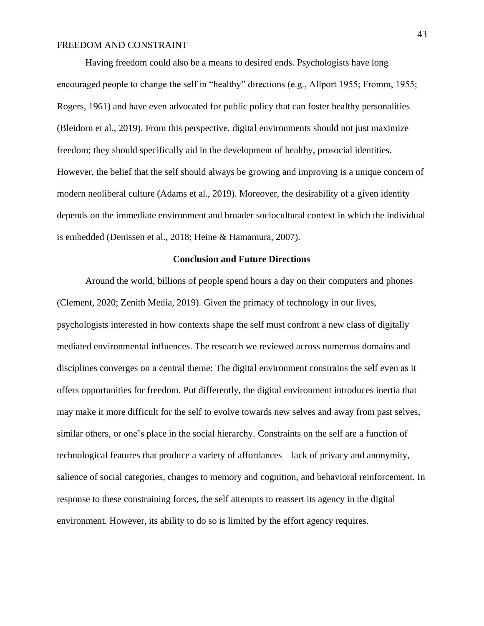Having freedom could also be a means to desired ends. Psychologists have long encouraged people to change the self in "healthy" directions (e.g., Allport 1955; Fromm, 1955; Rogers, 1961) and have even advocated for public policy that can foster healthy personalities (Bleidorn et al., 2019). From this perspective, digital environments should not just maximize freedom; they should specifically aid in the development of healthy, prosocial identities. However, the belief that the self should always be growing and improving is a unique concern of modern neoliberal culture (Adams et al., 2019). Moreover, the desirability of a given identity depends on the immediate environment and broader sociocultural context in which the individual is embedded (Denissen et al., 2018; Heine & Hamamura, 2007).

### **Conclusion and Future Directions**

Around the world, billions of people spend hours a day on their computers and phones (Clement, 2020; Zenith Media, 2019). Given the primacy of technology in our lives, psychologists interested in how contexts shape the self must confront a new class of digitally mediated environmental influences. The research we reviewed across numerous domains and disciplines converges on a central theme: The digital environment constrains the self even as it offers opportunities for freedom. Put differently, the digital environment introduces inertia that may make it more difficult for the self to evolve towards new selves and away from past selves, similar others, or one's place in the social hierarchy. Constraints on the self are a function of technological features that produce a variety of affordances—lack of privacy and anonymity, salience of social categories, changes to memory and cognition, and behavioral reinforcement. In response to these constraining forces, the self attempts to reassert its agency in the digital environment. However, its ability to do so is limited by the effort agency requires.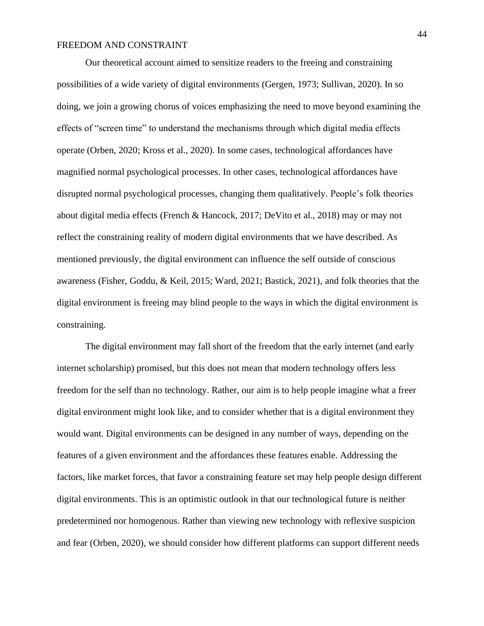Our theoretical account aimed to sensitize readers to the freeing and constraining possibilities of a wide variety of digital environments (Gergen, 1973; Sullivan, 2020). In so doing, we join a growing chorus of voices emphasizing the need to move beyond examining the effects of "screen time" to understand the mechanisms through which digital media effects operate (Orben, 2020; Kross et al., 2020). In some cases, technological affordances have magnified normal psychological processes. In other cases, technological affordances have disrupted normal psychological processes, changing them qualitatively. People's folk theories about digital media effects (French & Hancock, 2017; DeVito et al., 2018) may or may not reflect the constraining reality of modern digital environments that we have described. As mentioned previously, the digital environment can influence the self outside of conscious awareness (Fisher, Goddu, & Keil, 2015; Ward, 2021; Bastick, 2021), and folk theories that the digital environment is freeing may blind people to the ways in which the digital environment is constraining.

The digital environment may fall short of the freedom that the early internet (and early internet scholarship) promised, but this does not mean that modern technology offers less freedom for the self than no technology. Rather, our aim is to help people imagine what a freer digital environment might look like, and to consider whether that is a digital environment they would want. Digital environments can be designed in any number of ways, depending on the features of a given environment and the affordances these features enable. Addressing the factors, like market forces, that favor a constraining feature set may help people design different digital environments. This is an optimistic outlook in that our technological future is neither predetermined nor homogenous. Rather than viewing new technology with reflexive suspicion and fear (Orben, 2020), we should consider how different platforms can support different needs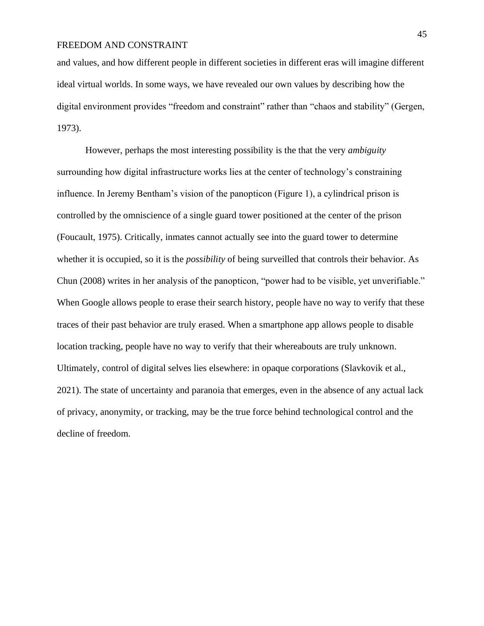and values, and how different people in different societies in different eras will imagine different ideal virtual worlds. In some ways, we have revealed our own values by describing how the digital environment provides "freedom and constraint" rather than "chaos and stability" (Gergen, 1973).

However, perhaps the most interesting possibility is the that the very *ambiguity* surrounding how digital infrastructure works lies at the center of technology's constraining influence. In Jeremy Bentham's vision of the panopticon (Figure 1), a cylindrical prison is controlled by the omniscience of a single guard tower positioned at the center of the prison (Foucault, 1975). Critically, inmates cannot actually see into the guard tower to determine whether it is occupied, so it is the *possibility* of being surveilled that controls their behavior. As Chun (2008) writes in her analysis of the panopticon, "power had to be visible, yet unverifiable." When Google allows people to erase their search history, people have no way to verify that these traces of their past behavior are truly erased. When a smartphone app allows people to disable location tracking, people have no way to verify that their whereabouts are truly unknown. Ultimately, control of digital selves lies elsewhere: in opaque corporations (Slavkovik et al., 2021). The state of uncertainty and paranoia that emerges, even in the absence of any actual lack of privacy, anonymity, or tracking, may be the true force behind technological control and the decline of freedom.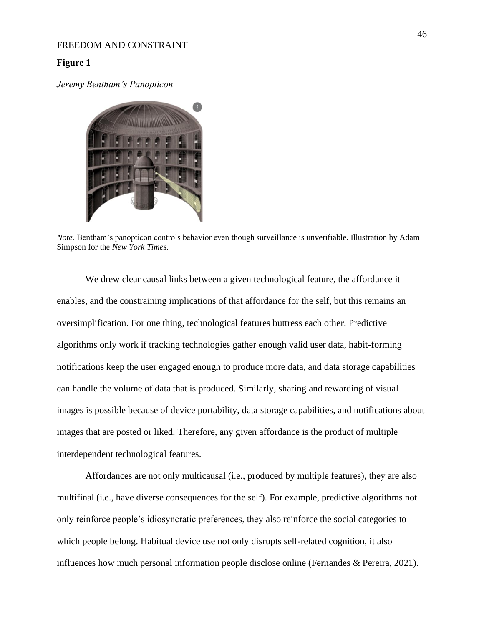#### **Figure 1**

*Jeremy Bentham's Panopticon*



*Note*. Bentham's panopticon controls behavior even though surveillance is unverifiable. Illustration by Adam Simpson for the *New York Times*.

We drew clear causal links between a given technological feature, the affordance it enables, and the constraining implications of that affordance for the self, but this remains an oversimplification. For one thing, technological features buttress each other. Predictive algorithms only work if tracking technologies gather enough valid user data, habit-forming notifications keep the user engaged enough to produce more data, and data storage capabilities can handle the volume of data that is produced. Similarly, sharing and rewarding of visual images is possible because of device portability, data storage capabilities, and notifications about images that are posted or liked. Therefore, any given affordance is the product of multiple interdependent technological features.

Affordances are not only multicausal (i.e., produced by multiple features), they are also multifinal (i.e., have diverse consequences for the self). For example, predictive algorithms not only reinforce people's idiosyncratic preferences, they also reinforce the social categories to which people belong. Habitual device use not only disrupts self-related cognition, it also influences how much personal information people disclose online (Fernandes & Pereira, 2021).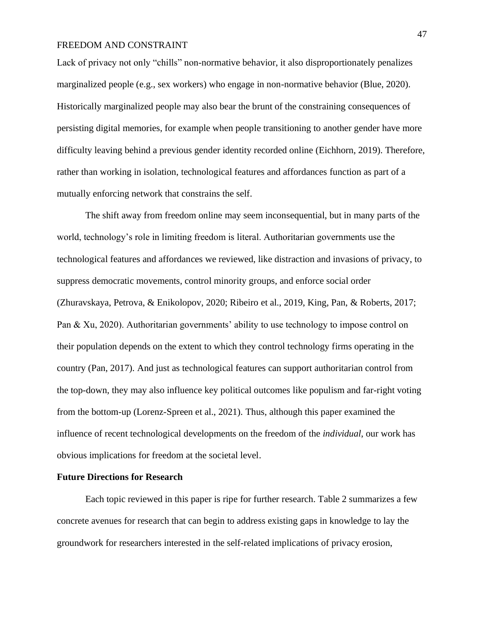Lack of privacy not only "chills" non-normative behavior, it also disproportionately penalizes marginalized people (e.g., sex workers) who engage in non-normative behavior (Blue, 2020). Historically marginalized people may also bear the brunt of the constraining consequences of persisting digital memories, for example when people transitioning to another gender have more difficulty leaving behind a previous gender identity recorded online (Eichhorn, 2019). Therefore, rather than working in isolation, technological features and affordances function as part of a mutually enforcing network that constrains the self.

The shift away from freedom online may seem inconsequential, but in many parts of the world, technology's role in limiting freedom is literal. Authoritarian governments use the technological features and affordances we reviewed, like distraction and invasions of privacy, to suppress democratic movements, control minority groups, and enforce social order (Zhuravskaya, Petrova, & Enikolopov, 2020; Ribeiro et al., 2019, King, Pan, & Roberts, 2017; Pan & Xu, 2020). Authoritarian governments' ability to use technology to impose control on their population depends on the extent to which they control technology firms operating in the country (Pan, 2017). And just as technological features can support authoritarian control from the top-down, they may also influence key political outcomes like populism and far-right voting from the bottom-up (Lorenz-Spreen et al., 2021). Thus, although this paper examined the influence of recent technological developments on the freedom of the *individual*, our work has obvious implications for freedom at the societal level.

#### **Future Directions for Research**

Each topic reviewed in this paper is ripe for further research. Table 2 summarizes a few concrete avenues for research that can begin to address existing gaps in knowledge to lay the groundwork for researchers interested in the self-related implications of privacy erosion,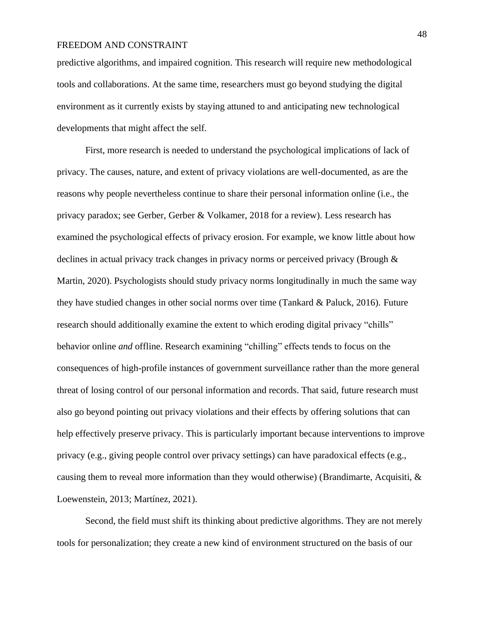predictive algorithms, and impaired cognition. This research will require new methodological tools and collaborations. At the same time, researchers must go beyond studying the digital environment as it currently exists by staying attuned to and anticipating new technological developments that might affect the self.

First, more research is needed to understand the psychological implications of lack of privacy. The causes, nature, and extent of privacy violations are well-documented, as are the reasons why people nevertheless continue to share their personal information online (i.e., the privacy paradox; see Gerber, Gerber & Volkamer, 2018 for a review). Less research has examined the psychological effects of privacy erosion. For example, we know little about how declines in actual privacy track changes in privacy norms or perceived privacy (Brough & Martin, 2020). Psychologists should study privacy norms longitudinally in much the same way they have studied changes in other social norms over time (Tankard & Paluck, 2016). Future research should additionally examine the extent to which eroding digital privacy "chills" behavior online *and* offline. Research examining "chilling" effects tends to focus on the consequences of high-profile instances of government surveillance rather than the more general threat of losing control of our personal information and records. That said, future research must also go beyond pointing out privacy violations and their effects by offering solutions that can help effectively preserve privacy. This is particularly important because interventions to improve privacy (e.g., giving people control over privacy settings) can have paradoxical effects (e.g., causing them to reveal more information than they would otherwise) (Brandimarte, Acquisiti,  $\&$ Loewenstein, 2013; Martínez, 2021).

Second, the field must shift its thinking about predictive algorithms. They are not merely tools for personalization; they create a new kind of environment structured on the basis of our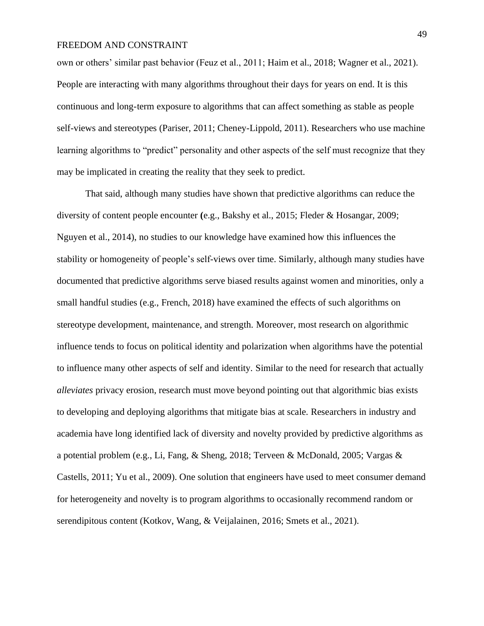own or others' similar past behavior (Feuz et al., 2011; Haim et al., 2018; Wagner et al., 2021). People are interacting with many algorithms throughout their days for years on end. It is this continuous and long-term exposure to algorithms that can affect something as stable as people self-views and stereotypes (Pariser, 2011; Cheney-Lippold, 2011). Researchers who use machine learning algorithms to "predict" personality and other aspects of the self must recognize that they may be implicated in creating the reality that they seek to predict.

That said, although many studies have shown that predictive algorithms can reduce the diversity of content people encounter **(**e.g., Bakshy et al., 2015; Fleder & Hosangar, 2009; Nguyen et al., 2014), no studies to our knowledge have examined how this influences the stability or homogeneity of people's self-views over time. Similarly, although many studies have documented that predictive algorithms serve biased results against women and minorities, only a small handful studies (e.g., French, 2018) have examined the effects of such algorithms on stereotype development, maintenance, and strength. Moreover, most research on algorithmic influence tends to focus on political identity and polarization when algorithms have the potential to influence many other aspects of self and identity. Similar to the need for research that actually *alleviates* privacy erosion, research must move beyond pointing out that algorithmic bias exists to developing and deploying algorithms that mitigate bias at scale. Researchers in industry and academia have long identified lack of diversity and novelty provided by predictive algorithms as a potential problem (e.g., Li, Fang, & Sheng, 2018; Terveen & McDonald, 2005; Vargas & Castells, 2011; Yu et al., 2009). One solution that engineers have used to meet consumer demand for heterogeneity and novelty is to program algorithms to occasionally recommend random or serendipitous content (Kotkov, Wang, & Veijalainen, 2016; Smets et al., 2021).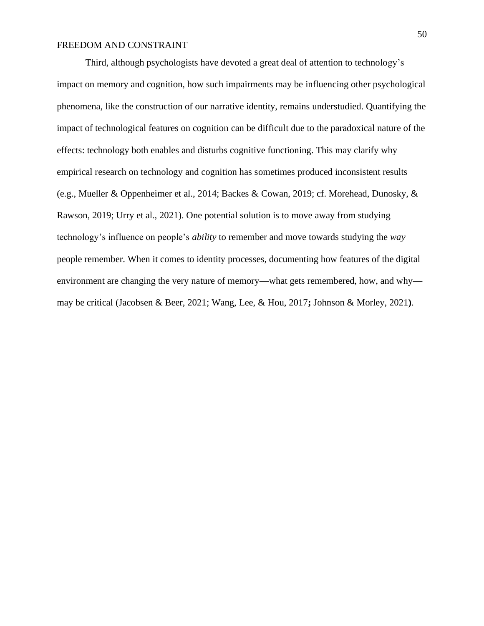Third, although psychologists have devoted a great deal of attention to technology's impact on memory and cognition, how such impairments may be influencing other psychological phenomena, like the construction of our narrative identity, remains understudied. Quantifying the impact of technological features on cognition can be difficult due to the paradoxical nature of the effects: technology both enables and disturbs cognitive functioning. This may clarify why empirical research on technology and cognition has sometimes produced inconsistent results (e.g., Mueller & Oppenheimer et al., 2014; Backes & Cowan, 2019; cf. Morehead, Dunosky, & Rawson, 2019; Urry et al., 2021). One potential solution is to move away from studying technology's influence on people's *ability* to remember and move towards studying the *way* people remember. When it comes to identity processes, documenting how features of the digital environment are changing the very nature of memory—what gets remembered, how, and why may be critical (Jacobsen & Beer, 2021; Wang, Lee, & Hou, 2017**;** Johnson & Morley, 2021**)**.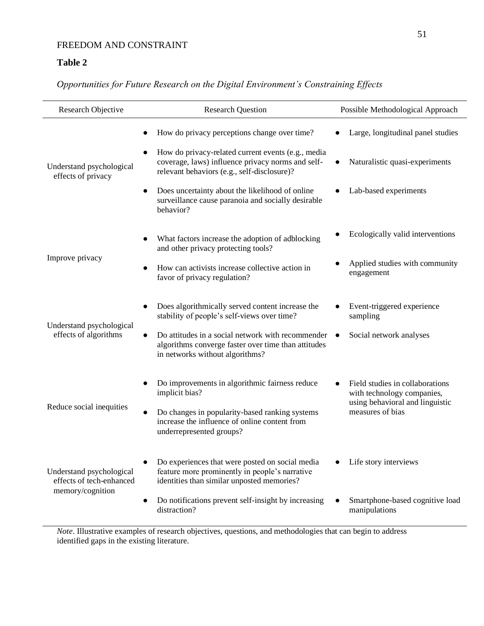# **Table 2**

## *Opportunities for Future Research on the Digital Environment's Constraining Effects*

| Research Objective                                                       | <b>Research Question</b>                                                                                                                                                                               | Possible Methodological Approach                                                                 |
|--------------------------------------------------------------------------|--------------------------------------------------------------------------------------------------------------------------------------------------------------------------------------------------------|--------------------------------------------------------------------------------------------------|
| Understand psychological<br>effects of privacy                           | How do privacy perceptions change over time?<br>How do privacy-related current events (e.g., media<br>coverage, laws) influence privacy norms and self-<br>relevant behaviors (e.g., self-disclosure)? | Large, longitudinal panel studies<br>Naturalistic quasi-experiments                              |
|                                                                          | Does uncertainty about the likelihood of online<br>surveillance cause paranoia and socially desirable<br>behavior?                                                                                     | Lab-based experiments                                                                            |
| Improve privacy                                                          | What factors increase the adoption of adblocking<br>and other privacy protecting tools?                                                                                                                | Ecologically valid interventions                                                                 |
|                                                                          | How can activists increase collective action in<br>favor of privacy regulation?                                                                                                                        | Applied studies with community<br>engagement                                                     |
| Understand psychological<br>effects of algorithms                        | Does algorithmically served content increase the<br>stability of people's self-views over time?                                                                                                        | Event-triggered experience<br>sampling                                                           |
|                                                                          | Do attitudes in a social network with recommender<br>algorithms converge faster over time than attitudes<br>in networks without algorithms?                                                            | Social network analyses                                                                          |
| Reduce social inequities                                                 | Do improvements in algorithmic fairness reduce<br>implicit bias?                                                                                                                                       | Field studies in collaborations<br>with technology companies,<br>using behavioral and linguistic |
|                                                                          | Do changes in popularity-based ranking systems<br>increase the influence of online content from<br>underrepresented groups?                                                                            | measures of bias                                                                                 |
| Understand psychological<br>effects of tech-enhanced<br>memory/cognition | Do experiences that were posted on social media<br>feature more prominently in people's narrative<br>identities than similar unposted memories?                                                        | Life story interviews                                                                            |
|                                                                          | Do notifications prevent self-insight by increasing<br>distraction?                                                                                                                                    | Smartphone-based cognitive load<br>manipulations                                                 |

*Note*. Illustrative examples of research objectives, questions, and methodologies that can begin to address identified gaps in the existing literature.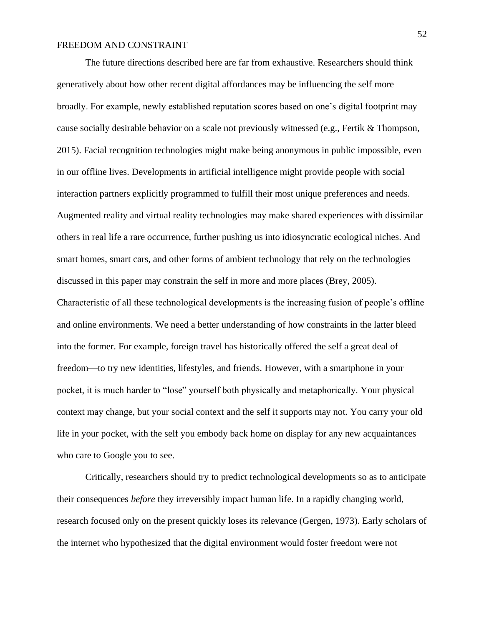The future directions described here are far from exhaustive. Researchers should think generatively about how other recent digital affordances may be influencing the self more broadly. For example, newly established reputation scores based on one's digital footprint may cause socially desirable behavior on a scale not previously witnessed (e.g., Fertik & Thompson, 2015). Facial recognition technologies might make being anonymous in public impossible, even in our offline lives. Developments in artificial intelligence might provide people with social interaction partners explicitly programmed to fulfill their most unique preferences and needs. Augmented reality and virtual reality technologies may make shared experiences with dissimilar others in real life a rare occurrence, further pushing us into idiosyncratic ecological niches. And smart homes, smart cars, and other forms of ambient technology that rely on the technologies discussed in this paper may constrain the self in more and more places (Brey, 2005). Characteristic of all these technological developments is the increasing fusion of people's offline

and online environments. We need a better understanding of how constraints in the latter bleed into the former. For example, foreign travel has historically offered the self a great deal of freedom—to try new identities, lifestyles, and friends. However, with a smartphone in your pocket, it is much harder to "lose" yourself both physically and metaphorically. Your physical context may change, but your social context and the self it supports may not. You carry your old life in your pocket, with the self you embody back home on display for any new acquaintances who care to Google you to see.

Critically, researchers should try to predict technological developments so as to anticipate their consequences *before* they irreversibly impact human life. In a rapidly changing world, research focused only on the present quickly loses its relevance (Gergen, 1973). Early scholars of the internet who hypothesized that the digital environment would foster freedom were not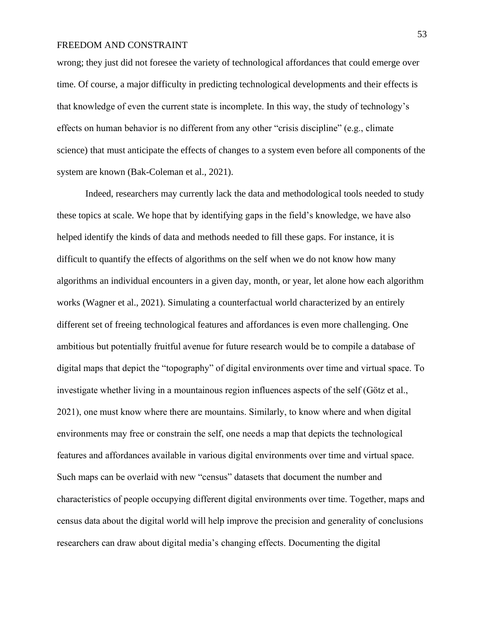wrong; they just did not foresee the variety of technological affordances that could emerge over time. Of course, a major difficulty in predicting technological developments and their effects is that knowledge of even the current state is incomplete. In this way, the study of technology's effects on human behavior is no different from any other "crisis discipline" (e.g., climate science) that must anticipate the effects of changes to a system even before all components of the system are known (Bak-Coleman et al., 2021).

Indeed, researchers may currently lack the data and methodological tools needed to study these topics at scale. We hope that by identifying gaps in the field's knowledge, we have also helped identify the kinds of data and methods needed to fill these gaps. For instance, it is difficult to quantify the effects of algorithms on the self when we do not know how many algorithms an individual encounters in a given day, month, or year, let alone how each algorithm works (Wagner et al., 2021). Simulating a counterfactual world characterized by an entirely different set of freeing technological features and affordances is even more challenging. One ambitious but potentially fruitful avenue for future research would be to compile a database of digital maps that depict the "topography" of digital environments over time and virtual space. To investigate whether living in a mountainous region influences aspects of the self (Götz et al., 2021), one must know where there are mountains. Similarly, to know where and when digital environments may free or constrain the self, one needs a map that depicts the technological features and affordances available in various digital environments over time and virtual space. Such maps can be overlaid with new "census" datasets that document the number and characteristics of people occupying different digital environments over time. Together, maps and census data about the digital world will help improve the precision and generality of conclusions researchers can draw about digital media's changing effects. Documenting the digital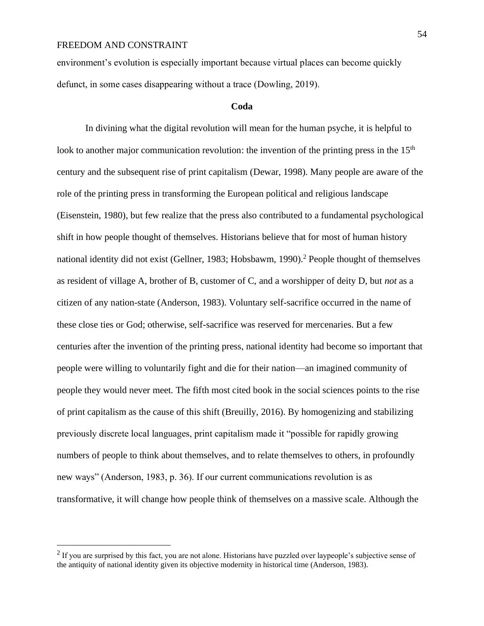environment's evolution is especially important because virtual places can become quickly defunct, in some cases disappearing without a trace (Dowling, 2019).

#### **Coda**

In divining what the digital revolution will mean for the human psyche, it is helpful to look to another major communication revolution: the invention of the printing press in the  $15<sup>th</sup>$ century and the subsequent rise of print capitalism (Dewar, 1998). Many people are aware of the role of the printing press in transforming the European political and religious landscape (Eisenstein, 1980), but few realize that the press also contributed to a fundamental psychological shift in how people thought of themselves. Historians believe that for most of human history national identity did not exist (Gellner, 1983; Hobsbawm, 1990).<sup>2</sup> People thought of themselves as resident of village A, brother of B, customer of C, and a worshipper of deity D, but *not* as a citizen of any nation-state (Anderson, 1983). Voluntary self-sacrifice occurred in the name of these close ties or God; otherwise, self-sacrifice was reserved for mercenaries. But a few centuries after the invention of the printing press, national identity had become so important that people were willing to voluntarily fight and die for their nation—an imagined community of people they would never meet. The fifth most cited book in the social sciences points to the rise of print capitalism as the cause of this shift (Breuilly, 2016). By homogenizing and stabilizing previously discrete local languages, print capitalism made it "possible for rapidly growing numbers of people to think about themselves, and to relate themselves to others, in profoundly new ways" (Anderson, 1983, p. 36). If our current communications revolution is as transformative, it will change how people think of themselves on a massive scale. Although the

 $2$  If you are surprised by this fact, you are not alone. Historians have puzzled over laypeople's subjective sense of the antiquity of national identity given its objective modernity in historical time (Anderson, 1983).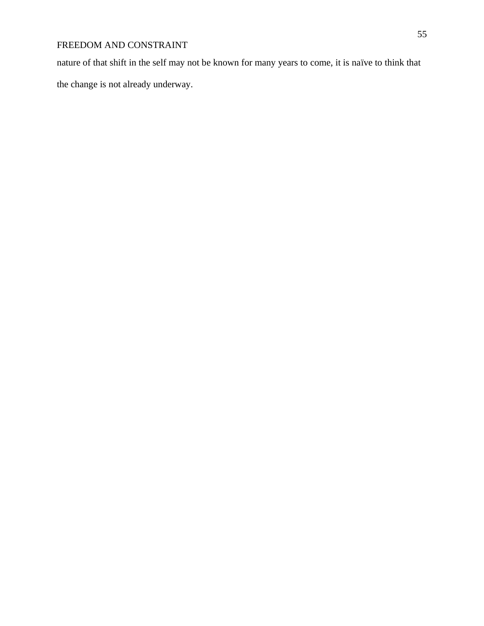nature of that shift in the self may not be known for many years to come, it is naïve to think that the change is not already underway.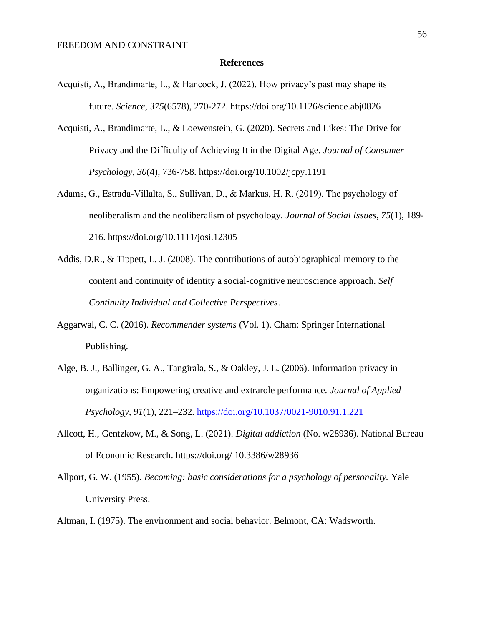#### **References**

- Acquisti, A., Brandimarte, L., & Hancock, J. (2022). How privacy's past may shape its future. *Science*, *375*(6578), 270-272. https://doi.org/10.1126/science.abj0826
- Acquisti, A., Brandimarte, L., & Loewenstein, G. (2020). Secrets and Likes: The Drive for Privacy and the Difficulty of Achieving It in the Digital Age. *Journal of Consumer Psychology*, *30*(4), 736-758. https://doi.org/10.1002/jcpy.1191
- Adams, G., Estrada‐Villalta, S., Sullivan, D., & Markus, H. R. (2019). The psychology of neoliberalism and the neoliberalism of psychology. *Journal of Social Issues*, *75*(1), 189- 216. https://doi.org/10.1111/josi.12305
- Addis, D.R., & Tippett, L. J. (2008). The contributions of autobiographical memory to the content and continuity of identity a social-cognitive neuroscience approach. *Self Continuity Individual and Collective Perspectives*.
- Aggarwal, C. C. (2016). *Recommender systems* (Vol. 1). Cham: Springer International Publishing.
- Alge, B. J., Ballinger, G. A., Tangirala, S., & Oakley, J. L. (2006). Information privacy in organizations: Empowering creative and extrarole performance. *Journal of Applied Psychology, 91*(1), 221–232. [https://doi.org/10.1037/0021-9010.91.1.221](https://psycnet.apa.org/doi/10.1037/0021-9010.91.1.221)
- Allcott, H., Gentzkow, M., & Song, L. (2021). *Digital addiction* (No. w28936). National Bureau of Economic Research. https://doi.org/ 10.3386/w28936
- Allport, G. W. (1955). *Becoming: basic considerations for a psychology of personality.* Yale University Press.
- Altman, I. (1975). The environment and social behavior. Belmont, CA: Wadsworth.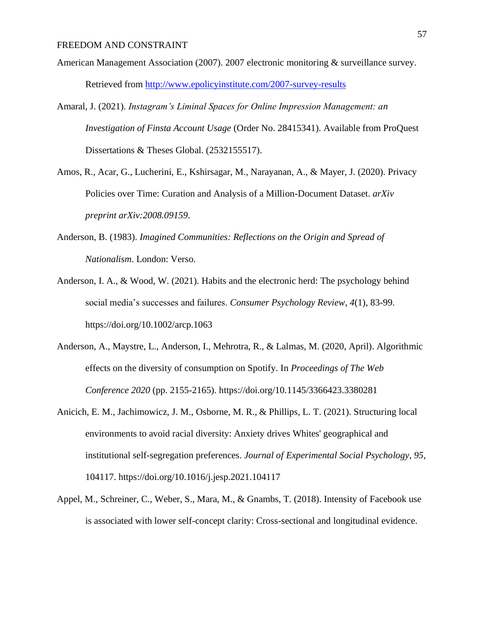- American Management Association (2007). 2007 electronic monitoring & surveillance survey. Retrieved from <http://www.epolicyinstitute.com/2007-survey-results>
- Amaral, J. (2021). *Instagram's Liminal Spaces for Online Impression Management: an Investigation of Finsta Account Usage* (Order No. 28415341). Available from ProQuest Dissertations & Theses Global. (2532155517).
- Amos, R., Acar, G., Lucherini, E., Kshirsagar, M., Narayanan, A., & Mayer, J. (2020). Privacy Policies over Time: Curation and Analysis of a Million-Document Dataset. *arXiv preprint arXiv:2008.09159*.
- Anderson, B. (1983). *Imagined Communities: Reflections on the Origin and Spread of Nationalism*. London: Verso.
- Anderson, I. A., & Wood, W. (2021). Habits and the electronic herd: The psychology behind social media's successes and failures. *Consumer Psychology Review*, *4*(1), 83-99. https://doi.org/10.1002/arcp.1063
- Anderson, A., Maystre, L., Anderson, I., Mehrotra, R., & Lalmas, M. (2020, April). Algorithmic effects on the diversity of consumption on Spotify. In *Proceedings of The Web Conference 2020* (pp. 2155-2165). https://doi.org/10.1145/3366423.3380281
- Anicich, E. M., Jachimowicz, J. M., Osborne, M. R., & Phillips, L. T. (2021). Structuring local environments to avoid racial diversity: Anxiety drives Whites' geographical and institutional self-segregation preferences. *Journal of Experimental Social Psychology*, *95*, 104117. https://doi.org/10.1016/j.jesp.2021.104117
- Appel, M., Schreiner, C., Weber, S., Mara, M., & Gnambs, T. (2018). Intensity of Facebook use is associated with lower self-concept clarity: Cross-sectional and longitudinal evidence.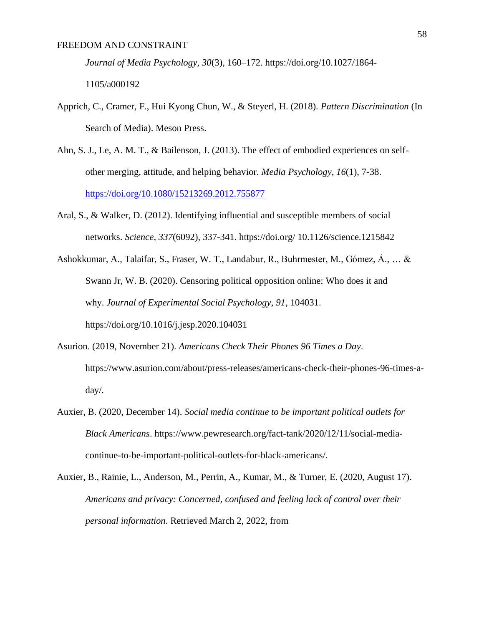*Journal of Media Psychology*, *30*(3), 160–172. https://doi.org/10.1027/1864-

1105/a000192

- Apprich, C., Cramer, F., Hui Kyong Chun, W., & Steyerl, H. (2018). *Pattern Discrimination* (In Search of Media). Meson Press.
- Ahn, S. J., Le, A. M. T., & Bailenson, J. (2013). The effect of embodied experiences on selfother merging, attitude, and helping behavior. *Media Psychology*, *16*(1), 7-38. <https://doi.org/10.1080/15213269.2012.755877>
- Aral, S., & Walker, D. (2012). Identifying influential and susceptible members of social networks. *Science*, *337*(6092), 337-341. https://doi.org/ 10.1126/science.1215842
- Ashokkumar, A., Talaifar, S., Fraser, W. T., Landabur, R., Buhrmester, M., Gómez, Á., … & Swann Jr, W. B. (2020). Censoring political opposition online: Who does it and why. *Journal of Experimental Social Psychology*, *91*, 104031. https://doi.org/10.1016/j.jesp.2020.104031
- Asurion. (2019, November 21). *Americans Check Their Phones 96 Times a Day*. https://www.asurion.com/about/press-releases/americans-check-their-phones-96-times-aday/.
- Auxier, B. (2020, December 14). *Social media continue to be important political outlets for Black Americans*. https://www.pewresearch.org/fact-tank/2020/12/11/social-mediacontinue-to-be-important-political-outlets-for-black-americans/.
- Auxier, B., Rainie, L., Anderson, M., Perrin, A., Kumar, M., & Turner, E. (2020, August 17). *Americans and privacy: Concerned, confused and feeling lack of control over their personal information*. Retrieved March 2, 2022, from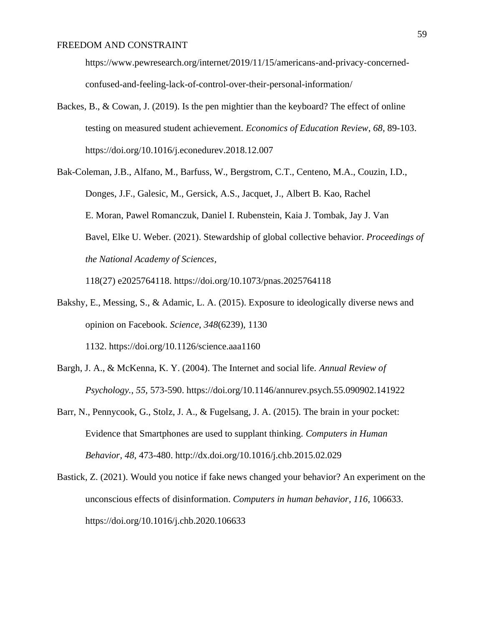https://www.pewresearch.org/internet/2019/11/15/americans-and-privacy-concernedconfused-and-feeling-lack-of-control-over-their-personal-information/

- Backes, B., & Cowan, J. (2019). Is the pen mightier than the keyboard? The effect of online testing on measured student achievement. *Economics of Education Review*, *68*, 89-103. https://doi.org/10.1016/j.econedurev.2018.12.007
- Bak-Coleman, J.B., Alfano, M., Barfuss, W., Bergstrom, C.T., Centeno, M.A., Couzin, I.D., Donges, J.F., Galesic, M., Gersick, A.S., Jacquet, J., Albert B. Kao, Rachel E. Moran, Pawel Romanczuk, Daniel I. Rubenstein, Kaia J. Tombak, Jay J. Van Bavel, Elke U. Weber. (2021). Stewardship of global collective behavior. *Proceedings of the National Academy of Sciences,*

118(27) e2025764118. https://doi.org/10.1073/pnas.2025764118

- Bakshy, E., Messing, S., & Adamic, L. A. (2015). Exposure to ideologically diverse news and opinion on Facebook. *Science*, *348*(6239), 1130 1132. <https://doi.org/10.1126/science.aaa1160>
- Bargh, J. A., & McKenna, K. Y. (2004). The Internet and social life. *Annual Review of Psychology.*, *55*, 573-590. https://doi.org/10.1146/annurev.psych.55.090902.141922
- Barr, N., Pennycook, G., Stolz, J. A., & Fugelsang, J. A. (2015). The brain in your pocket: Evidence that Smartphones are used to supplant thinking. *Computers in Human Behavior*, *48*, 473-480. http://dx.doi.org/10.1016/j.chb.2015.02.029
- Bastick, Z. (2021). Would you notice if fake news changed your behavior? An experiment on the unconscious effects of disinformation. *Computers in human behavior*, *116*, 106633. https://doi.org/10.1016/j.chb.2020.106633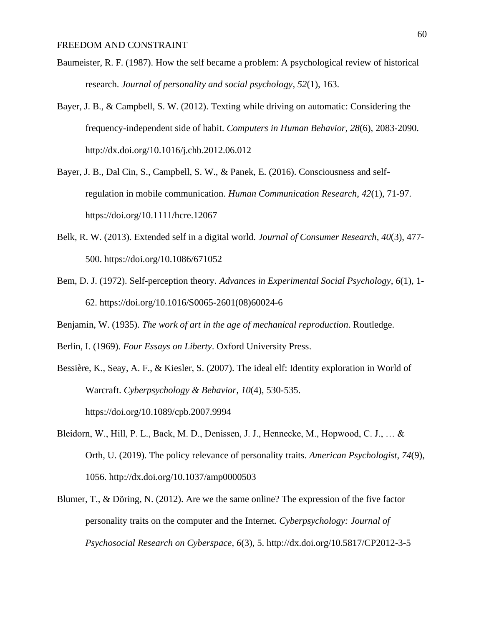- Baumeister, R. F. (1987). How the self became a problem: A psychological review of historical research. *Journal of personality and social psychology*, *52*(1), 163.
- Bayer, J. B., & Campbell, S. W. (2012). Texting while driving on automatic: Considering the frequency-independent side of habit. *Computers in Human Behavior*, *28*(6), 2083-2090. http://dx.doi.org/10.1016/j.chb.2012.06.012
- Bayer, J. B., Dal Cin, S., Campbell, S. W., & Panek, E. (2016). Consciousness and selfregulation in mobile communication. *Human Communication Research*, *42*(1), 71-97. https://doi.org/10.1111/hcre.12067
- Belk, R. W. (2013). Extended self in a digital world. *Journal of Consumer Research*, *40*(3), 477- 500. https://doi.org/10.1086/671052
- Bem, D. J. (1972). Self-perception theory. *Advances in Experimental Social Psychology*, *6*(1), 1- 62. https://doi.org/10.1016/S0065-2601(08)60024-6
- Benjamin, W. (1935). *The work of art in the age of mechanical reproduction*. Routledge.
- Berlin, I. (1969). *Four Essays on Liberty*. Oxford University Press.
- Bessière, K., Seay, A. F., & Kiesler, S. (2007). The ideal elf: Identity exploration in World of Warcraft. *Cyberpsychology & Behavior*, *10*(4), 530-535. https://doi.org/10.1089/cpb.2007.9994
- Bleidorn, W., Hill, P. L., Back, M. D., Denissen, J. J., Hennecke, M., Hopwood, C. J., … & Orth, U. (2019). The policy relevance of personality traits. *American Psychologist*, *74*(9), 1056. http://dx.doi.org/10.1037/amp0000503
- Blumer, T., & Döring, N. (2012). Are we the same online? The expression of the five factor personality traits on the computer and the Internet. *Cyberpsychology: Journal of Psychosocial Research on Cyberspace*, *6*(3), 5. http://dx.doi.org/10.5817/CP2012-3-5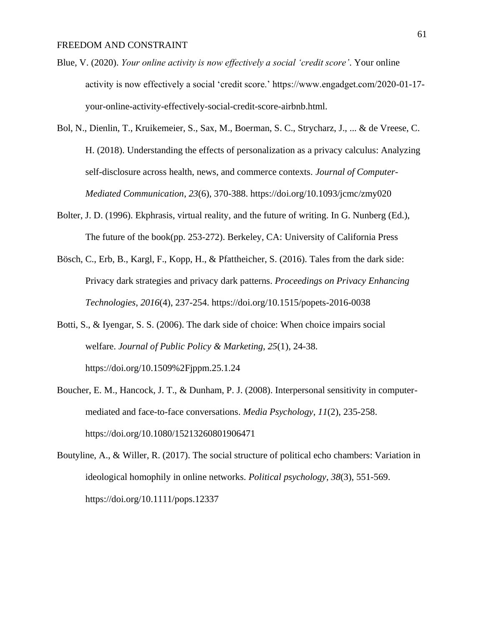- Blue, V. (2020). *Your online activity is now effectively a social 'credit score'*. Your online activity is now effectively a social 'credit score.' https://www.engadget.com/2020-01-17 your-online-activity-effectively-social-credit-score-airbnb.html.
- Bol, N., Dienlin, T., Kruikemeier, S., Sax, M., Boerman, S. C., Strycharz, J., ... & de Vreese, C. H. (2018). Understanding the effects of personalization as a privacy calculus: Analyzing self-disclosure across health, news, and commerce contexts. *Journal of Computer-Mediated Communication*, *23*(6), 370-388. https://doi.org/10.1093/jcmc/zmy020
- Bolter, J. D. (1996). Ekphrasis, virtual reality, and the future of writing. In G. Nunberg (Ed.), The future of the book(pp. 253-272). Berkeley, CA: University of California Press
- Bösch, C., Erb, B., Kargl, F., Kopp, H., & Pfattheicher, S. (2016). Tales from the dark side: Privacy dark strategies and privacy dark patterns. *Proceedings on Privacy Enhancing Technologies*, *2016*(4), 237-254. https://doi.org/10.1515/popets-2016-0038
- Botti, S., & Iyengar, S. S. (2006). The dark side of choice: When choice impairs social welfare. *Journal of Public Policy & Marketing*, *25*(1), 24-38. https://doi.org/10.1509%2Fjppm.25.1.24
- Boucher, E. M., Hancock, J. T., & Dunham, P. J. (2008). Interpersonal sensitivity in computermediated and face-to-face conversations. *Media Psychology*, *11*(2), 235-258. https://doi.org/10.1080/15213260801906471
- Boutyline, A., & Willer, R. (2017). The social structure of political echo chambers: Variation in ideological homophily in online networks. *Political psychology*, *38*(3), 551-569. https://doi.org/10.1111/pops.12337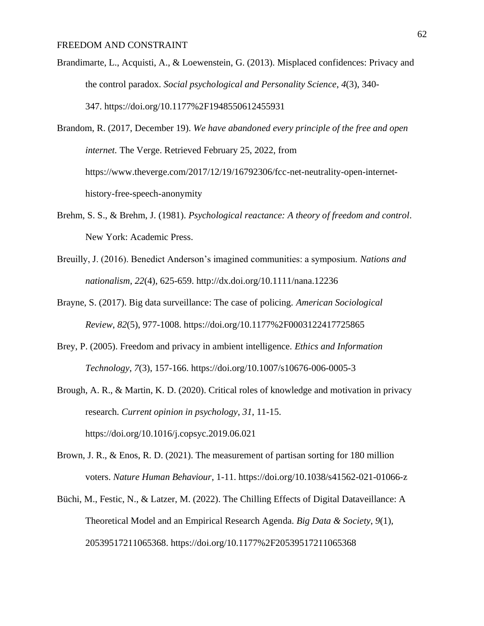- Brandimarte, L., Acquisti, A., & Loewenstein, G. (2013). Misplaced confidences: Privacy and the control paradox. *Social psychological and Personality Science*, *4*(3), 340- 347. https://doi.org/10.1177%2F1948550612455931
- Brandom, R. (2017, December 19). *We have abandoned every principle of the free and open internet*. The Verge. Retrieved February 25, 2022, from https://www.theverge.com/2017/12/19/16792306/fcc-net-neutrality-open-internethistory-free-speech-anonymity
- Brehm, S. S., & Brehm, J. (1981). *Psychological reactance: A theory of freedom and control*. New York: Academic Press.
- Breuilly, J. (2016). Benedict Anderson's imagined communities: a symposium. *Nations and nationalism*, *22*(4), 625-659. http://dx.doi.org/10.1111/nana.12236
- Brayne, S. (2017). Big data surveillance: The case of policing. *American Sociological Review*, *82*(5), 977-1008. https://doi.org/10.1177%2F0003122417725865
- Brey, P. (2005). Freedom and privacy in ambient intelligence. *Ethics and Information Technology*, *7*(3), 157-166. https://doi.org/10.1007/s10676-006-0005-3
- Brough, A. R., & Martin, K. D. (2020). Critical roles of knowledge and motivation in privacy research. *Current opinion in psychology*, *31*, 11-15. https://doi.org/10.1016/j.copsyc.2019.06.021
- Brown, J. R., & Enos, R. D. (2021). The measurement of partisan sorting for 180 million voters. *Nature Human Behaviour*, 1-11. https://doi.org/10.1038/s41562-021-01066-z
- Büchi, M., Festic, N., & Latzer, M. (2022). The Chilling Effects of Digital Dataveillance: A Theoretical Model and an Empirical Research Agenda. *Big Data & Society*, *9*(1), 20539517211065368. https://doi.org/10.1177%2F20539517211065368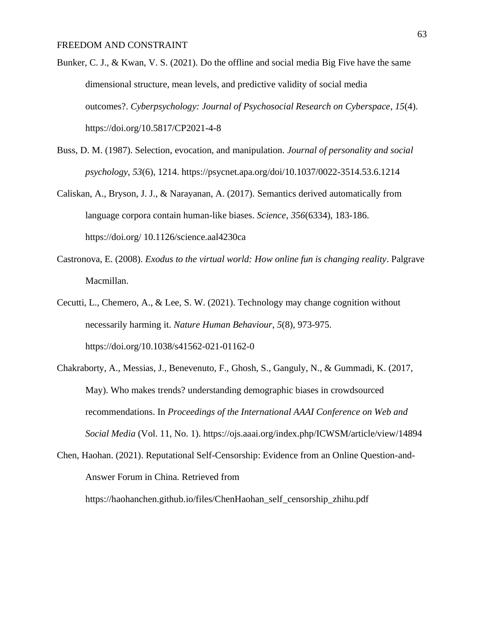- Bunker, C. J., & Kwan, V. S. (2021). Do the offline and social media Big Five have the same dimensional structure, mean levels, and predictive validity of social media outcomes?. *Cyberpsychology: Journal of Psychosocial Research on Cyberspace*, *15*(4). https://doi.org/10.5817/CP2021-4-8
- Buss, D. M. (1987). Selection, evocation, and manipulation. *Journal of personality and social psychology*, *53*(6), 1214. https://psycnet.apa.org/doi/10.1037/0022-3514.53.6.1214
- Caliskan, A., Bryson, J. J., & Narayanan, A. (2017). Semantics derived automatically from language corpora contain human-like biases. *Science*, *356*(6334), 183-186. https://doi.org/ 10.1126/science.aal4230ca
- Castronova, E. (2008). *Exodus to the virtual world: How online fun is changing reality*. Palgrave Macmillan.
- Cecutti, L., Chemero, A., & Lee, S. W. (2021). Technology may change cognition without necessarily harming it. *Nature Human Behaviour*, *5*(8), 973-975. https://doi.org/10.1038/s41562-021-01162-0
- Chakraborty, A., Messias, J., Benevenuto, F., Ghosh, S., Ganguly, N., & Gummadi, K. (2017, May). Who makes trends? understanding demographic biases in crowdsourced recommendations. In *Proceedings of the International AAAI Conference on Web and Social Media* (Vol. 11, No. 1). https://ojs.aaai.org/index.php/ICWSM/article/view/14894
- Chen, Haohan. (2021). Reputational Self-Censorship: Evidence from an Online Question-and-Answer Forum in China. Retrieved from

https://haohanchen.github.io/files/ChenHaohan\_self\_censorship\_zhihu.pdf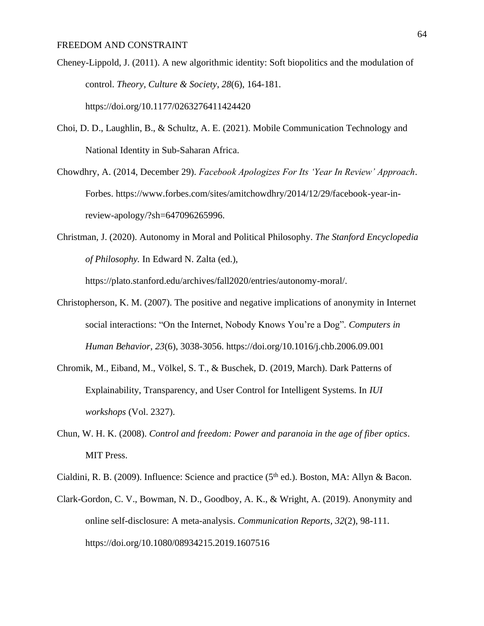- Cheney-Lippold, J. (2011). A new algorithmic identity: Soft biopolitics and the modulation of control. *Theory, Culture & Society*, *28*(6), 164-181. https://doi.org/10.1177/0263276411424420
- Choi, D. D., Laughlin, B., & Schultz, A. E. (2021). Mobile Communication Technology and National Identity in Sub-Saharan Africa.
- Chowdhry, A. (2014, December 29). *Facebook Apologizes For Its 'Year In Review' Approach*. Forbes. https://www.forbes.com/sites/amitchowdhry/2014/12/29/facebook-year-inreview-apology/?sh=647096265996.
- Christman, J. (2020). Autonomy in Moral and Political Philosophy. *The Stanford Encyclopedia of Philosophy.* In Edward N. Zalta (ed.),

https://plato.stanford.edu/archives/fall2020/entries/autonomy-moral/.

- Christopherson, K. M. (2007). The positive and negative implications of anonymity in Internet social interactions: "On the Internet, Nobody Knows You're a Dog". *Computers in Human Behavior*, *23*(6), 3038-3056. https://doi.org/10.1016/j.chb.2006.09.001
- Chromik, M., Eiband, M., Völkel, S. T., & Buschek, D. (2019, March). Dark Patterns of Explainability, Transparency, and User Control for Intelligent Systems. In *IUI workshops* (Vol. 2327).
- Chun, W. H. K. (2008). *Control and freedom: Power and paranoia in the age of fiber optics*. MIT Press.

Cialdini, R. B. (2009). Influence: Science and practice ( $5<sup>th</sup>$  ed.). Boston, MA: Allyn & Bacon.

Clark-Gordon, C. V., Bowman, N. D., Goodboy, A. K., & Wright, A. (2019). Anonymity and online self-disclosure: A meta-analysis. *Communication Reports*, *32*(2), 98-111. https://doi.org/10.1080/08934215.2019.1607516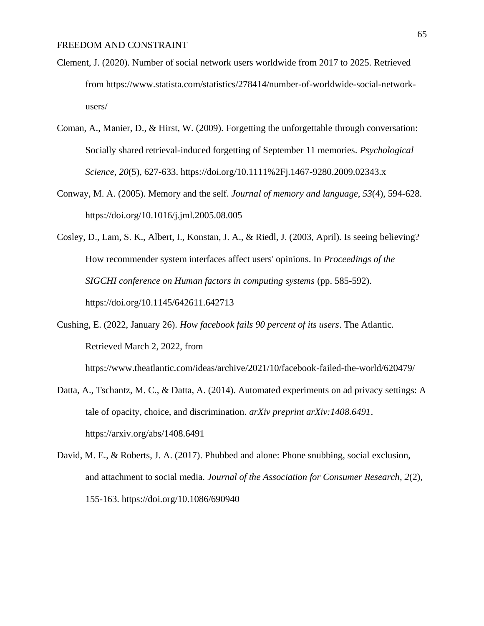- Clement, J. (2020). Number of social network users worldwide from 2017 to 2025. Retrieved from https://www.statista.com/statistics/278414/number-of-worldwide-social-networkusers/
- Coman, A., Manier, D., & Hirst, W. (2009). Forgetting the unforgettable through conversation: Socially shared retrieval-induced forgetting of September 11 memories. *Psychological Science*, *20*(5), 627-633. https://doi.org/10.1111%2Fj.1467-9280.2009.02343.x
- Conway, M. A. (2005). Memory and the self. *Journal of memory and language*, *53*(4), 594-628. https://doi.org/10.1016/j.jml.2005.08.005
- Cosley, D., Lam, S. K., Albert, I., Konstan, J. A., & Riedl, J. (2003, April). Is seeing believing? How recommender system interfaces affect users' opinions. In *Proceedings of the SIGCHI conference on Human factors in computing systems* (pp. 585-592). https://doi.org/10.1145/642611.642713
- Cushing, E. (2022, January 26). *How facebook fails 90 percent of its users*. The Atlantic. Retrieved March 2, 2022, from https://www.theatlantic.com/ideas/archive/2021/10/facebook-failed-the-world/620479/
- Datta, A., Tschantz, M. C., & Datta, A. (2014). Automated experiments on ad privacy settings: A tale of opacity, choice, and discrimination. *arXiv preprint arXiv:1408.6491*. https://arxiv.org/abs/1408.6491
- David, M. E., & Roberts, J. A. (2017). Phubbed and alone: Phone snubbing, social exclusion, and attachment to social media. *Journal of the Association for Consumer Research*, *2*(2), 155-163. https://doi.org/10.1086/690940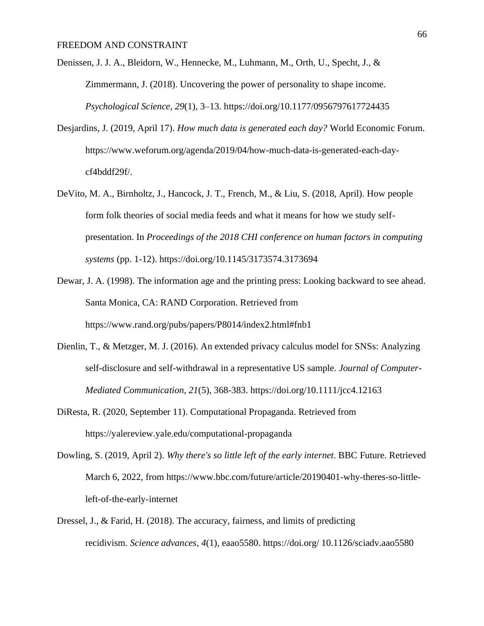- Denissen, J. J. A., Bleidorn, W., Hennecke, M., Luhmann, M., Orth, U., Specht, J., & Zimmermann, J. (2018). Uncovering the power of personality to shape income. *Psychological Science*, *29*(1), 3–13. https://doi.org/10.1177/0956797617724435
- Desjardins, J. (2019, April 17). *How much data is generated each day?* World Economic Forum. https://www.weforum.org/agenda/2019/04/how-much-data-is-generated-each-daycf4bddf29f/.
- DeVito, M. A., Birnholtz, J., Hancock, J. T., French, M., & Liu, S. (2018, April). How people form folk theories of social media feeds and what it means for how we study selfpresentation. In *Proceedings of the 2018 CHI conference on human factors in computing systems* (pp. 1-12). https://doi.org/10.1145/3173574.3173694
- Dewar, J. A. (1998). The information age and the printing press: Looking backward to see ahead. Santa Monica, CA: RAND Corporation. Retrieved from https://www.rand.org/pubs/papers/P8014/index2.html#fnb1
- Dienlin, T., & Metzger, M. J. (2016). An extended privacy calculus model for SNSs: Analyzing self-disclosure and self-withdrawal in a representative US sample. *Journal of Computer-Mediated Communication*, *21*(5), 368-383. https://doi.org/10.1111/jcc4.12163
- DiResta, R. (2020, September 11). Computational Propaganda. Retrieved from https://yalereview.yale.edu/computational-propaganda
- Dowling, S. (2019, April 2). *Why there's so little left of the early internet*. BBC Future. Retrieved March 6, 2022, from https://www.bbc.com/future/article/20190401-why-theres-so-littleleft-of-the-early-internet
- Dressel, J., & Farid, H. (2018). The accuracy, fairness, and limits of predicting recidivism. *Science advances*, *4*(1), eaao5580. https://doi.org/ 10.1126/sciadv.aao5580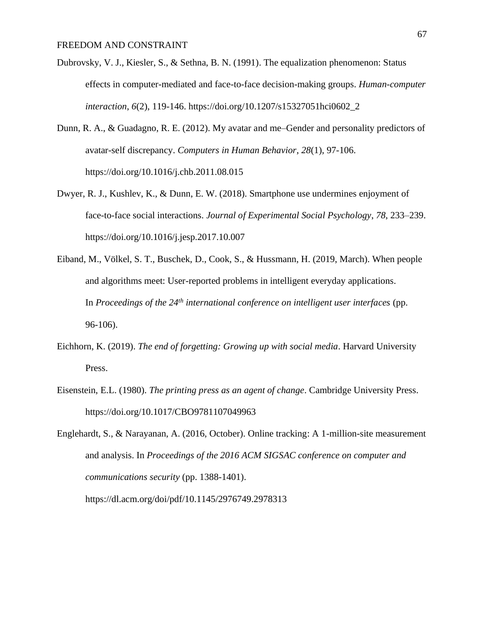- Dubrovsky, V. J., Kiesler, S., & Sethna, B. N. (1991). The equalization phenomenon: Status effects in computer-mediated and face-to-face decision-making groups. *Human-computer interaction*, *6*(2), 119-146. https://doi.org/10.1207/s15327051hci0602\_2
- Dunn, R. A., & Guadagno, R. E. (2012). My avatar and me–Gender and personality predictors of avatar-self discrepancy. *Computers in Human Behavior*, *28*(1), 97-106. https://doi.org/10.1016/j.chb.2011.08.015
- Dwyer, R. J., Kushlev, K., & Dunn, E. W. (2018). Smartphone use undermines enjoyment of face-to-face social interactions. *Journal of Experimental Social Psychology*, *78*, 233–239. https://doi.org/10.1016/j.jesp.2017.10.007
- Eiband, M., Völkel, S. T., Buschek, D., Cook, S., & Hussmann, H. (2019, March). When people and algorithms meet: User-reported problems in intelligent everyday applications. In *Proceedings of the 24th international conference on intelligent user interfaces* (pp. 96-106).
- Eichhorn, K. (2019). *The end of forgetting: Growing up with social media*. Harvard University Press.
- Eisenstein, E.L. (1980). *The printing press as an agent of change*. Cambridge University Press. https://doi.org/10.1017/CBO9781107049963

Englehardt, S., & Narayanan, A. (2016, October). Online tracking: A 1-million-site measurement and analysis. In *Proceedings of the 2016 ACM SIGSAC conference on computer and communications security* (pp. 1388-1401).

https://dl.acm.org/doi/pdf/10.1145/2976749.2978313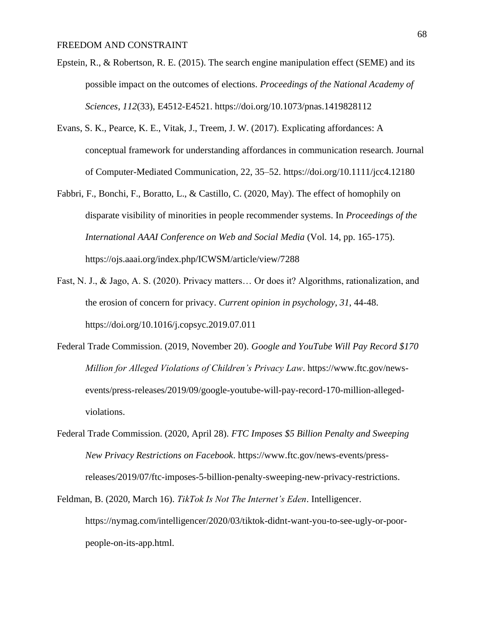- Epstein, R., & Robertson, R. E. (2015). The search engine manipulation effect (SEME) and its possible impact on the outcomes of elections. *Proceedings of the National Academy of Sciences*, *112*(33), E4512-E4521. https://doi.org/10.1073/pnas.1419828112
- Evans, S. K., Pearce, K. E., Vitak, J., Treem, J. W. (2017). Explicating affordances: A conceptual framework for understanding affordances in communication research. Journal of Computer-Mediated Communication, 22, 35–52. https://doi.org/10.1111/jcc4.12180
- Fabbri, F., Bonchi, F., Boratto, L., & Castillo, C. (2020, May). The effect of homophily on disparate visibility of minorities in people recommender systems. In *Proceedings of the International AAAI Conference on Web and Social Media* (Vol. 14, pp. 165-175). https://ojs.aaai.org/index.php/ICWSM/article/view/7288
- Fast, N. J., & Jago, A. S. (2020). Privacy matters… Or does it? Algorithms, rationalization, and the erosion of concern for privacy. *Current opinion in psychology*, *31*, 44-48. https://doi.org/10.1016/j.copsyc.2019.07.011
- Federal Trade Commission. (2019, November 20). *Google and YouTube Will Pay Record \$170 Million for Alleged Violations of Children's Privacy Law*. https://www.ftc.gov/newsevents/press-releases/2019/09/google-youtube-will-pay-record-170-million-allegedviolations.
- Federal Trade Commission. (2020, April 28). *FTC Imposes \$5 Billion Penalty and Sweeping New Privacy Restrictions on Facebook*. https://www.ftc.gov/news-events/pressreleases/2019/07/ftc-imposes-5-billion-penalty-sweeping-new-privacy-restrictions.
- Feldman, B. (2020, March 16). *TikTok Is Not The Internet's Eden*. Intelligencer. https://nymag.com/intelligencer/2020/03/tiktok-didnt-want-you-to-see-ugly-or-poorpeople-on-its-app.html.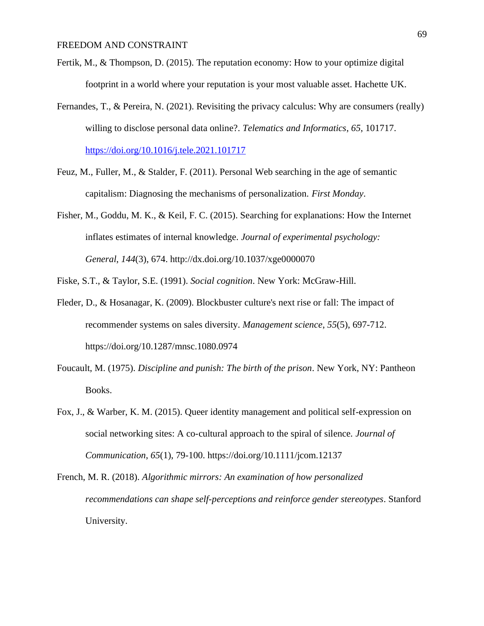- Fertik, M., & Thompson, D. (2015). The reputation economy: How to your optimize digital footprint in a world where your reputation is your most valuable asset. Hachette UK.
- Fernandes, T., & Pereira, N. (2021). Revisiting the privacy calculus: Why are consumers (really) willing to disclose personal data online?. *Telematics and Informatics*, *65*, 101717. <https://doi.org/10.1016/j.tele.2021.101717>
- Feuz, M., Fuller, M., & Stalder, F. (2011). Personal Web searching in the age of semantic capitalism: Diagnosing the mechanisms of personalization. *First Monday*.
- Fisher, M., Goddu, M. K., & Keil, F. C. (2015). Searching for explanations: How the Internet inflates estimates of internal knowledge. *Journal of experimental psychology: General*, *144*(3), 674. http://dx.doi.org/10.1037/xge0000070

Fiske, S.T., & Taylor, S.E. (1991). *Social cognition*. New York: McGraw-Hill.

- Fleder, D., & Hosanagar, K. (2009). Blockbuster culture's next rise or fall: The impact of recommender systems on sales diversity. *Management science*, *55*(5), 697-712. https://doi.org/10.1287/mnsc.1080.0974
- Foucault, M. (1975). *Discipline and punish: The birth of the prison*. New York, NY: Pantheon Books.
- Fox, J., & Warber, K. M. (2015). Queer identity management and political self-expression on social networking sites: A co-cultural approach to the spiral of silence. *Journal of Communication*, *65*(1), 79-100. https://doi.org/10.1111/jcom.12137

French, M. R. (2018). *Algorithmic mirrors: An examination of how personalized recommendations can shape self-perceptions and reinforce gender stereotypes*. Stanford University.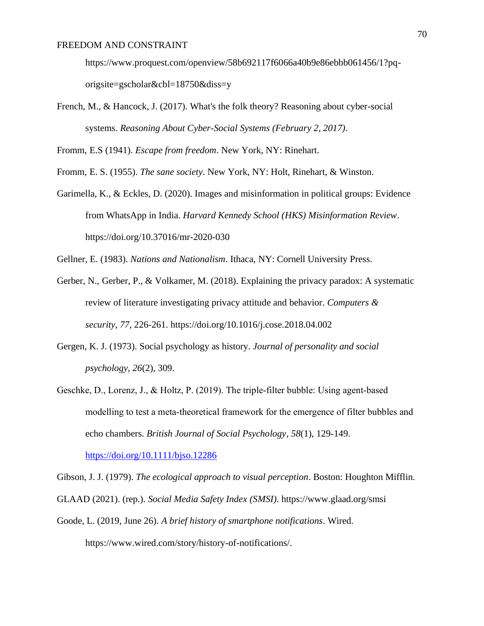https://www.proquest.com/openview/58b692117f6066a40b9e86ebbb061456/1?pqorigsite=gscholar&cbl=18750&diss=y

French, M., & Hancock, J. (2017). What's the folk theory? Reasoning about cyber-social systems. *Reasoning About Cyber-Social Systems (February 2, 2017)*.

Fromm, E.S (1941). *Escape from freedom*. New York, NY: Rinehart.

Fromm, E. S. (1955). *The sane society*. New York, NY: Holt, Rinehart, & Winston.

- Garimella, K., & Eckles, D. (2020). Images and misinformation in political groups: Evidence from WhatsApp in India. *Harvard Kennedy School (HKS) Misinformation Review*. https://doi.org/10.37016/mr-2020-030
- Gellner, E. (1983). *Nations and Nationalism*. Ithaca, NY: Cornell University Press.
- Gerber, N., Gerber, P., & Volkamer, M. (2018). Explaining the privacy paradox: A systematic review of literature investigating privacy attitude and behavior. *Computers & security*, *77*, 226-261. https://doi.org/10.1016/j.cose.2018.04.002
- Gergen, K. J. (1973). Social psychology as history. *Journal of personality and social psychology*, *26*(2), 309.
- Geschke, D., Lorenz, J., & Holtz, P. (2019). The triple‐filter bubble: Using agent‐based modelling to test a meta‐theoretical framework for the emergence of filter bubbles and echo chambers. *British Journal of Social Psychology*, *58*(1), 129-149.

<https://doi.org/10.1111/bjso.12286>

Gibson, J. J. (1979). *The ecological approach to visual perception*. Boston: Houghton Mifflin.

- GLAAD (2021). (rep.). *Social Media Safety Index (SMSI)*. https://www.glaad.org/smsi
- Goode, L. (2019, June 26). *A brief history of smartphone notifications*. Wired. https://www.wired.com/story/history-of-notifications/.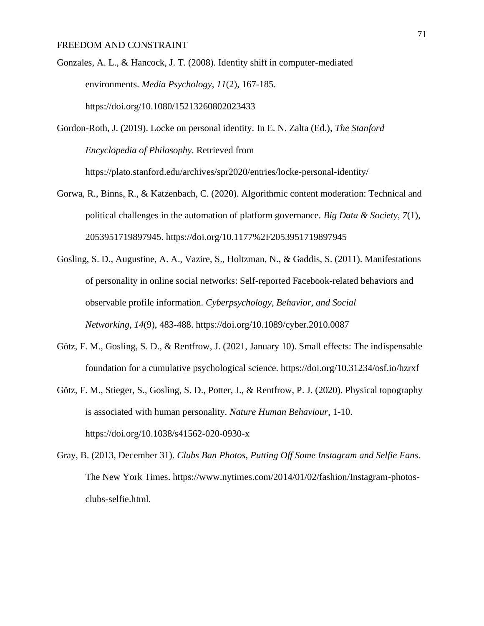Gonzales, A. L., & Hancock, J. T. (2008). Identity shift in computer-mediated environments. *Media Psychology*, *11*(2), 167-185. https://doi.org/10.1080/15213260802023433

Gordon-Roth, J. (2019). Locke on personal identity. In E. N. Zalta (Ed.), *The Stanford Encyclopedia of Philosophy*. Retrieved from https://plato.stanford.edu/archives/spr2020/entries/locke-personal-identity/

- Gorwa, R., Binns, R., & Katzenbach, C. (2020). Algorithmic content moderation: Technical and political challenges in the automation of platform governance. *Big Data & Society*, *7*(1), 2053951719897945. https://doi.org/10.1177%2F2053951719897945
- Gosling, S. D., Augustine, A. A., Vazire, S., Holtzman, N., & Gaddis, S. (2011). Manifestations of personality in online social networks: Self-reported Facebook-related behaviors and observable profile information. *Cyberpsychology, Behavior, and Social Networking*, *14*(9), 483-488. https://doi.org/10.1089/cyber.2010.0087
- Götz, F. M., Gosling, S. D., & Rentfrow, J. (2021, January 10). Small effects: The indispensable foundation for a cumulative psychological science. https://doi.org/10.31234/osf.io/hzrxf
- Götz, F. M., Stieger, S., Gosling, S. D., Potter, J., & Rentfrow, P. J. (2020). Physical topography is associated with human personality. *Nature Human Behaviour*, 1-10. https://doi.org/10.1038/s41562-020-0930-x
- Gray, B. (2013, December 31). *Clubs Ban Photos, Putting Off Some Instagram and Selfie Fans*. The New York Times. https://www.nytimes.com/2014/01/02/fashion/Instagram-photosclubs-selfie.html.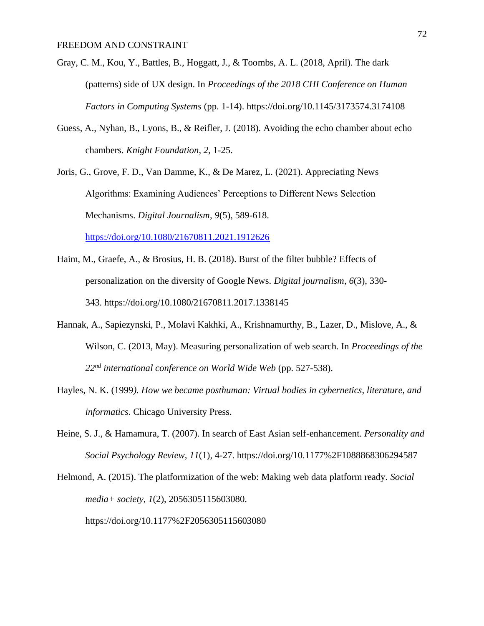- Gray, C. M., Kou, Y., Battles, B., Hoggatt, J., & Toombs, A. L. (2018, April). The dark (patterns) side of UX design. In *Proceedings of the 2018 CHI Conference on Human Factors in Computing Systems* (pp. 1-14). https://doi.org/10.1145/3173574.3174108
- Guess, A., Nyhan, B., Lyons, B., & Reifler, J. (2018). Avoiding the echo chamber about echo chambers. *Knight Foundation*, *2*, 1-25.
- Joris, G., Grove, F. D., Van Damme, K., & De Marez, L. (2021). Appreciating News Algorithms: Examining Audiences' Perceptions to Different News Selection Mechanisms. *Digital Journalism*, *9*(5), 589-618. <https://doi.org/10.1080/21670811.2021.1912626>
- Haim, M., Graefe, A., & Brosius, H. B. (2018). Burst of the filter bubble? Effects of personalization on the diversity of Google News. *Digital journalism*, *6*(3), 330- 343. https://doi.org/10.1080/21670811.2017.1338145
- Hannak, A., Sapiezynski, P., Molavi Kakhki, A., Krishnamurthy, B., Lazer, D., Mislove, A., & Wilson, C. (2013, May). Measuring personalization of web search. In *Proceedings of the 22nd international conference on World Wide Web* (pp. 527-538).
- Hayles, N. K. (1999*). How we became posthuman: Virtual bodies in cybernetics, literature, and informatics*. Chicago University Press.
- Heine, S. J., & Hamamura, T. (2007). In search of East Asian self-enhancement. *Personality and Social Psychology Review*, *11*(1), 4-27. https://doi.org/10.1177%2F1088868306294587

Helmond, A. (2015). The platformization of the web: Making web data platform ready. *Social media+ society*, *1*(2), 2056305115603080. https://doi.org/10.1177%2F2056305115603080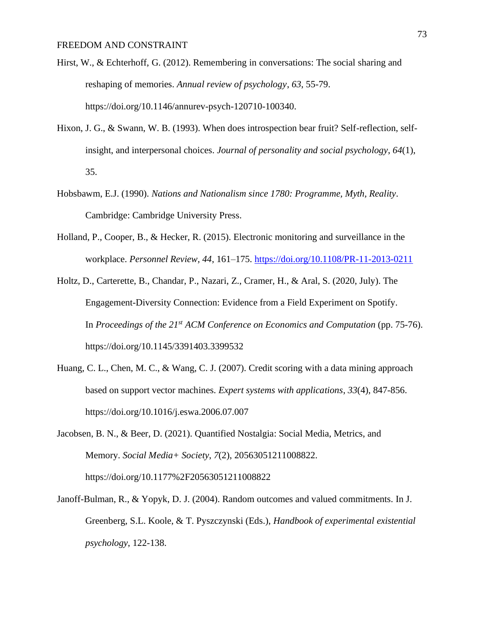- Hirst, W., & Echterhoff, G. (2012). Remembering in conversations: The social sharing and reshaping of memories. *Annual review of psychology*, *63*, 55-79. https://doi.org/10.1146/annurev-psych-120710-100340.
- Hixon, J. G., & Swann, W. B. (1993). When does introspection bear fruit? Self-reflection, selfinsight, and interpersonal choices. *Journal of personality and social psychology*, *64*(1), 35.
- Hobsbawm, E.J. (1990). *Nations and Nationalism since 1780: Programme, Myth, Reality*. Cambridge: Cambridge University Press.
- Holland, P., Cooper, B., & Hecker, R. (2015). Electronic monitoring and surveillance in the workplace. *Personnel Review, 44*, 161–175. <https://doi.org/10.1108/PR-11-2013-0211>
- Holtz, D., Carterette, B., Chandar, P., Nazari, Z., Cramer, H., & Aral, S. (2020, July). The Engagement-Diversity Connection: Evidence from a Field Experiment on Spotify. In *Proceedings of the 21st ACM Conference on Economics and Computation* (pp. 75-76). https://doi.org/10.1145/3391403.3399532
- Huang, C. L., Chen, M. C., & Wang, C. J. (2007). Credit scoring with a data mining approach based on support vector machines. *Expert systems with applications*, *33*(4), 847-856. https://doi.org/10.1016/j.eswa.2006.07.007
- Jacobsen, B. N., & Beer, D. (2021). Quantified Nostalgia: Social Media, Metrics, and Memory. *Social Media+ Society*, *7*(2), 20563051211008822. https://doi.org/10.1177%2F20563051211008822
- Janoff-Bulman, R., & Yopyk, D. J. (2004). Random outcomes and valued commitments. In J. Greenberg, S.L. Koole, & T. Pyszczynski (Eds.), *Handbook of experimental existential psychology*, 122-138.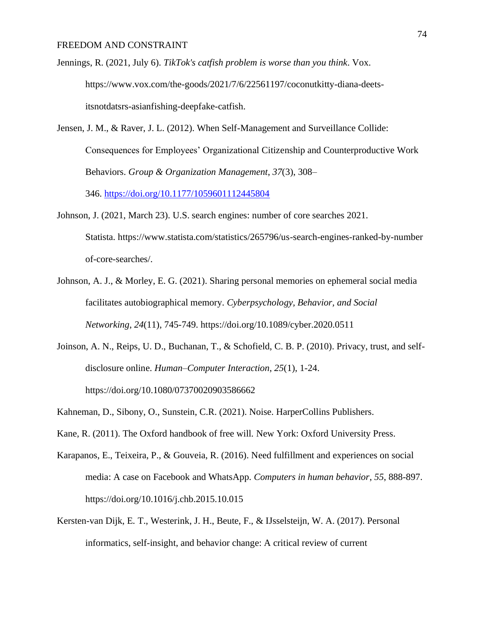- Jennings, R. (2021, July 6). *TikTok's catfish problem is worse than you think*. Vox. https://www.vox.com/the-goods/2021/7/6/22561197/coconutkitty-diana-deetsitsnotdatsrs-asianfishing-deepfake-catfish.
- Jensen, J. M., & Raver, J. L. (2012). When Self-Management and Surveillance Collide: Consequences for Employees' Organizational Citizenship and Counterproductive Work Behaviors. *Group & Organization Management*, *37*(3), 308– 346. <https://doi.org/10.1177/1059601112445804>
- Johnson, J. (2021, March 23). U.S. search engines: number of core searches 2021. Statista. https://www.statista.com/statistics/265796/us-search-engines-ranked-by-number of-core-searches/.
- Johnson, A. J., & Morley, E. G. (2021). Sharing personal memories on ephemeral social media facilitates autobiographical memory. *Cyberpsychology, Behavior, and Social Networking*, *24*(11), 745-749. https://doi.org/10.1089/cyber.2020.0511
- Joinson, A. N., Reips, U. D., Buchanan, T., & Schofield, C. B. P. (2010). Privacy, trust, and selfdisclosure online. *Human–Computer Interaction*, *25*(1), 1-24. https://doi.org/10.1080/07370020903586662
- Kahneman, D., Sibony, O., Sunstein, C.R. (2021). Noise. HarperCollins Publishers.
- Kane, R. (2011). The Oxford handbook of free will. New York: Oxford University Press.
- Karapanos, E., Teixeira, P., & Gouveia, R. (2016). Need fulfillment and experiences on social media: A case on Facebook and WhatsApp. *Computers in human behavior*, *55*, 888-897. https://doi.org/10.1016/j.chb.2015.10.015
- Kersten-van Dijk, E. T., Westerink, J. H., Beute, F., & IJsselsteijn, W. A. (2017). Personal informatics, self-insight, and behavior change: A critical review of current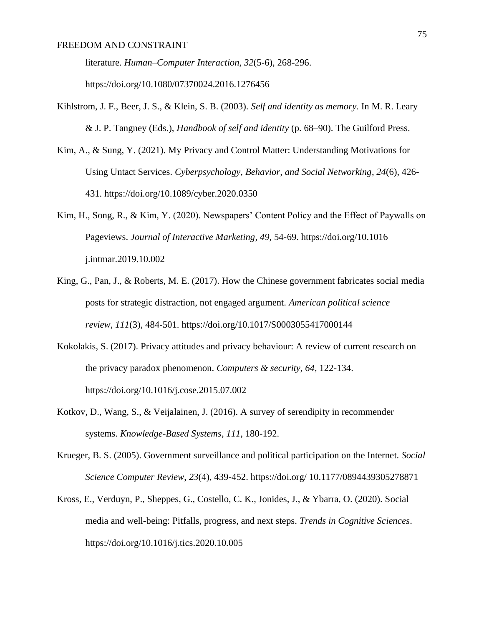literature. *Human–Computer Interaction*, *32*(5-6), 268-296.

https://doi.org/10.1080/07370024.2016.1276456

- Kihlstrom, J. F., Beer, J. S., & Klein, S. B. (2003). *Self and identity as memory.* In M. R. Leary & J. P. Tangney (Eds.), *Handbook of self and identity* (p. 68–90). The Guilford Press.
- Kim, A., & Sung, Y. (2021). My Privacy and Control Matter: Understanding Motivations for Using Untact Services. *Cyberpsychology, Behavior, and Social Networking*, *24*(6), 426- 431. https://doi.org/10.1089/cyber.2020.0350
- Kim, H., Song, R., & Kim, Y. (2020). Newspapers' Content Policy and the Effect of Paywalls on Pageviews. *Journal of Interactive Marketing*, *49*, 54-69. https://doi.org/10.1016 j.intmar.2019.10.002
- King, G., Pan, J., & Roberts, M. E. (2017). How the Chinese government fabricates social media posts for strategic distraction, not engaged argument. *American political science review*, *111*(3), 484-501. https://doi.org/10.1017/S0003055417000144
- Kokolakis, S. (2017). Privacy attitudes and privacy behaviour: A review of current research on the privacy paradox phenomenon. *Computers & security*, *64*, 122-134. https://doi.org/10.1016/j.cose.2015.07.002
- Kotkov, D., Wang, S., & Veijalainen, J. (2016). A survey of serendipity in recommender systems. *Knowledge-Based Systems*, *111*, 180-192.
- Krueger, B. S. (2005). Government surveillance and political participation on the Internet. *Social Science Computer Review*, *23*(4), 439-452. https://doi.org/ 10.1177/0894439305278871
- Kross, E., Verduyn, P., Sheppes, G., Costello, C. K., Jonides, J., & Ybarra, O. (2020). Social media and well-being: Pitfalls, progress, and next steps. *Trends in Cognitive Sciences*. https://doi.org/10.1016/j.tics.2020.10.005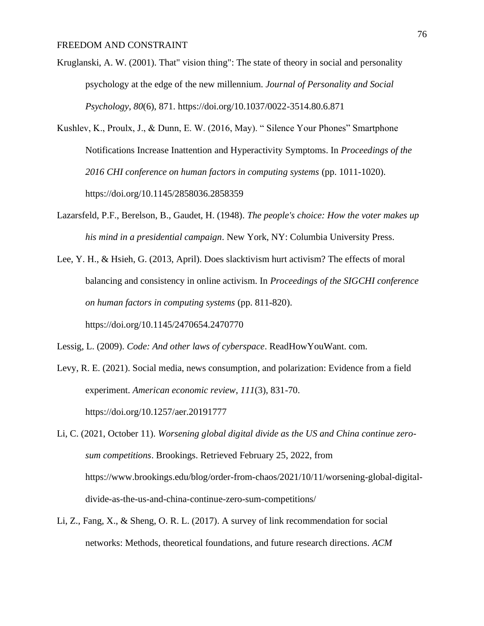- Kruglanski, A. W. (2001). That" vision thing": The state of theory in social and personality psychology at the edge of the new millennium. *Journal of Personality and Social Psychology*, *80*(6), 871. https://doi.org/10.1037/0022-3514.80.6.871
- Kushlev, K., Proulx, J., & Dunn, E. W. (2016, May). " Silence Your Phones" Smartphone Notifications Increase Inattention and Hyperactivity Symptoms. In *Proceedings of the 2016 CHI conference on human factors in computing systems* (pp. 1011-1020). https://doi.org/10.1145/2858036.2858359
- Lazarsfeld, P.F., Berelson, B., Gaudet, H. (1948). *The people's choice: How the voter makes up his mind in a presidential campaign*. New York, NY: Columbia University Press.
- Lee, Y. H., & Hsieh, G. (2013, April). Does slacktivism hurt activism? The effects of moral balancing and consistency in online activism. In *Proceedings of the SIGCHI conference on human factors in computing systems* (pp. 811-820).

https://doi.org/10.1145/2470654.2470770

Lessig, L. (2009). *Code: And other laws of cyberspace*. ReadHowYouWant. com.

Levy, R. E. (2021). Social media, news consumption, and polarization: Evidence from a field experiment. *American economic review*, *111*(3), 831-70. https://doi.org/10.1257/aer.20191777

Li, C. (2021, October 11). *Worsening global digital divide as the US and China continue zerosum competitions*. Brookings. Retrieved February 25, 2022, from https://www.brookings.edu/blog/order-from-chaos/2021/10/11/worsening-global-digitaldivide-as-the-us-and-china-continue-zero-sum-competitions/

Li, Z., Fang, X., & Sheng, O. R. L. (2017). A survey of link recommendation for social networks: Methods, theoretical foundations, and future research directions. *ACM*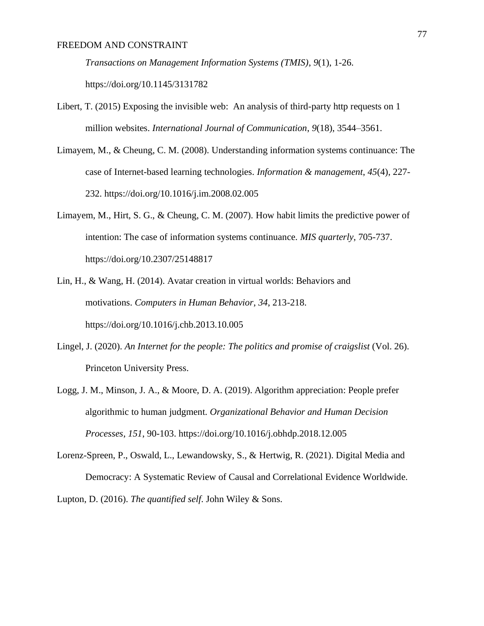*Transactions on Management Information Systems (TMIS)*, *9*(1), 1-26.

https://doi.org/10.1145/3131782

- Libert, T. (2015) Exposing the invisible web: An analysis of third-party http requests on 1 million websites. *International Journal of Communication*, *9*(18), 3544–3561.
- Limayem, M., & Cheung, C. M. (2008). Understanding information systems continuance: The case of Internet-based learning technologies. *Information & management*, *45*(4), 227- 232. https://doi.org/10.1016/j.im.2008.02.005
- Limayem, M., Hirt, S. G., & Cheung, C. M. (2007). How habit limits the predictive power of intention: The case of information systems continuance. *MIS quarterly*, 705-737. https://doi.org/10.2307/25148817
- Lin, H., & Wang, H. (2014). Avatar creation in virtual worlds: Behaviors and motivations. *Computers in Human Behavior*, *34*, 213-218. https://doi.org/10.1016/j.chb.2013.10.005
- Lingel, J. (2020). *An Internet for the people: The politics and promise of craigslist* (Vol. 26). Princeton University Press.
- Logg, J. M., Minson, J. A., & Moore, D. A. (2019). Algorithm appreciation: People prefer algorithmic to human judgment. *Organizational Behavior and Human Decision Processes*, *151*, 90-103. https://doi.org/10.1016/j.obhdp.2018.12.005
- Lorenz-Spreen, P., Oswald, L., Lewandowsky, S., & Hertwig, R. (2021). Digital Media and Democracy: A Systematic Review of Causal and Correlational Evidence Worldwide.

Lupton, D. (2016). *The quantified self*. John Wiley & Sons.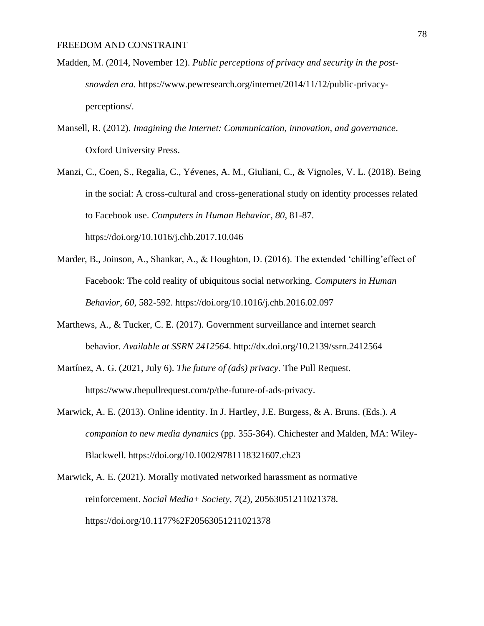- Madden, M. (2014, November 12). *Public perceptions of privacy and security in the postsnowden era*. https://www.pewresearch.org/internet/2014/11/12/public-privacyperceptions/.
- Mansell, R. (2012). *Imagining the Internet: Communication, innovation, and governance*. Oxford University Press.
- Manzi, C., Coen, S., Regalia, C., Yévenes, A. M., Giuliani, C., & Vignoles, V. L. (2018). Being in the social: A cross-cultural and cross-generational study on identity processes related to Facebook use. *Computers in Human Behavior*, *80*, 81-87. https://doi.org/10.1016/j.chb.2017.10.046
- Marder, B., Joinson, A., Shankar, A., & Houghton, D. (2016). The extended 'chilling'effect of Facebook: The cold reality of ubiquitous social networking. *Computers in Human Behavior*, *60*, 582-592. https://doi.org/10.1016/j.chb.2016.02.097
- Marthews, A., & Tucker, C. E. (2017). Government surveillance and internet search behavior. *Available at SSRN 2412564*. http://dx.doi.org/10.2139/ssrn.2412564
- Martínez, A. G. (2021, July 6). *The future of (ads) privacy*. The Pull Request. https://www.thepullrequest.com/p/the-future-of-ads-privacy.
- Marwick, A. E. (2013). Online identity. In J. Hartley, J.E. Burgess, & A. Bruns. (Eds.). *A companion to new media dynamics* (pp. 355-364). Chichester and Malden, MA: Wiley-Blackwell. https://doi.org/10.1002/9781118321607.ch23
- Marwick, A. E. (2021). Morally motivated networked harassment as normative reinforcement. *Social Media+ Society*, *7*(2), 20563051211021378. https://doi.org/10.1177%2F20563051211021378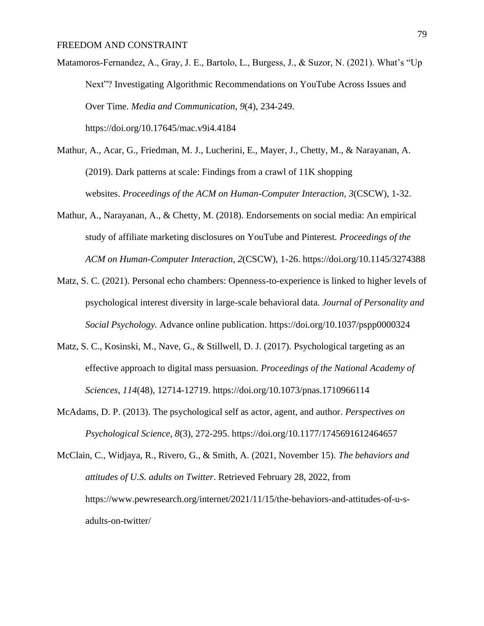Matamoros-Fernandez, A., Gray, J. E., Bartolo, L., Burgess, J., & Suzor, N. (2021). What's "Up Next"? Investigating Algorithmic Recommendations on YouTube Across Issues and Over Time. *Media and Communication*, *9*(4), 234-249. https://doi.org/10.17645/mac.v9i4.4184

- Mathur, A., Acar, G., Friedman, M. J., Lucherini, E., Mayer, J., Chetty, M., & Narayanan, A. (2019). Dark patterns at scale: Findings from a crawl of 11K shopping websites. *Proceedings of the ACM on Human-Computer Interaction*, *3*(CSCW), 1-32.
- Mathur, A., Narayanan, A., & Chetty, M. (2018). Endorsements on social media: An empirical study of affiliate marketing disclosures on YouTube and Pinterest. *Proceedings of the ACM on Human-Computer Interaction*, *2*(CSCW), 1-26. https://doi.org/10.1145/3274388
- Matz, S. C. (2021). Personal echo chambers: Openness-to-experience is linked to higher levels of psychological interest diversity in large-scale behavioral data. *Journal of Personality and Social Psychology.* Advance online publication. https://doi.org/10.1037/pspp0000324
- Matz, S. C., Kosinski, M., Nave, G., & Stillwell, D. J. (2017). Psychological targeting as an effective approach to digital mass persuasion. *Proceedings of the National Academy of Sciences*, *114*(48), 12714-12719. https://doi.org/10.1073/pnas.1710966114
- McAdams, D. P. (2013). The psychological self as actor, agent, and author. *Perspectives on Psychological Science*, *8*(3), 272-295. https://doi.org/10.1177/1745691612464657

McClain, C., Widjaya, R., Rivero, G., & Smith, A. (2021, November 15). *The behaviors and attitudes of U.S. adults on Twitter*. Retrieved February 28, 2022, from https://www.pewresearch.org/internet/2021/11/15/the-behaviors-and-attitudes-of-u-sadults-on-twitter/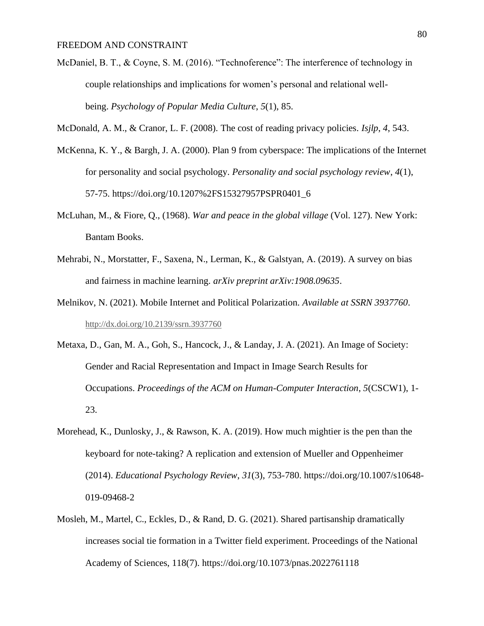- McDaniel, B. T., & Coyne, S. M. (2016). "Technoference": The interference of technology in couple relationships and implications for women's personal and relational wellbeing. *Psychology of Popular Media Culture*, *5*(1), 85.
- McDonald, A. M., & Cranor, L. F. (2008). The cost of reading privacy policies. *Isjlp*, *4*, 543.
- McKenna, K. Y., & Bargh, J. A. (2000). Plan 9 from cyberspace: The implications of the Internet for personality and social psychology. *Personality and social psychology review*, *4*(1), 57-75. https://doi.org/10.1207%2FS15327957PSPR0401\_6
- McLuhan, M., & Fiore, Q., (1968). *War and peace in the global village* (Vol. 127). New York: Bantam Books.
- Mehrabi, N., Morstatter, F., Saxena, N., Lerman, K., & Galstyan, A. (2019). A survey on bias and fairness in machine learning. *arXiv preprint arXiv:1908.09635*.
- Melnikov, N. (2021). Mobile Internet and Political Polarization. *Available at SSRN 3937760*. [http://dx.doi.org/10.2139/ssrn.3937760](https://dx.doi.org/10.2139/ssrn.3937760)
- Metaxa, D., Gan, M. A., Goh, S., Hancock, J., & Landay, J. A. (2021). An Image of Society: Gender and Racial Representation and Impact in Image Search Results for Occupations. *Proceedings of the ACM on Human-Computer Interaction*, *5*(CSCW1), 1- 23.
- Morehead, K., Dunlosky, J., & Rawson, K. A. (2019). How much mightier is the pen than the keyboard for note-taking? A replication and extension of Mueller and Oppenheimer (2014). *Educational Psychology Review*, *31*(3), 753-780. https://doi.org/10.1007/s10648- 019-09468-2
- Mosleh, M., Martel, C., Eckles, D., & Rand, D. G. (2021). Shared partisanship dramatically increases social tie formation in a Twitter field experiment. Proceedings of the National Academy of Sciences, 118(7). https://doi.org/10.1073/pnas.2022761118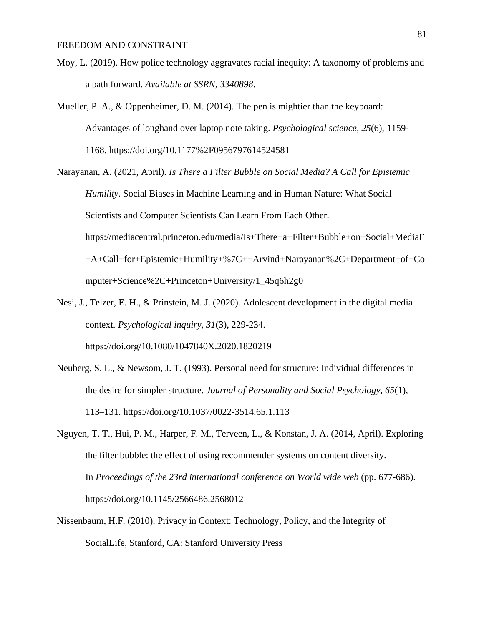- Moy, L. (2019). How police technology aggravates racial inequity: A taxonomy of problems and a path forward. *Available at SSRN*, *3340898*.
- Mueller, P. A., & Oppenheimer, D. M. (2014). The pen is mightier than the keyboard: Advantages of longhand over laptop note taking. *Psychological science*, *25*(6), 1159- 1168. https://doi.org/10.1177%2F0956797614524581
- Narayanan, A. (2021, April). *Is There a Filter Bubble on Social Media? A Call for Epistemic Humility*. Social Biases in Machine Learning and in Human Nature: What Social Scientists and Computer Scientists Can Learn From Each Other. https://mediacentral.princeton.edu/media/Is+There+a+Filter+Bubble+on+Social+MediaF +A+Call+for+Epistemic+Humility+%7C++Arvind+Narayanan%2C+Department+of+Co mputer+Science%2C+Princeton+University/1\_45q6h2g0
- Nesi, J., Telzer, E. H., & Prinstein, M. J. (2020). Adolescent development in the digital media context. *Psychological inquiry*, *31*(3), 229-234. https://doi.org/10.1080/1047840X.2020.1820219
- Neuberg, S. L., & Newsom, J. T. (1993). Personal need for structure: Individual differences in the desire for simpler structure. *Journal of Personality and Social Psychology, 65*(1), 113–131. https://doi.org/10.1037/0022-3514.65.1.113
- Nguyen, T. T., Hui, P. M., Harper, F. M., Terveen, L., & Konstan, J. A. (2014, April). Exploring the filter bubble: the effect of using recommender systems on content diversity. In *Proceedings of the 23rd international conference on World wide web* (pp. 677-686). https://doi.org/10.1145/2566486.2568012
- Nissenbaum, H.F. (2010). Privacy in Context: Technology, Policy, and the Integrity of SocialLife, Stanford, CA: Stanford University Press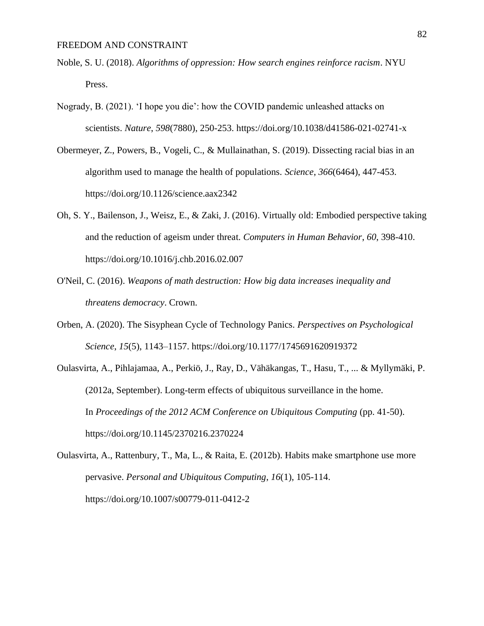- Noble, S. U. (2018). *Algorithms of oppression: How search engines reinforce racism*. NYU Press.
- Nogrady, B. (2021). 'I hope you die': how the COVID pandemic unleashed attacks on scientists. *Nature*, *598*(7880), 250-253. https://doi.org/10.1038/d41586-021-02741-x
- Obermeyer, Z., Powers, B., Vogeli, C., & Mullainathan, S. (2019). Dissecting racial bias in an algorithm used to manage the health of populations. *Science*, *366*(6464), 447-453. https://doi.org/10.1126/science.aax2342
- Oh, S. Y., Bailenson, J., Weisz, E., & Zaki, J. (2016). Virtually old: Embodied perspective taking and the reduction of ageism under threat. *Computers in Human Behavior*, *60*, 398-410. https://doi.org/10.1016/j.chb.2016.02.007
- O'Neil, C. (2016). *Weapons of math destruction: How big data increases inequality and threatens democracy*. Crown.
- Orben, A. (2020). The Sisyphean Cycle of Technology Panics. *Perspectives on Psychological Science*, *15*(5), 1143–1157. https://doi.org/10.1177/1745691620919372
- Oulasvirta, A., Pihlajamaa, A., Perkiö, J., Ray, D., Vähäkangas, T., Hasu, T., ... & Myllymäki, P. (2012a, September). Long-term effects of ubiquitous surveillance in the home. In *Proceedings of the 2012 ACM Conference on Ubiquitous Computing* (pp. 41-50). https://doi.org/10.1145/2370216.2370224
- Oulasvirta, A., Rattenbury, T., Ma, L., & Raita, E. (2012b). Habits make smartphone use more pervasive. *Personal and Ubiquitous Computing*, *16*(1), 105-114. https://doi.org/10.1007/s00779-011-0412-2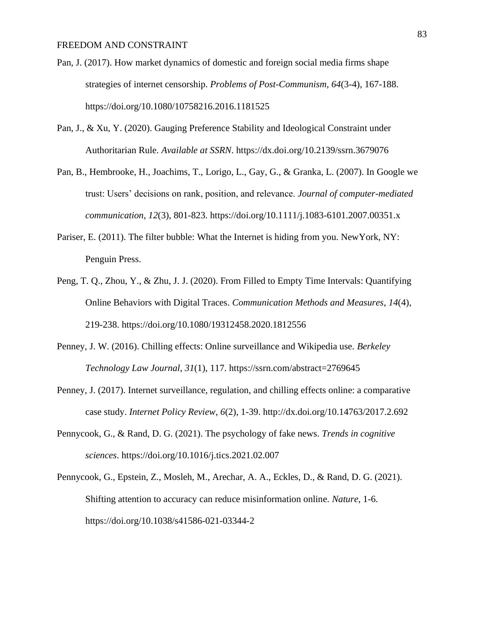- Pan, J. (2017). How market dynamics of domestic and foreign social media firms shape strategies of internet censorship. *Problems of Post-Communism*, *64*(3-4), 167-188. https://doi.org/10.1080/10758216.2016.1181525
- Pan, J., & Xu, Y. (2020). Gauging Preference Stability and Ideological Constraint under Authoritarian Rule. *Available at SSRN*. https://dx.doi.org/10.2139/ssrn.3679076
- Pan, B., Hembrooke, H., Joachims, T., Lorigo, L., Gay, G., & Granka, L. (2007). In Google we trust: Users' decisions on rank, position, and relevance. *Journal of computer-mediated communication*, *12*(3), 801-823. https://doi.org/10.1111/j.1083-6101.2007.00351.x
- Pariser, E. (2011). The filter bubble: What the Internet is hiding from you. NewYork, NY: Penguin Press.
- Peng, T. Q., Zhou, Y., & Zhu, J. J. (2020). From Filled to Empty Time Intervals: Quantifying Online Behaviors with Digital Traces. *Communication Methods and Measures*, *14*(4), 219-238. https://doi.org/10.1080/19312458.2020.1812556
- Penney, J. W. (2016). Chilling effects: Online surveillance and Wikipedia use. *Berkeley Technology Law Journal*, *31*(1), 117. https://ssrn.com/abstract=2769645
- Penney, J. (2017). Internet surveillance, regulation, and chilling effects online: a comparative case study. *Internet Policy Review*, *6*(2), 1-39. http://dx.doi.org/10.14763/2017.2.692
- Pennycook, G., & Rand, D. G. (2021). The psychology of fake news. *Trends in cognitive sciences*. https://doi.org/10.1016/j.tics.2021.02.007
- Pennycook, G., Epstein, Z., Mosleh, M., Arechar, A. A., Eckles, D., & Rand, D. G. (2021). Shifting attention to accuracy can reduce misinformation online. *Nature*, 1-6. https://doi.org/10.1038/s41586-021-03344-2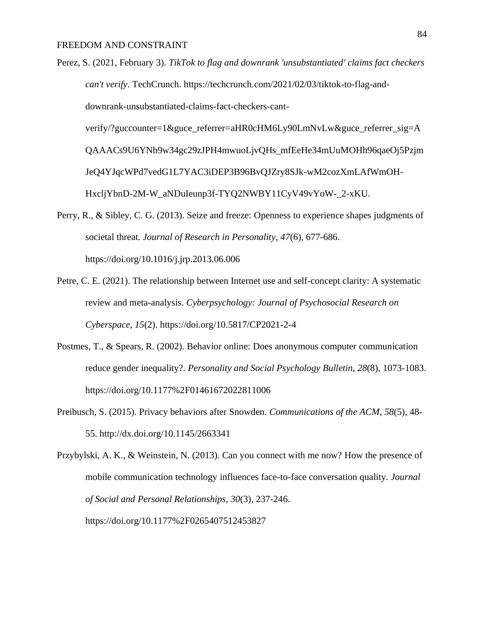- Perez, S. (2021, February 3). *TikTok to flag and downrank 'unsubstantiated' claims fact checkers can't verify*. TechCrunch. https://techcrunch.com/2021/02/03/tiktok-to-flag-anddownrank-unsubstantiated-claims-fact-checkers-cantverify/?guccounter=1&guce\_referrer=aHR0cHM6Ly90LmNvLw&guce\_referrer\_sig=A QAAACs9U6YNb9w34gc29zJPH4mwuoLjvQHs\_mfEeHe34mUuMOHh96qaeOj5Pzjm JeQ4YJqcWPd7vedG1L7YAC3iDEP3B96BvQJZry8SJk-wM2cozXmLAfWmOH-HxcljYbnD-2M-W\_aNDuIeunp3f-TYQ2NWBY11CyV49vYoW-\_2-xKU.
- Perry, R., & Sibley, C. G. (2013). Seize and freeze: Openness to experience shapes judgments of societal threat. *Journal of Research in Personality*, *47*(6), 677-686. https://doi.org/10.1016/j.jrp.2013.06.006
- Petre, C. E. (2021). The relationship between Internet use and self-concept clarity: A systematic review and meta-analysis. *Cyberpsychology: Journal of Psychosocial Research on Cyberspace*, *15*(2). https://doi.org/10.5817/CP2021-2-4
- Postmes, T., & Spears, R. (2002). Behavior online: Does anonymous computer communication reduce gender inequality?. *Personality and Social Psychology Bulletin*, *28*(8), 1073-1083. https://doi.org/10.1177%2F01461672022811006
- Preibusch, S. (2015). Privacy behaviors after Snowden. *Communications of the ACM*, *58*(5), 48- 55. http://dx.doi.org/10.1145/2663341

Przybylski, A. K., & Weinstein, N. (2013). Can you connect with me now? How the presence of mobile communication technology influences face-to-face conversation quality. *Journal of Social and Personal Relationships*, *30*(3), 237-246. https://doi.org/10.1177%2F0265407512453827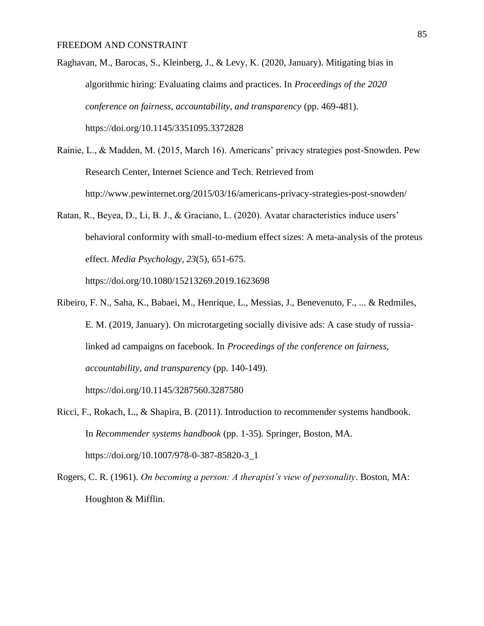Raghavan, M., Barocas, S., Kleinberg, J., & Levy, K. (2020, January). Mitigating bias in algorithmic hiring: Evaluating claims and practices. In *Proceedings of the 2020 conference on fairness, accountability, and transparency* (pp. 469-481). https://doi.org/10.1145/3351095.3372828

- Rainie, L., & Madden, M. (2015, March 16). Americans' privacy strategies post-Snowden. Pew Research Center, Internet Science and Tech. Retrieved from http://www.pewinternet.org/2015/03/16/americans-privacy-strategies-post-snowden/
- Ratan, R., Beyea, D., Li, B. J., & Graciano, L. (2020). Avatar characteristics induce users' behavioral conformity with small-to-medium effect sizes: A meta-analysis of the proteus effect. *Media Psychology*, *23*(5), 651-675. https://doi.org/10.1080/15213269.2019.1623698
- Ribeiro, F. N., Saha, K., Babaei, M., Henrique, L., Messias, J., Benevenuto, F., ... & Redmiles, E. M. (2019, January). On microtargeting socially divisive ads: A case study of russialinked ad campaigns on facebook. In *Proceedings of the conference on fairness, accountability, and transparency* (pp. 140-149). https://doi.org/10.1145/3287560.3287580
- Ricci, F., Rokach, L., & Shapira, B. (2011). Introduction to recommender systems handbook. In *Recommender systems handbook* (pp. 1-35). Springer, Boston, MA. https://doi.org/10.1007/978-0-387-85820-3\_1
- Rogers, C. R. (1961). *On becoming a person: A therapist's view of personality*. Boston, MA: Houghton & Mifflin.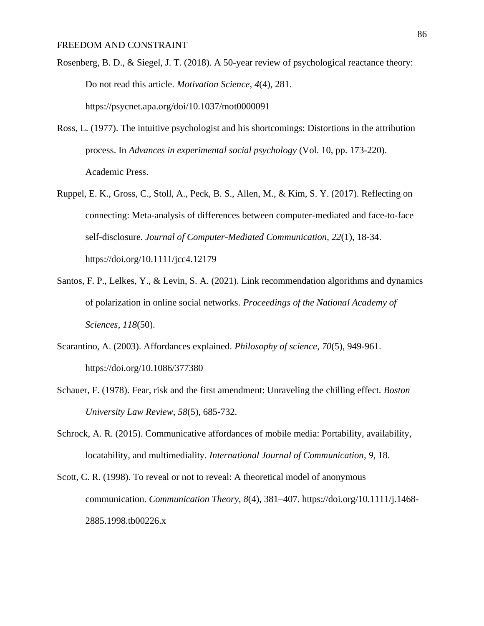- Rosenberg, B. D., & Siegel, J. T. (2018). A 50-year review of psychological reactance theory: Do not read this article. *Motivation Science*, *4*(4), 281. https://psycnet.apa.org/doi/10.1037/mot0000091
- Ross, L. (1977). The intuitive psychologist and his shortcomings: Distortions in the attribution process. In *Advances in experimental social psychology* (Vol. 10, pp. 173-220). Academic Press.
- Ruppel, E. K., Gross, C., Stoll, A., Peck, B. S., Allen, M., & Kim, S. Y. (2017). Reflecting on connecting: Meta-analysis of differences between computer-mediated and face-to-face self-disclosure. *Journal of Computer-Mediated Communication*, *22*(1), 18-34. https://doi.org/10.1111/jcc4.12179
- Santos, F. P., Lelkes, Y., & Levin, S. A. (2021). Link recommendation algorithms and dynamics of polarization in online social networks. *Proceedings of the National Academy of Sciences*, *118*(50).
- Scarantino, A. (2003). Affordances explained. *Philosophy of science*, *70*(5), 949-961. https://doi.org/10.1086/377380
- Schauer, F. (1978). Fear, risk and the first amendment: Unraveling the chilling effect. *Boston University Law Review*, *58*(5), 685-732.
- Schrock, A. R. (2015). Communicative affordances of mobile media: Portability, availability, locatability, and multimediality. *International Journal of Communication*, *9*, 18.
- Scott, C. R. (1998). To reveal or not to reveal: A theoretical model of anonymous communication. *Communication Theory*, *8*(4), 381–407. https://doi.org/10.1111/j.1468- 2885.1998.tb00226.x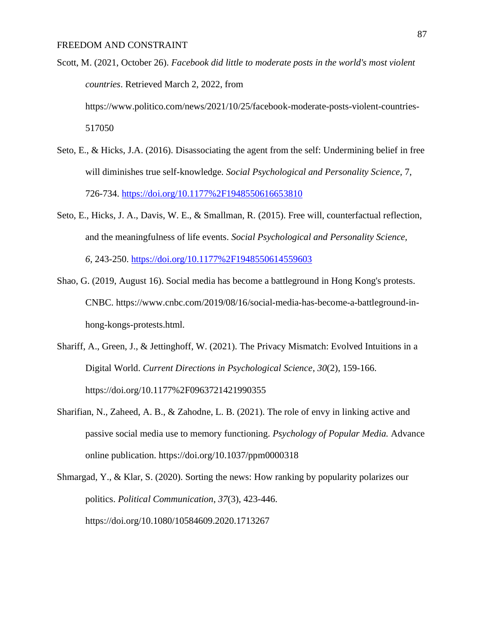- Scott, M. (2021, October 26). *Facebook did little to moderate posts in the world's most violent countries*. Retrieved March 2, 2022, from https://www.politico.com/news/2021/10/25/facebook-moderate-posts-violent-countries-517050
- Seto, E., & Hicks, J.A. (2016). Disassociating the agent from the self: Undermining belief in free will diminishes true self-knowledge. *Social Psychological and Personality Science,* 7, 726-734.<https://doi.org/10.1177%2F1948550616653810>
- Seto, E., Hicks, J. A., Davis, W. E., & Smallman, R. (2015). Free will, counterfactual reflection, and the meaningfulness of life events. *Social Psychological and Personality Science, 6,* 243-250.<https://doi.org/10.1177%2F1948550614559603>
- Shao, G. (2019, August 16). Social media has become a battleground in Hong Kong's protests. CNBC. https://www.cnbc.com/2019/08/16/social-media-has-become-a-battleground-inhong-kongs-protests.html.
- Shariff, A., Green, J., & Jettinghoff, W. (2021). The Privacy Mismatch: Evolved Intuitions in a Digital World. *Current Directions in Psychological Science*, *30*(2), 159-166. https://doi.org/10.1177%2F0963721421990355
- Sharifian, N., Zaheed, A. B., & Zahodne, L. B. (2021). The role of envy in linking active and passive social media use to memory functioning. *Psychology of Popular Media.* Advance online publication. https://doi.org/10.1037/ppm0000318
- Shmargad, Y., & Klar, S. (2020). Sorting the news: How ranking by popularity polarizes our politics. *Political Communication*, *37*(3), 423-446. https://doi.org/10.1080/10584609.2020.1713267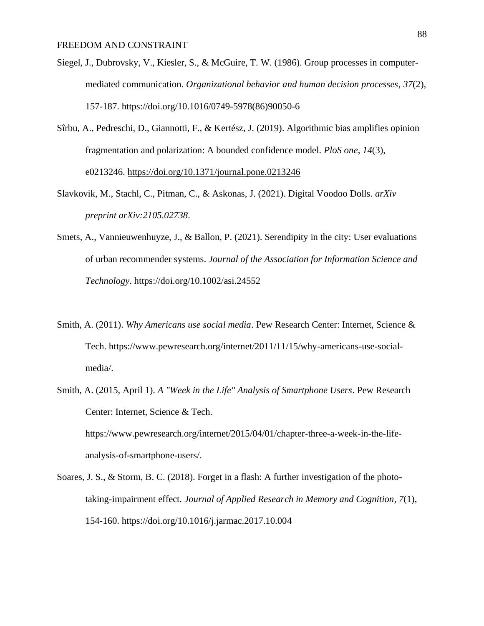- Siegel, J., Dubrovsky, V., Kiesler, S., & McGuire, T. W. (1986). Group processes in computermediated communication. *Organizational behavior and human decision processes*, *37*(2), 157-187. https://doi.org/10.1016/0749-5978(86)90050-6
- Sîrbu, A., Pedreschi, D., Giannotti, F., & Kertész, J. (2019). Algorithmic bias amplifies opinion fragmentation and polarization: A bounded confidence model. *PloS one*, *14*(3), e0213246. https://doi.org/10.1371/journal.pone.0213246
- Slavkovik, M., Stachl, C., Pitman, C., & Askonas, J. (2021). Digital Voodoo Dolls. *arXiv preprint arXiv:2105.02738*.
- Smets, A., Vannieuwenhuyze, J., & Ballon, P. (2021). Serendipity in the city: User evaluations of urban recommender systems. *Journal of the Association for Information Science and Technology*. https://doi.org/10.1002/asi.24552
- Smith, A. (2011). *Why Americans use social media*. Pew Research Center: Internet, Science & Tech. https://www.pewresearch.org/internet/2011/11/15/why-americans-use-socialmedia/.
- Smith, A. (2015, April 1). *A "Week in the Life" Analysis of Smartphone Users*. Pew Research Center: Internet, Science & Tech. https://www.pewresearch.org/internet/2015/04/01/chapter-three-a-week-in-the-lifeanalysis-of-smartphone-users/.
- Soares, J. S., & Storm, B. C. (2018). Forget in a flash: A further investigation of the phototaking-impairment effect. *Journal of Applied Research in Memory and Cognition*, *7*(1), 154-160. https://doi.org/10.1016/j.jarmac.2017.10.004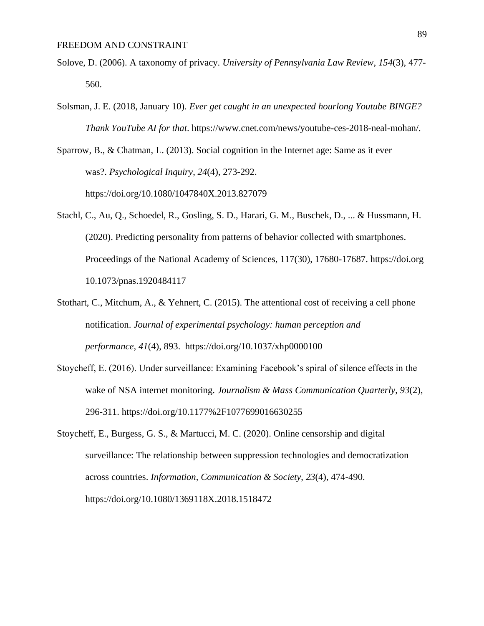- Solove, D. (2006). A taxonomy of privacy. *University of Pennsylvania Law Review*, *154*(3), 477- 560.
- Solsman, J. E. (2018, January 10). *Ever get caught in an unexpected hourlong Youtube BINGE? Thank YouTube AI for that*. https://www.cnet.com/news/youtube-ces-2018-neal-mohan/.

Sparrow, B., & Chatman, L. (2013). Social cognition in the Internet age: Same as it ever was?. *Psychological Inquiry*, *24*(4), 273-292. https://doi.org/10.1080/1047840X.2013.827079

- Stachl, C., Au, Q., Schoedel, R., Gosling, S. D., Harari, G. M., Buschek, D., ... & Hussmann, H. (2020). Predicting personality from patterns of behavior collected with smartphones. Proceedings of the National Academy of Sciences, 117(30), 17680-17687. https://doi.org 10.1073/pnas.1920484117
- Stothart, C., Mitchum, A., & Yehnert, C. (2015). The attentional cost of receiving a cell phone notification. *Journal of experimental psychology: human perception and performance*, *41*(4), 893. https://doi.org/10.1037/xhp0000100
- Stoycheff, E. (2016). Under surveillance: Examining Facebook's spiral of silence effects in the wake of NSA internet monitoring. *Journalism & Mass Communication Quarterly*, *93*(2), 296-311. https://doi.org/10.1177%2F1077699016630255
- Stoycheff, E., Burgess, G. S., & Martucci, M. C. (2020). Online censorship and digital surveillance: The relationship between suppression technologies and democratization across countries. *Information, Communication & Society*, *23*(4), 474-490. https://doi.org/10.1080/1369118X.2018.1518472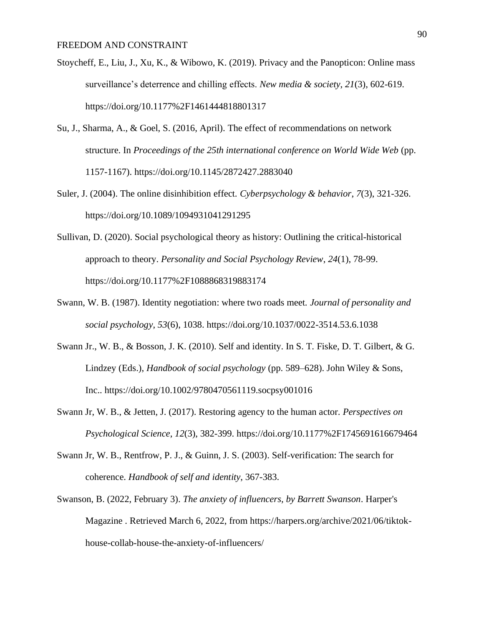- Stoycheff, E., Liu, J., Xu, K., & Wibowo, K. (2019). Privacy and the Panopticon: Online mass surveillance's deterrence and chilling effects. *New media & society*, *21*(3), 602-619. https://doi.org/10.1177%2F1461444818801317
- Su, J., Sharma, A., & Goel, S. (2016, April). The effect of recommendations on network structure. In *Proceedings of the 25th international conference on World Wide Web* (pp. 1157-1167). https://doi.org/10.1145/2872427.2883040
- Suler, J. (2004). The online disinhibition effect. *Cyberpsychology & behavior*, *7*(3), 321-326. https://doi.org/10.1089/1094931041291295
- Sullivan, D. (2020). Social psychological theory as history: Outlining the critical-historical approach to theory. *Personality and Social Psychology Review*, *24*(1), 78-99. https://doi.org/10.1177%2F1088868319883174
- Swann, W. B. (1987). Identity negotiation: where two roads meet. *Journal of personality and social psychology*, *53*(6), 1038. https://doi.org/10.1037/0022-3514.53.6.1038
- Swann Jr., W. B., & Bosson, J. K. (2010). Self and identity. In S. T. Fiske, D. T. Gilbert, & G. Lindzey (Eds.), *Handbook of social psychology* (pp. 589–628). John Wiley & Sons, Inc.. https://doi.org/10.1002/9780470561119.socpsy001016
- Swann Jr, W. B., & Jetten, J. (2017). Restoring agency to the human actor. *Perspectives on Psychological Science*, *12*(3), 382-399. https://doi.org/10.1177%2F1745691616679464
- Swann Jr, W. B., Rentfrow, P. J., & Guinn, J. S. (2003). Self-verification: The search for coherence. *Handbook of self and identity*, 367-383.
- Swanson, B. (2022, February 3). *The anxiety of influencers, by Barrett Swanson*. Harper's Magazine . Retrieved March 6, 2022, from https://harpers.org/archive/2021/06/tiktokhouse-collab-house-the-anxiety-of-influencers/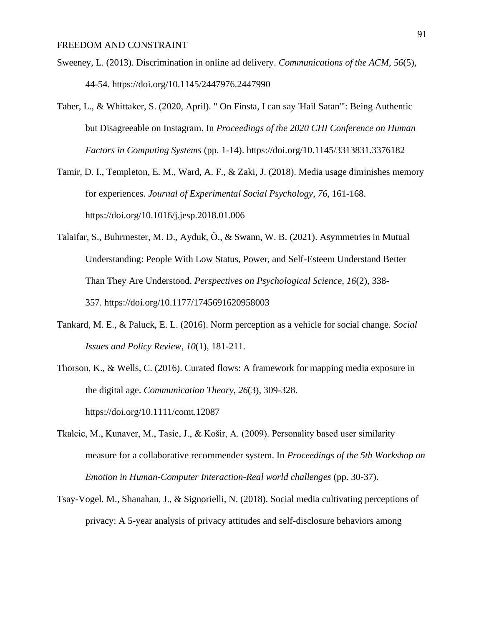- Sweeney, L. (2013). Discrimination in online ad delivery. *Communications of the ACM*, *56*(5), 44-54. https://doi.org/10.1145/2447976.2447990
- Taber, L., & Whittaker, S. (2020, April). " On Finsta, I can say 'Hail Satan'": Being Authentic but Disagreeable on Instagram. In *Proceedings of the 2020 CHI Conference on Human Factors in Computing Systems* (pp. 1-14). https://doi.org/10.1145/3313831.3376182
- Tamir, D. I., Templeton, E. M., Ward, A. F., & Zaki, J. (2018). Media usage diminishes memory for experiences. *Journal of Experimental Social Psychology*, *76*, 161-168. https://doi.org/10.1016/j.jesp.2018.01.006
- Talaifar, S., Buhrmester, M. D., Ayduk, Ö., & Swann, W. B. (2021). Asymmetries in Mutual Understanding: People With Low Status, Power, and Self-Esteem Understand Better Than They Are Understood. *Perspectives on Psychological Science*, *16*(2), 338- 357. https://doi.org/10.1177/1745691620958003
- Tankard, M. E., & Paluck, E. L. (2016). Norm perception as a vehicle for social change. *Social Issues and Policy Review*, *10*(1), 181-211.
- Thorson, K., & Wells, C. (2016). Curated flows: A framework for mapping media exposure in the digital age. *Communication Theory*, *26*(3), 309-328. https://doi.org/10.1111/comt.12087
- Tkalcic, M., Kunaver, M., Tasic, J., & Košir, A. (2009). Personality based user similarity measure for a collaborative recommender system. In *Proceedings of the 5th Workshop on Emotion in Human-Computer Interaction-Real world challenges* (pp. 30-37).
- Tsay-Vogel, M., Shanahan, J., & Signorielli, N. (2018). Social media cultivating perceptions of privacy: A 5-year analysis of privacy attitudes and self-disclosure behaviors among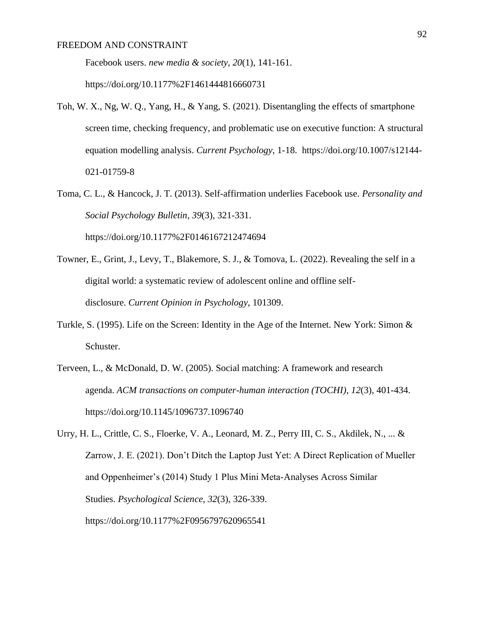Facebook users. *new media & society*, *20*(1), 141-161.

https://doi.org/10.1177%2F1461444816660731

- Toh, W. X., Ng, W. Q., Yang, H., & Yang, S. (2021). Disentangling the effects of smartphone screen time, checking frequency, and problematic use on executive function: A structural equation modelling analysis. *Current Psychology*, 1-18. https://doi.org/10.1007/s12144- 021-01759-8
- Toma, C. L., & Hancock, J. T. (2013). Self-affirmation underlies Facebook use. *Personality and Social Psychology Bulletin*, *39*(3), 321-331. https://doi.org/10.1177%2F0146167212474694
- Towner, E., Grint, J., Levy, T., Blakemore, S. J., & Tomova, L. (2022). Revealing the self in a digital world: a systematic review of adolescent online and offline selfdisclosure. *Current Opinion in Psychology*, 101309.
- Turkle, S. (1995). Life on the Screen: Identity in the Age of the Internet. New York: Simon & Schuster.
- Terveen, L., & McDonald, D. W. (2005). Social matching: A framework and research agenda. *ACM transactions on computer-human interaction (TOCHI)*, *12*(3), 401-434. https://doi.org/10.1145/1096737.1096740
- Urry, H. L., Crittle, C. S., Floerke, V. A., Leonard, M. Z., Perry III, C. S., Akdilek, N., ... & Zarrow, J. E. (2021). Don't Ditch the Laptop Just Yet: A Direct Replication of Mueller and Oppenheimer's (2014) Study 1 Plus Mini Meta-Analyses Across Similar Studies. *Psychological Science*, *32*(3), 326-339. https://doi.org/10.1177%2F0956797620965541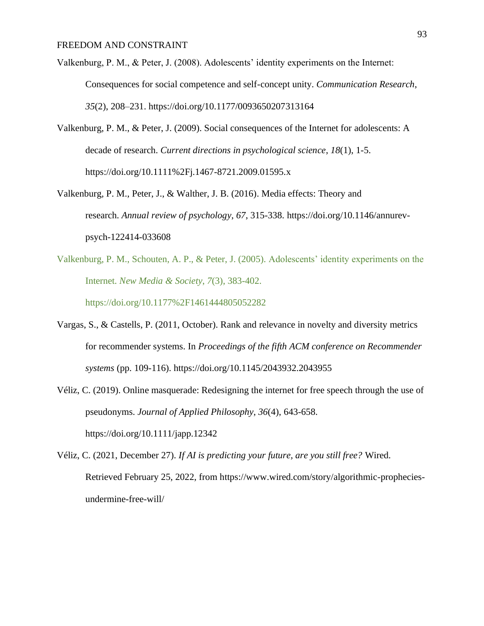- Valkenburg, P. M., & Peter, J. (2008). Adolescents' identity experiments on the Internet: Consequences for social competence and self-concept unity. *Communication Research*, *35*(2), 208–231. https://doi.org/10.1177/0093650207313164
- Valkenburg, P. M., & Peter, J. (2009). Social consequences of the Internet for adolescents: A decade of research. *Current directions in psychological science*, *18*(1), 1-5. https://doi.org/10.1111%2Fj.1467-8721.2009.01595.x
- Valkenburg, P. M., Peter, J., & Walther, J. B. (2016). Media effects: Theory and research. *Annual review of psychology*, *67*, 315-338. https://doi.org/10.1146/annurevpsych-122414-033608
- Valkenburg, P. M., Schouten, A. P., & Peter, J. (2005). Adolescents' identity experiments on the Internet. *New Media & Society*, *7*(3), 383-402. https://doi.org/10.1177%2F1461444805052282
- Vargas, S., & Castells, P. (2011, October). Rank and relevance in novelty and diversity metrics for recommender systems. In *Proceedings of the fifth ACM conference on Recommender systems* (pp. 109-116). https://doi.org/10.1145/2043932.2043955
- Véliz, C. (2019). Online masquerade: Redesigning the internet for free speech through the use of pseudonyms. *Journal of Applied Philosophy*, *36*(4), 643-658. https://doi.org/10.1111/japp.12342
- Véliz, C. (2021, December 27). *If AI is predicting your future, are you still free?* Wired. Retrieved February 25, 2022, from https://www.wired.com/story/algorithmic-propheciesundermine-free-will/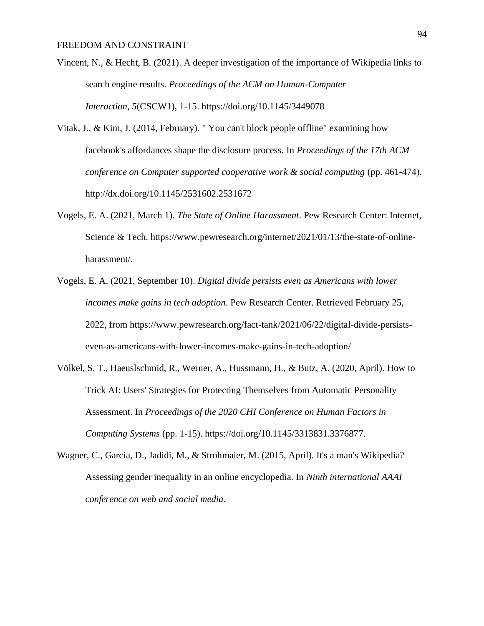- Vincent, N., & Hecht, B. (2021). A deeper investigation of the importance of Wikipedia links to search engine results. *Proceedings of the ACM on Human-Computer Interaction*, *5*(CSCW1), 1-15. https://doi.org/10.1145/3449078
- Vitak, J., & Kim, J. (2014, February). " You can't block people offline" examining how facebook's affordances shape the disclosure process. In *Proceedings of the 17th ACM conference on Computer supported cooperative work & social computing* (pp. 461-474). http://dx.doi.org/10.1145/2531602.2531672
- Vogels, E. A. (2021, March 1). *The State of Online Harassment*. Pew Research Center: Internet, Science & Tech. https://www.pewresearch.org/internet/2021/01/13/the-state-of-onlineharassment/.
- Vogels, E. A. (2021, September 10). *Digital divide persists even as Americans with lower incomes make gains in tech adoption*. Pew Research Center. Retrieved February 25, 2022, from https://www.pewresearch.org/fact-tank/2021/06/22/digital-divide-persistseven-as-americans-with-lower-incomes-make-gains-in-tech-adoption/
- Völkel, S. T., Haeuslschmid, R., Werner, A., Hussmann, H., & Butz, A. (2020, April). How to Trick AI: Users' Strategies for Protecting Themselves from Automatic Personality Assessment. In *Proceedings of the 2020 CHI Conference on Human Factors in Computing Systems* (pp. 1-15). https://doi.org/10.1145/3313831.3376877.
- Wagner, C., Garcia, D., Jadidi, M., & Strohmaier, M. (2015, April). It's a man's Wikipedia? Assessing gender inequality in an online encyclopedia. In *Ninth international AAAI conference on web and social media*.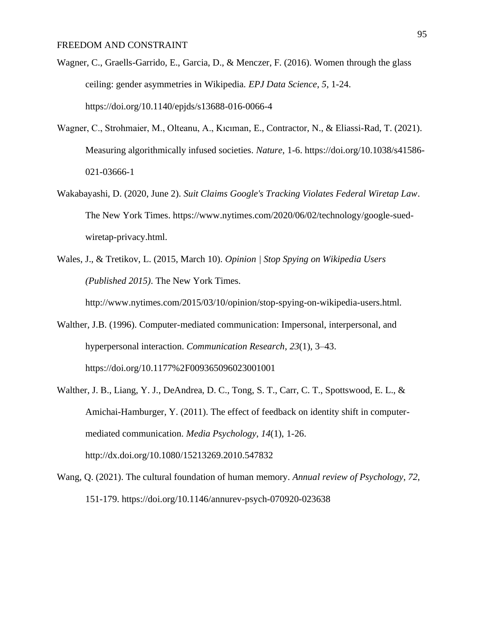- Wagner, C., Graells-Garrido, E., Garcia, D., & Menczer, F. (2016). Women through the glass ceiling: gender asymmetries in Wikipedia. *EPJ Data Science*, *5*, 1-24. https://doi.org/10.1140/epjds/s13688-016-0066-4
- Wagner, C., Strohmaier, M., Olteanu, A., Kıcıman, E., Contractor, N., & Eliassi-Rad, T. (2021). Measuring algorithmically infused societies. *Nature*, 1-6. https://doi.org/10.1038/s41586- 021-03666-1
- Wakabayashi, D. (2020, June 2). *Suit Claims Google's Tracking Violates Federal Wiretap Law*. The New York Times. https://www.nytimes.com/2020/06/02/technology/google-suedwiretap-privacy.html.
- Wales, J., & Tretikov, L. (2015, March 10). *Opinion | Stop Spying on Wikipedia Users (Published 2015)*. The New York Times.

http://www.nytimes.com/2015/03/10/opinion/stop-spying-on-wikipedia-users.html.

- Walther, J.B. (1996). Computer-mediated communication: Impersonal, interpersonal, and hyperpersonal interaction. *Communication Research*, *23*(1), 3–43. https://doi.org/10.1177%2F009365096023001001
- Walther, J. B., Liang, Y. J., DeAndrea, D. C., Tong, S. T., Carr, C. T., Spottswood, E. L., & Amichai-Hamburger, Y. (2011). The effect of feedback on identity shift in computermediated communication. *Media Psychology*, *14*(1), 1-26. http://dx.doi.org/10.1080/15213269.2010.547832
- Wang, Q. (2021). The cultural foundation of human memory. *Annual review of Psychology*, *72*, 151-179. https://doi.org/10.1146/annurev-psych-070920-023638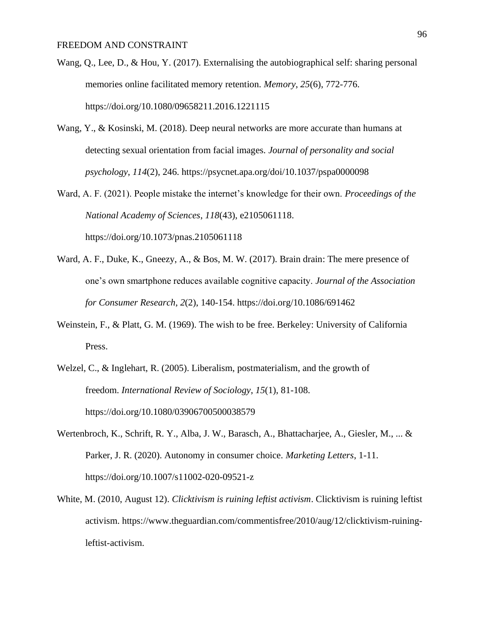- Wang, Q., Lee, D., & Hou, Y. (2017). Externalising the autobiographical self: sharing personal memories online facilitated memory retention. *Memory*, *25*(6), 772-776. https://doi.org/10.1080/09658211.2016.1221115
- Wang, Y., & Kosinski, M. (2018). Deep neural networks are more accurate than humans at detecting sexual orientation from facial images. *Journal of personality and social psychology*, *114*(2), 246. https://psycnet.apa.org/doi/10.1037/pspa0000098
- Ward, A. F. (2021). People mistake the internet's knowledge for their own. *Proceedings of the National Academy of Sciences*, *118*(43), e2105061118. https://doi.org/10.1073/pnas.2105061118
- Ward, A. F., Duke, K., Gneezy, A., & Bos, M. W. (2017). Brain drain: The mere presence of one's own smartphone reduces available cognitive capacity. *Journal of the Association for Consumer Research*, *2*(2), 140-154. https://doi.org/10.1086/691462
- Weinstein, F., & Platt, G. M. (1969). The wish to be free. Berkeley: University of California Press.
- Welzel, C., & Inglehart, R. (2005). Liberalism, postmaterialism, and the growth of freedom. *International Review of Sociology*, *15*(1), 81-108. https://doi.org/10.1080/03906700500038579
- Wertenbroch, K., Schrift, R. Y., Alba, J. W., Barasch, A., Bhattacharjee, A., Giesler, M., ... & Parker, J. R. (2020). Autonomy in consumer choice. *Marketing Letters*, 1-11. https://doi.org/10.1007/s11002-020-09521-z
- White, M. (2010, August 12). *Clicktivism is ruining leftist activism*. Clicktivism is ruining leftist activism. https://www.theguardian.com/commentisfree/2010/aug/12/clicktivism-ruiningleftist-activism.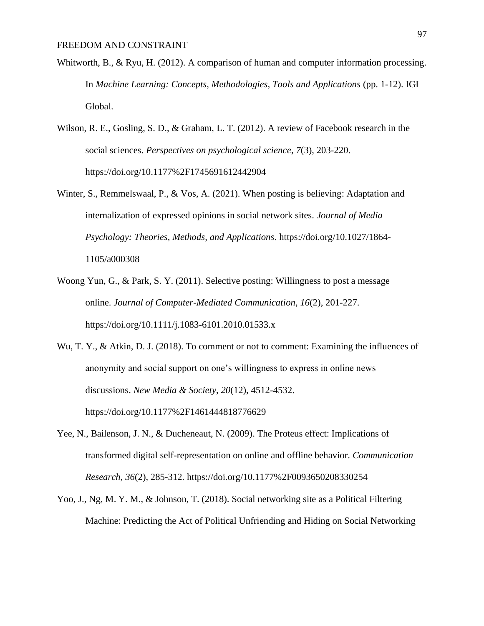- Whitworth, B., & Ryu, H. (2012). A comparison of human and computer information processing. In *Machine Learning: Concepts, Methodologies, Tools and Applications* (pp. 1-12). IGI Global.
- Wilson, R. E., Gosling, S. D., & Graham, L. T. (2012). A review of Facebook research in the social sciences. *Perspectives on psychological science*, *7*(3), 203-220. https://doi.org/10.1177%2F1745691612442904
- Winter, S., Remmelswaal, P., & Vos, A. (2021). When posting is believing: Adaptation and internalization of expressed opinions in social network sites. *Journal of Media Psychology: Theories, Methods, and Applications*. https://doi.org/10.1027/1864- 1105/a000308
- Woong Yun, G., & Park, S. Y. (2011). Selective posting: Willingness to post a message online. *Journal of Computer-Mediated Communication*, *16*(2), 201-227. https://doi.org/10.1111/j.1083-6101.2010.01533.x

Wu, T. Y., & Atkin, D. J. (2018). To comment or not to comment: Examining the influences of anonymity and social support on one's willingness to express in online news discussions. *New Media & Society*, *20*(12), 4512-4532. https://doi.org/10.1177%2F1461444818776629

- Yee, N., Bailenson, J. N., & Ducheneaut, N. (2009). The Proteus effect: Implications of transformed digital self-representation on online and offline behavior. *Communication Research*, *36*(2), 285-312. https://doi.org/10.1177%2F0093650208330254
- Yoo, J., Ng, M. Y. M., & Johnson, T. (2018). Social networking site as a Political Filtering Machine: Predicting the Act of Political Unfriending and Hiding on Social Networking